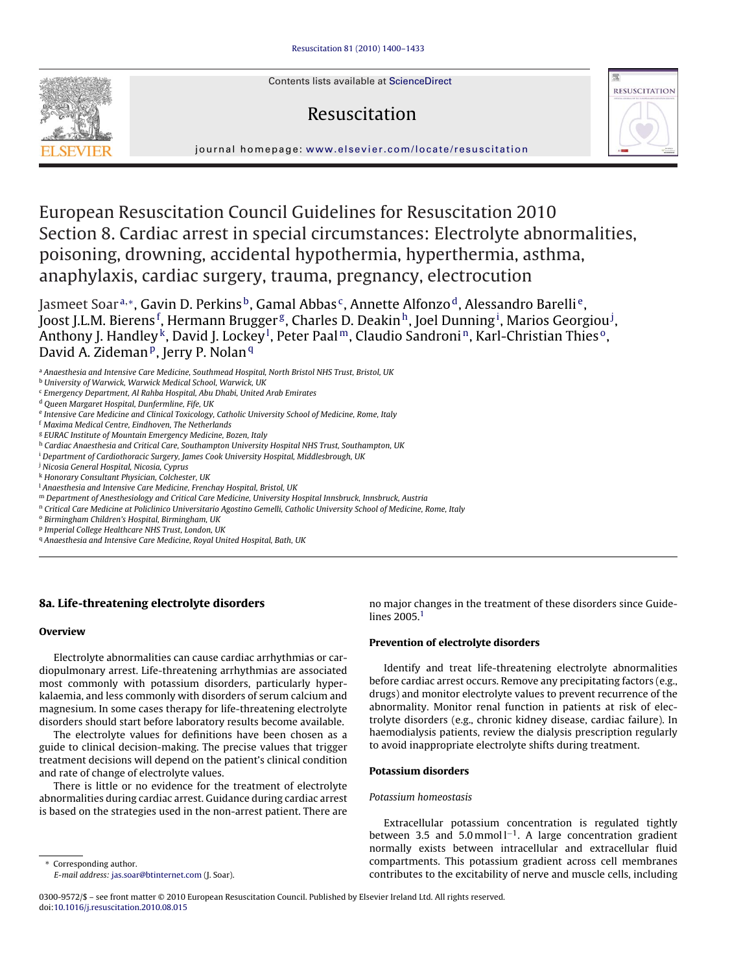Contents lists available at [ScienceDirect](http://www.sciencedirect.com/science/journal/03009572)

# Resuscitation



journal homepage: [www.elsevier.com/locate/resuscitation](http://www.elsevier.com/locate/resuscitation)

# European Resuscitation Council Guidelines for Resuscitation 2010 Section 8. Cardiac arrest in special circumstances: Electrolyte abnormalities, poisoning, drowning, accidental hypothermia, hyperthermia, asthma, anaphylaxis, cardiac surgery, trauma, pregnancy, electrocution

Jasmeet Soar<sup>a,∗</sup>, Gavin D. Perkins<sup>b</sup>, Gamal Abbas<sup>c</sup>, Annette Alfonzo<sup>d</sup>, Alessandro Barelli<sup>e</sup>, Joost J.L.M. Bierens<sup>f</sup>, Hermann Brugger<sup>g</sup>, Charles D. Deakin<sup>h</sup>, Joel Dunning<sup>i</sup>, Marios Georgiou<sup>j</sup>, Anthony J. Handley $^{\rm k}$ , David J. Lockey $^{\rm l}$ , Peter Paal  $^{\rm m}$ , Claudio Sandroni  $^{\rm n}$ , Karl-Christian Thies  $^{\rm o}$ , David A. Zideman<sup>p</sup>, Jerry P. Nolan<sup>q</sup>

- <sup>e</sup> Intensive Care Medicine and Clinical Toxicology, Catholic University School of Medicine, Rome, Italy
- <sup>f</sup> Maxima Medical Centre, Eindhoven, The Netherlands
- <sup>g</sup> EURAC Institute of Mountain Emergency Medicine, Bozen, Italy
- h Cardiac Anaesthesia and Critical Care, Southampton University Hospital NHS Trust, Southampton, UK
- <sup>i</sup> Department of Cardiothoracic Surgery, James Cook University Hospital, Middlesbrough, UK
- <sup>j</sup> Nicosia General Hospital, Nicosia, Cyprus
- <sup>k</sup> Honorary Consultant Physician, Colchester, UK
- <sup>1</sup> Anaesthesia and Intensive Care Medicine, Frenchay Hospital, Bristol, UK
- <sup>m</sup> Department of Anesthesiology and Critical Care Medicine, University Hospital Innsbruck, Innsbruck, Austria
- <sup>n</sup> Critical Care Medicine at Policlinico Universitario Agostino Gemelli, Catholic University School of Medicine, Rome, Italy
- <sup>o</sup> Birmingham Children's Hospital, Birmingham, UK
- <sup>p</sup> Imperial College Healthcare NHS Trust, London, UK
- <sup>q</sup> Anaesthesia and Intensive Care Medicine, Royal United Hospital, Bath, UK

# **8a. Life-threatening electrolyte disorders**

## **Overview**

Electrolyte abnormalities can cause cardiac arrhythmias or cardiopulmonary arrest. Life-threatening arrhythmias are associated most commonly with potassium disorders, particularly hyperkalaemia, and less commonly with disorders of serum calcium and magnesium. In some cases therapy for life-threatening electrolyte disorders should start before laboratory results become available.

The electrolyte values for definitions have been chosen as a guide to clinical decision-making. The precise values that trigger treatment decisions will depend on the patient's clinical condition and rate of change of electrolyte values.

There is little or no evidence for the treatment of electrolyte abnormalities during cardiac arrest. Guidance during cardiac arrest is based on the strategies used in the non-arrest patient. There are

Corresponding author. E-mail address: [jas.soar@btinternet.com](mailto:jas.soar@btinternet.com) (J. Soar). no major changes in the treatment of these disorders since Guide-lines 2005.<sup>[1](#page-25-0)</sup>

# **Prevention of electrolyte disorders**

Identify and treat life-threatening electrolyte abnormalities before cardiac arrest occurs. Remove any precipitating factors (e.g., drugs) and monitor electrolyte values to prevent recurrence of the abnormality. Monitor renal function in patients at risk of electrolyte disorders (e.g., chronic kidney disease, cardiac failure). In haemodialysis patients, review the dialysis prescription regularly to avoid inappropriate electrolyte shifts during treatment.

# **Potassium disorders**

## Potassium homeostasis

Extracellular potassium concentration is regulated tightly between 3.5 and 5.0 mmol  $l^{-1}$ . A large concentration gradient normally exists between intracellular and extracellular fluid compartments. This potassium gradient across cell membranes contributes to the excitability of nerve and muscle cells, including

0300-9572/\$ – see front matter © 2010 European Resuscitation Council. Published by Elsevier Ireland Ltd. All rights reserved. doi:[10.1016/j.resuscitation.2010.08.015](dx.doi.org/10.1016/j.resuscitation.2010.08.015)



<sup>&</sup>lt;sup>a</sup> Anaesthesia and Intensive Care Medicine, Southmead Hospital, North Bristol NHS Trust, Bristol, UK

<sup>b</sup> University of Warwick, Warwick Medical School, Warwick, UK

<sup>c</sup> Emergency Department, Al Rahba Hospital, Abu Dhabi, United Arab Emirates

<sup>d</sup> Queen Margaret Hospital, Dunfermline, Fife, UK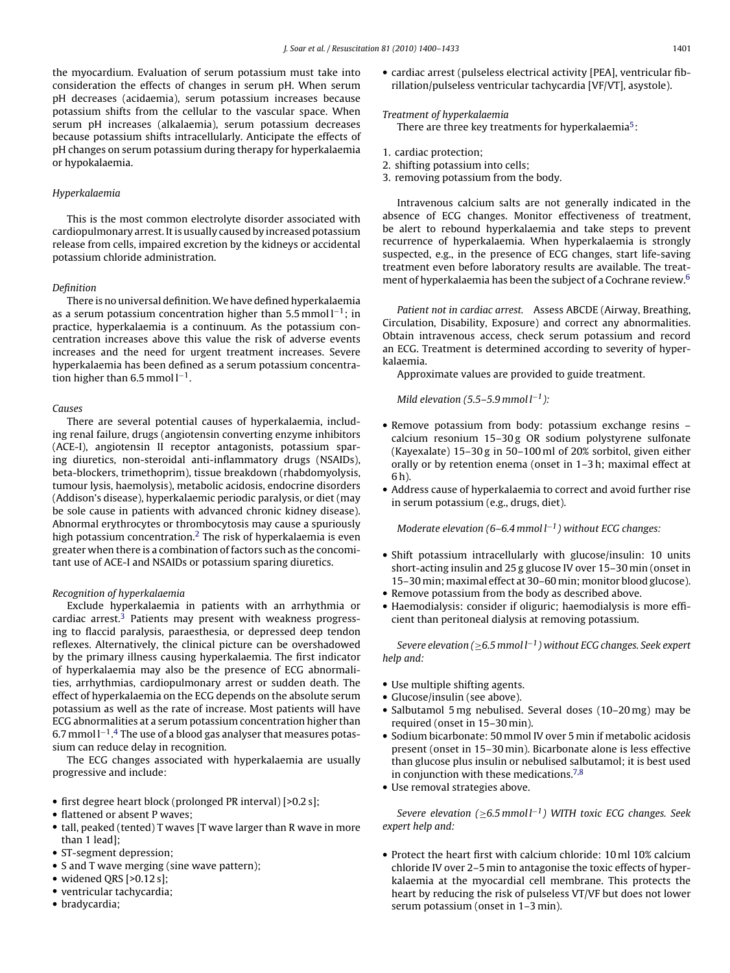the myocardium. Evaluation of serum potassium must take into consideration the effects of changes in serum pH. When serum pH decreases (acidaemia), serum potassium increases because potassium shifts from the cellular to the vascular space. When serum pH increases (alkalaemia), serum potassium decreases because potassium shifts intracellularly. Anticipate the effects of pH changes on serum potassium during therapy for hyperkalaemia or hypokalaemia.

## Hyperkalaemia

This is the most common electrolyte disorder associated with cardiopulmonary arrest. It is usually caused by increased potassium release from cells, impaired excretion by the kidneys or accidental potassium chloride administration.

#### Definition

There is no universal definition.We have defined hyperkalaemia as a serum potassium concentration higher than  $5.5$  mmol  $l^{-1}$ ; in practice, hyperkalaemia is a continuum. As the potassium concentration increases above this value the risk of adverse events increases and the need for urgent treatment increases. Severe hyperkalaemia has been defined as a serum potassium concentration higher than 6.5 mmol  $l^{-1}$ .

## Causes

There are several potential causes of hyperkalaemia, including renal failure, drugs (angiotensin converting enzyme inhibitors (ACE-I), angiotensin II receptor antagonists, potassium sparing diuretics, non-steroidal anti-inflammatory drugs (NSAIDs), beta-blockers, trimethoprim), tissue breakdown (rhabdomyolysis, tumour lysis, haemolysis), metabolic acidosis, endocrine disorders (Addison's disease), hyperkalaemic periodic paralysis, or diet (may be sole cause in patients with advanced chronic kidney disease). Abnormal erythrocytes or thrombocytosis may cause a spuriously high potassium concentration.<sup>2</sup> The risk of hyperkalaemia is even greater when there is a combination of factors such as the concomitant use of ACE-I and NSAIDs or potassium sparing diuretics.

#### Recognition of hyperkalaemia

Exclude hyperkalaemia in patients with an arrhythmia or cardiac arrest[.3](#page-25-0) Patients may present with weakness progressing to flaccid paralysis, paraesthesia, or depressed deep tendon reflexes. Alternatively, the clinical picture can be overshadowed by the primary illness causing hyperkalaemia. The first indicator of hyperkalaemia may also be the presence of ECG abnormalities, arrhythmias, cardiopulmonary arrest or sudden death. The effect of hyperkalaemia on the ECG depends on the absolute serum potassium as well as the rate of increase. Most patients will have ECG abnormalities at a serum potassium concentration higher than 6.7 mmol l<sup>−1</sup>.<sup>4</sup> [T](#page-25-0)he use of a blood gas analyser that measures potassium can reduce delay in recognition.

The ECG changes associated with hyperkalaemia are usually progressive and include:

- first degree heart block (prolonged PR interval) [>0.2 s];
- flattened or absent P waves;
- tall, peaked (tented) T waves [T wave larger than R wave in more than 1 lead];
- ST-segment depression;
- S and T wave merging (sine wave pattern);
- widened ORS [>0.12 s];
- ventricular tachycardia;
- bradycardia;

• cardiac arrest (pulseless electrical activity [PEA], ventricular fibrillation/pulseless ventricular tachycardia [VF/VT], asystole).

## Treatment of hyperkalaemia

There are three key treatments for hyperkalaemia<sup>5</sup>:

- 1. cardiac protection;
- 2. shifting potassium into cells;
- 3. removing potassium from the body.

Intravenous calcium salts are not generally indicated in the absence of ECG changes. Monitor effectiveness of treatment, be alert to rebound hyperkalaemia and take steps to prevent recurrence of hyperkalaemia. When hyperkalaemia is strongly suspected, e.g., in the presence of ECG changes, start life-saving treatment even before laboratory results are available. The treat-ment of hyperkalaemia has been the subject of a Cochrane review.<sup>[6](#page-25-0)</sup>

Patient not in cardiac arrest. Assess ABCDE (Airway, Breathing, Circulation, Disability, Exposure) and correct any abnormalities. Obtain intravenous access, check serum potassium and record an ECG. Treatment is determined according to severity of hyperkalaemia.

Approximate values are provided to guide treatment.

Mild elevation (5.5–5.9 mmol  $l<sup>-1</sup>$ ):

- Remove potassium from body: potassium exchange resins calcium resonium 15–30 g OR sodium polystyrene sulfonate (Kayexalate) 15–30 g in 50–100 ml of 20% sorbitol, given either orally or by retention enema (onset in 1–3 h; maximal effect at 6 h).
- Address cause of hyperkalaemia to correct and avoid further rise in serum potassium (e.g., drugs, diet).

Moderate elevation (6–6.4 mmol  $l^{-1}$ ) without ECG changes:

- Shift potassium intracellularly with glucose/insulin: 10 units short-acting insulin and 25 g glucose IV over 15–30 min (onset in 15–30 min; maximal effect at 30–60 min; monitor blood glucose).
- Remove potassium from the body as described above.
- Haemodialysis: consider if oliguric; haemodialysis is more efficient than peritoneal dialysis at removing potassium.

Severe elevation ( $≥$ 6.5 mmol  $l<sup>-1</sup>$ ) without ECG changes. Seek expert help and:

- Use multiple shifting agents.
- Glucose/insulin (see above).
- Salbutamol 5 mg nebulised. Several doses (10–20 mg) may be required (onset in 15–30 min).
- Sodium bicarbonate: 50 mmol IV over 5 min if metabolic acidosis present (onset in 15–30 min). Bicarbonate alone is less effective than glucose plus insulin or nebulised salbutamol; it is best used in conjunction with these medications.<sup>[7,8](#page-25-0)</sup>
- Use removal strategies above.

Severe elevation ( $≥$ 6.5 mmol l<sup>−1</sup>) WITH toxic ECG changes. Seek expert help and:

• Protect the heart first with calcium chloride: 10 ml 10% calcium chloride IV over 2–5 min to antagonise the toxic effects of hyperkalaemia at the myocardial cell membrane. This protects the heart by reducing the risk of pulseless VT/VF but does not lower serum potassium (onset in 1–3 min).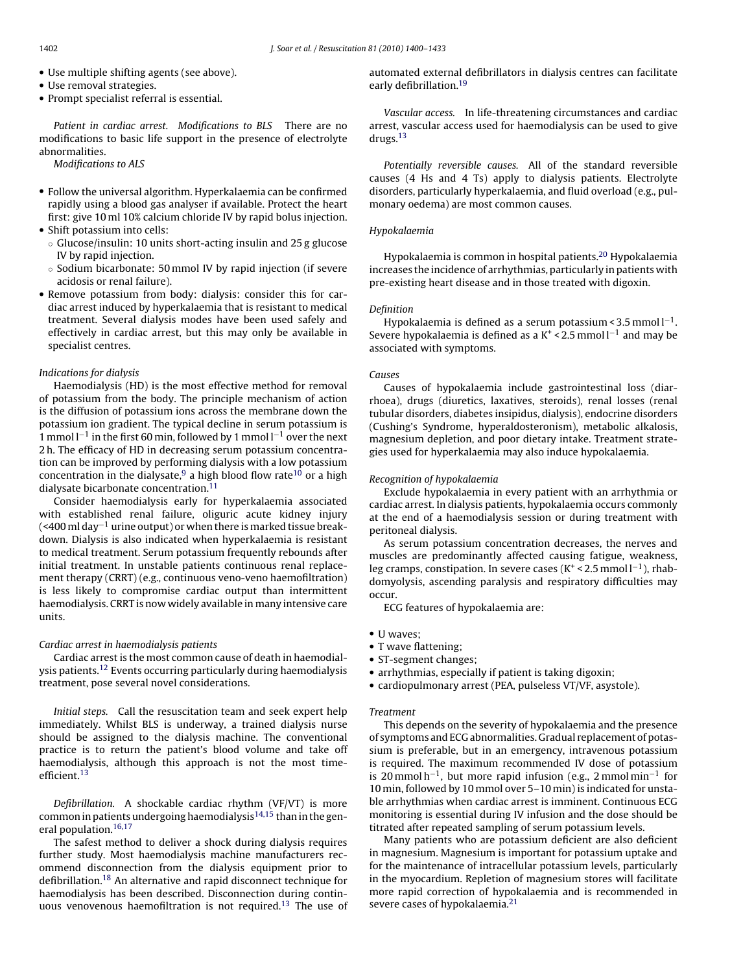- Use multiple shifting agents (see above).
- Use removal strategies.
- Prompt specialist referral is essential.

Patient in cardiac arrest. Modifications to BLS There are no modifications to basic life support in the presence of electrolyte abnormalities.

Modifications to ALS

- Follow the universal algorithm. Hyperkalaemia can be confirmed rapidly using a blood gas analyser if available. Protect the heart first: give 10 ml 10% calcium chloride IV by rapid bolus injection. • Shift potassium into cells:
	- Glucose/insulin: 10 units short-acting insulin and 25 g glucose IV by rapid injection.
	- Sodium bicarbonate: 50 mmol IV by rapid injection (if severe acidosis or renal failure).
- Remove potassium from body: dialysis: consider this for cardiac arrest induced by hyperkalaemia that is resistant to medical treatment. Several dialysis modes have been used safely and effectively in cardiac arrest, but this may only be available in specialist centres.

#### Indications for dialysis

Haemodialysis (HD) is the most effective method for removal of potassium from the body. The principle mechanism of action is the diffusion of potassium ions across the membrane down the potassium ion gradient. The typical decline in serum potassium is 1 mmol l<sup>−1</sup> in the first 60 min, followed by 1 mmol l<sup>−1</sup> over the next 2 h. The efficacy of HD in decreasing serum potassium concentration can be improved by performing dialysis with a low potassium concentration in the dialysate,  $9$  a high blood flow rate<sup>10</sup> or a high dialysate bicarbonate concentration.[11](#page-25-0)

Consider haemodialysis early for hyperkalaemia associated with established renal failure, oliguric acute kidney injury (<400 ml day−<sup>1</sup> urine output) or when there is marked tissue breakdown. Dialysis is also indicated when hyperkalaemia is resistant to medical treatment. Serum potassium frequently rebounds after initial treatment. In unstable patients continuous renal replacement therapy (CRRT) (e.g., continuous veno-veno haemofiltration) is less likely to compromise cardiac output than intermittent haemodialysis. CRRT is now widely available in many intensive care units.

#### Cardiac arrest in haemodialysis patients

Cardiac arrest is the most common cause of death in haemodialysis patients[.12](#page-25-0) Events occurring particularly during haemodialysis treatment, pose several novel considerations.

Initial steps. Call the resuscitation team and seek expert help immediately. Whilst BLS is underway, a trained dialysis nurse should be assigned to the dialysis machine. The conventional practice is to return the patient's blood volume and take off haemodialysis, although this approach is not the most timeefficient[.13](#page-25-0)

Defibrillation. A shockable cardiac rhythm (VF/VT) is more common in patients undergoing haemodialysis $14,15$  than in the general population.<sup>16,17</sup>

The safest method to deliver a shock during dialysis requires further study. Most haemodialysis machine manufacturers recommend disconnection from the dialysis equipment prior to defibrillation.[18](#page-25-0) An alternative and rapid disconnect technique for haemodialysis has been described. Disconnection during continuous venovenous haemofiltration is not required.<sup>13</sup> The use of automated external defibrillators in dialysis centres can facilitate early defibrillation[.19](#page-25-0)

Vascular access. In life-threatening circumstances and cardiac arrest, vascular access used for haemodialysis can be used to give drugs.[13](#page-25-0)

Potentially reversible causes. All of the standard reversible causes (4 Hs and 4 Ts) apply to dialysis patients. Electrolyte disorders, particularly hyperkalaemia, and fluid overload (e.g., pulmonary oedema) are most common causes.

## Hypokalaemia

Hypokalaemia is common in hospital patients.[20](#page-25-0) Hypokalaemia increases the incidence of arrhythmias, particularly in patients with pre-existing heart disease and in those treated with digoxin.

#### Definition

Hypokalaemia is defined as a serum potassium < 3.5 mmol l−1. Severe hypokalaemia is defined as a K<sup>+</sup> < 2.5 mmol l<sup>−1</sup> and may be associated with symptoms.

#### Causes

Causes of hypokalaemia include gastrointestinal loss (diarrhoea), drugs (diuretics, laxatives, steroids), renal losses (renal tubular disorders, diabetes insipidus, dialysis), endocrine disorders (Cushing's Syndrome, hyperaldosteronism), metabolic alkalosis, magnesium depletion, and poor dietary intake. Treatment strategies used for hyperkalaemia may also induce hypokalaemia.

#### Recognition of hypokalaemia

Exclude hypokalaemia in every patient with an arrhythmia or cardiac arrest. In dialysis patients, hypokalaemia occurs commonly at the end of a haemodialysis session or during treatment with peritoneal dialysis.

As serum potassium concentration decreases, the nerves and muscles are predominantly affected causing fatigue, weakness, leg cramps, constipation. In severe cases (K<sup>+</sup> < 2.5 mmol  $l^{-1}$ ), rhabdomyolysis, ascending paralysis and respiratory difficulties may occur.

ECG features of hypokalaemia are:

- U waves;
- T wave flattening;
- ST-segment changes;
- arrhythmias, especially if patient is taking digoxin;
- cardiopulmonary arrest (PEA, pulseless VT/VF, asystole).

#### Treatment

This depends on the severity of hypokalaemia and the presence of symptoms and ECG abnormalities. Gradual replacement of potassium is preferable, but in an emergency, intravenous potassium is required. The maximum recommended IV dose of potassium is 20 mmol h−1, but more rapid infusion (e.g., 2 mmol min−<sup>1</sup> for 10 min, followed by 10 mmol over 5–10 min) is indicated for unstable arrhythmias when cardiac arrest is imminent. Continuous ECG monitoring is essential during IV infusion and the dose should be titrated after repeated sampling of serum potassium levels.

Many patients who are potassium deficient are also deficient in magnesium. Magnesium is important for potassium uptake and for the maintenance of intracellular potassium levels, particularly in the myocardium. Repletion of magnesium stores will facilitate more rapid correction of hypokalaemia and is recommended in severe cases of hypokalaemia.<sup>21</sup>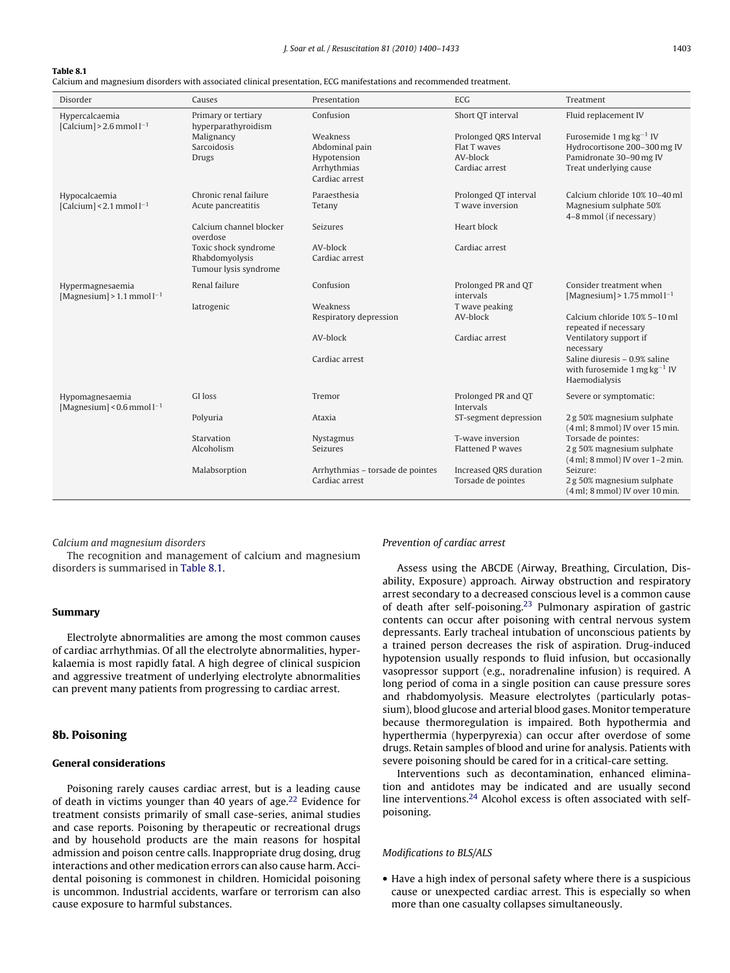J. Soar et al. / Resuscitation 81 (2010) 1400–1433 1403

#### **Table 8.1**

Calcium and magnesium disorders with associated clinical presentation, ECG manifestations and recommended treatment.

| Disorder                                              | Causes                                     | Presentation                     | <b>ECG</b>                              | Treatment                                                     |
|-------------------------------------------------------|--------------------------------------------|----------------------------------|-----------------------------------------|---------------------------------------------------------------|
| Hypercalcaemia<br>$[Calcium] > 2.6$ mmol $l^{-1}$     | Primary or tertiary<br>hyperparathyroidism | Confusion                        | Short QT interval                       | Fluid replacement IV                                          |
|                                                       | Malignancy                                 | Weakness                         | Prolonged QRS Interval                  | Furosemide 1 mg $kg^{-1}$ IV                                  |
|                                                       | Sarcoidosis                                | Abdominal pain                   | Flat T waves                            | Hydrocortisone 200-300 mg IV                                  |
|                                                       | Drugs                                      | Hypotension<br>Arrhythmias       | AV-block<br>Cardiac arrest              | Pamidronate 30-90 mg IV<br>Treat underlying cause             |
|                                                       |                                            | Cardiac arrest                   |                                         |                                                               |
| Hypocalcaemia                                         | Chronic renal failure                      | Paraesthesia                     | Prolonged QT interval                   | Calcium chloride 10% 10-40 ml                                 |
| $[Calcium] < 2.1$ mmol $l^{-1}$                       | Acute pancreatitis                         | Tetany                           | T wave inversion                        | Magnesium sulphate 50%<br>4-8 mmol (if necessary)             |
|                                                       | Calcium channel blocker<br>overdose        | Seizures                         | Heart block                             |                                                               |
|                                                       | Toxic shock syndrome                       | AV-block                         | Cardiac arrest                          |                                                               |
|                                                       | Rhabdomyolysis<br>Tumour lysis syndrome    | Cardiac arrest                   |                                         |                                                               |
| Hypermagnesaemia<br>$[Magnesium] > 1.1$ mmol $l^{-1}$ | Renal failure                              | Confusion                        | Prolonged PR and QT<br>intervals        | Consider treatment when<br>$[Magnesium] > 1.75$ mmol $l^{-1}$ |
|                                                       | Iatrogenic                                 | Weakness                         | T wave peaking                          |                                                               |
|                                                       |                                            | Respiratory depression           | AV-block                                | Calcium chloride 10% 5-10 ml<br>repeated if necessary         |
|                                                       |                                            | AV-block                         | Cardiac arrest                          | Ventilatory support if<br>necessary                           |
|                                                       |                                            | Cardiac arrest                   |                                         | Saline diuresis - 0.9% saline                                 |
|                                                       |                                            |                                  |                                         | with furosemide 1 mg $kg^{-1}$ IV<br>Haemodialysis            |
| Hypomagnesaemia<br>$[Magnesium] < 0.6$ mmol $l^{-1}$  | GI loss                                    | Tremor                           | Prolonged PR and QT<br><b>Intervals</b> | Severe or symptomatic:                                        |
|                                                       | Polyuria                                   | Ataxia                           | ST-segment depression                   | 2 g 50% magnesium sulphate<br>(4 ml; 8 mmol) IV over 15 min.  |
|                                                       | Starvation                                 | Nystagmus                        | T-wave inversion                        | Torsade de pointes:                                           |
|                                                       | Alcoholism                                 | Seizures                         | <b>Flattened P waves</b>                | 2 g 50% magnesium sulphate<br>(4 ml; 8 mmol) IV over 1-2 min. |
|                                                       | Malabsorption                              | Arrhythmias – torsade de pointes | Increased QRS duration                  | Seizure:                                                      |
|                                                       |                                            | Cardiac arrest                   | Torsade de pointes                      | 2 g 50% magnesium sulphate<br>(4 ml; 8 mmol) IV over 10 min.  |

#### Calcium and magnesium disorders

The recognition and management of calcium and magnesium disorders is summarised in Table 8.1.

## **Summary**

Electrolyte abnormalities are among the most common causes of cardiac arrhythmias. Of all the electrolyte abnormalities, hyperkalaemia is most rapidly fatal. A high degree of clinical suspicion and aggressive treatment of underlying electrolyte abnormalities can prevent many patients from progressing to cardiac arrest.

## **8b. Poisoning**

## **General considerations**

Poisoning rarely causes cardiac arrest, but is a leading cause of death in victims younger than 40 years of age[.22](#page-25-0) Evidence for treatment consists primarily of small case-series, animal studies and case reports. Poisoning by therapeutic or recreational drugs and by household products are the main reasons for hospital admission and poison centre calls. Inappropriate drug dosing, drug interactions and other medication errors can also cause harm. Accidental poisoning is commonest in children. Homicidal poisoning is uncommon. Industrial accidents, warfare or terrorism can also cause exposure to harmful substances.

#### Prevention of cardiac arrest

Assess using the ABCDE (Airway, Breathing, Circulation, Disability, Exposure) approach. Airway obstruction and respiratory arrest secondary to a decreased conscious level is a common cause of death after self-poisoning[.23](#page-25-0) Pulmonary aspiration of gastric contents can occur after poisoning with central nervous system depressants. Early tracheal intubation of unconscious patients by a trained person decreases the risk of aspiration. Drug-induced hypotension usually responds to fluid infusion, but occasionally vasopressor support (e.g., noradrenaline infusion) is required. A long period of coma in a single position can cause pressure sores and rhabdomyolysis. Measure electrolytes (particularly potassium), blood glucose and arterial blood gases. Monitor temperature because thermoregulation is impaired. Both hypothermia and hyperthermia (hyperpyrexia) can occur after overdose of some drugs. Retain samples of blood and urine for analysis. Patients with severe poisoning should be cared for in a critical-care setting.

Interventions such as decontamination, enhanced elimination and antidotes may be indicated and are usually second line interventions.[24](#page-25-0) Alcohol excess is often associated with selfpoisoning.

#### Modifications to BLS/ALS

• Have a high index of personal safety where there is a suspicious cause or unexpected cardiac arrest. This is especially so when more than one casualty collapses simultaneously.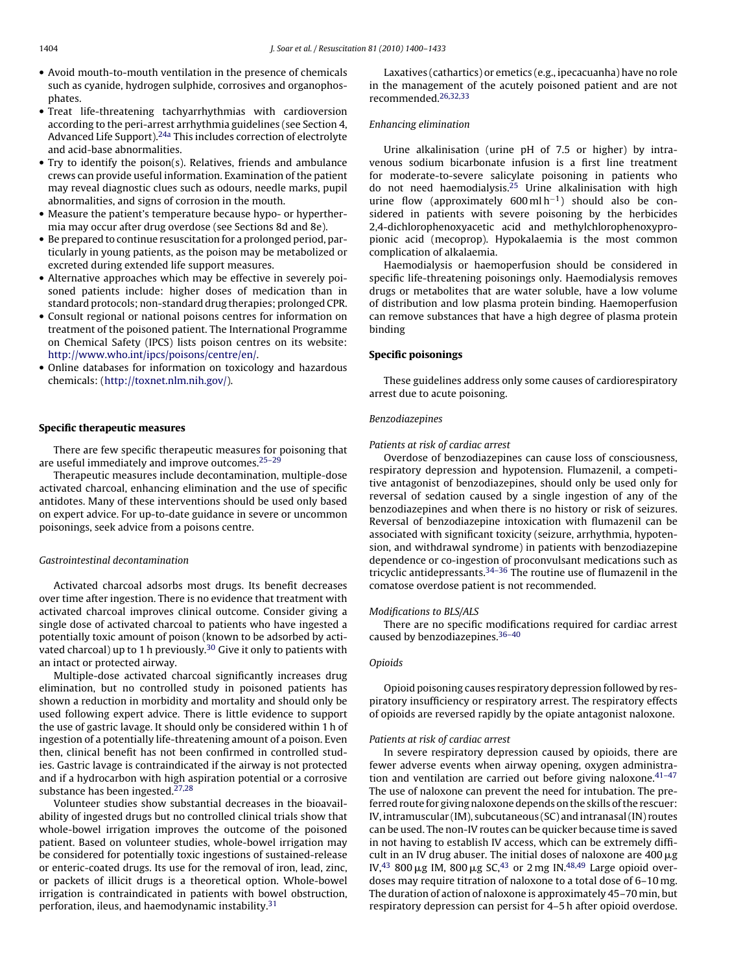- Avoid mouth-to-mouth ventilation in the presence of chemicals such as cyanide, hydrogen sulphide, corrosives and organophosphates.
- Treat life-threatening tachyarrhythmias with cardioversion according to the peri-arrest arrhythmia guidelines (see Section 4, Advanced Life Support)[.24a](#page-25-0) This includes correction of electrolyte and acid-base abnormalities.
- Try to identify the poison(s). Relatives, friends and ambulance crews can provide useful information. Examination of the patient may reveal diagnostic clues such as odours, needle marks, pupil abnormalities, and signs of corrosion in the mouth.
- Measure the patient's temperature because hypo- or hyperthermia may occur after drug overdose (see Sections 8d and 8e).
- Be prepared to continue resuscitation for a prolonged period, particularly in young patients, as the poison may be metabolized or excreted during extended life support measures.
- Alternative approaches which may be effective in severely poisoned patients include: higher doses of medication than in standard protocols; non-standard drug therapies; prolonged CPR.
- Consult regional or national poisons centres for information on treatment of the poisoned patient. The International Programme on Chemical Safety (IPCS) lists poison centres on its website: <http://www.who.int/ipcs/poisons/centre/en/>.
- Online databases for information on toxicology and hazardous chemicals: [\(http://toxnet.nlm.nih.gov/](http://toxnet.nlm.nih.gov/)).

#### **Specific therapeutic measures**

There are few specific therapeutic measures for poisoning that are useful immediately and improve outcomes[.25–29](#page-25-0)

Therapeutic measures include decontamination, multiple-dose activated charcoal, enhancing elimination and the use of specific antidotes. Many of these interventions should be used only based on expert advice. For up-to-date guidance in severe or uncommon poisonings, seek advice from a poisons centre.

#### Gastrointestinal decontamination

Activated charcoal adsorbs most drugs. Its benefit decreases over time after ingestion. There is no evidence that treatment with activated charcoal improves clinical outcome. Consider giving a single dose of activated charcoal to patients who have ingested a potentially toxic amount of poison (known to be adsorbed by acti-vated charcoal) up to 1 h previously.<sup>[30](#page-25-0)</sup> Give it only to patients with an intact or protected airway.

Multiple-dose activated charcoal significantly increases drug elimination, but no controlled study in poisoned patients has shown a reduction in morbidity and mortality and should only be used following expert advice. There is little evidence to support the use of gastric lavage. It should only be considered within 1 h of ingestion of a potentially life-threatening amount of a poison. Even then, clinical benefit has not been confirmed in controlled studies. Gastric lavage is contraindicated if the airway is not protected and if a hydrocarbon with high aspiration potential or a corrosive substance has been ingested. $27,28$ 

Volunteer studies show substantial decreases in the bioavailability of ingested drugs but no controlled clinical trials show that whole-bowel irrigation improves the outcome of the poisoned patient. Based on volunteer studies, whole-bowel irrigation may be considered for potentially toxic ingestions of sustained-release or enteric-coated drugs. Its use for the removal of iron, lead, zinc, or packets of illicit drugs is a theoretical option. Whole-bowel irrigation is contraindicated in patients with bowel obstruction, perforation, ileus, and haemodynamic instability.[31](#page-25-0)

Laxatives (cathartics) or emetics (e.g., ipecacuanha) have no role in the management of the acutely poisoned patient and are not recommended.[26,32,33](#page-25-0)

## Enhancing elimination

Urine alkalinisation (urine pH of 7.5 or higher) by intravenous sodium bicarbonate infusion is a first line treatment for moderate-to-severe salicylate poisoning in patients who do not need haemodialysis.<sup>[25](#page-25-0)</sup> Urine alkalinisation with high urine flow (approximately 600 ml h−1) should also be considered in patients with severe poisoning by the herbicides 2,4-dichlorophenoxyacetic acid and methylchlorophenoxypropionic acid (mecoprop). Hypokalaemia is the most common complication of alkalaemia.

Haemodialysis or haemoperfusion should be considered in specific life-threatening poisonings only. Haemodialysis removes drugs or metabolites that are water soluble, have a low volume of distribution and low plasma protein binding. Haemoperfusion can remove substances that have a high degree of plasma protein binding

#### **Specific poisonings**

These guidelines address only some causes of cardiorespiratory arrest due to acute poisoning.

## Benzodiazepines

#### Patients at risk of cardiac arrest

Overdose of benzodiazepines can cause loss of consciousness, respiratory depression and hypotension. Flumazenil, a competitive antagonist of benzodiazepines, should only be used only for reversal of sedation caused by a single ingestion of any of the benzodiazepines and when there is no history or risk of seizures. Reversal of benzodiazepine intoxication with flumazenil can be associated with significant toxicity (seizure, arrhythmia, hypotension, and withdrawal syndrome) in patients with benzodiazepine dependence or co-ingestion of proconvulsant medications such as tricyclic antidepressants. $34-36$  The routine use of flumazenil in the comatose overdose patient is not recommended.

#### Modifications to BLS/ALS

There are no specific modifications required for cardiac arrest caused by benzodiazepines.[36–40](#page-25-0)

#### Opioids

Opioid poisoning causes respiratory depression followed by respiratory insufficiency or respiratory arrest. The respiratory effects of opioids are reversed rapidly by the opiate antagonist naloxone.

#### Patients at risk of cardiac arrest

In severe respiratory depression caused by opioids, there are fewer adverse events when airway opening, oxygen administration and ventilation are carried out before giving naloxone.<sup>41-47</sup> The use of naloxone can prevent the need for intubation. The preferred route for giving naloxone depends on the skills of the rescuer: IV, intramuscular (IM), subcutaneous (SC) and intranasal (IN) routes can be used. The non-IV routes can be quicker because time is saved in not having to establish IV access, which can be extremely difficult in an IV drug abuser. The initial doses of naloxone are  $400\,\rm \mu g$ IV,<sup>43</sup> 800  $\mu$ g IM, 800  $\mu$ g SC,<sup>43</sup> or 2 mg IN.<sup>48,49</sup> Large opioid overdoses may require titration of naloxone to a total dose of 6–10 mg. The duration of action of naloxone is approximately 45–70 min, but respiratory depression can persist for 4–5 h after opioid overdose.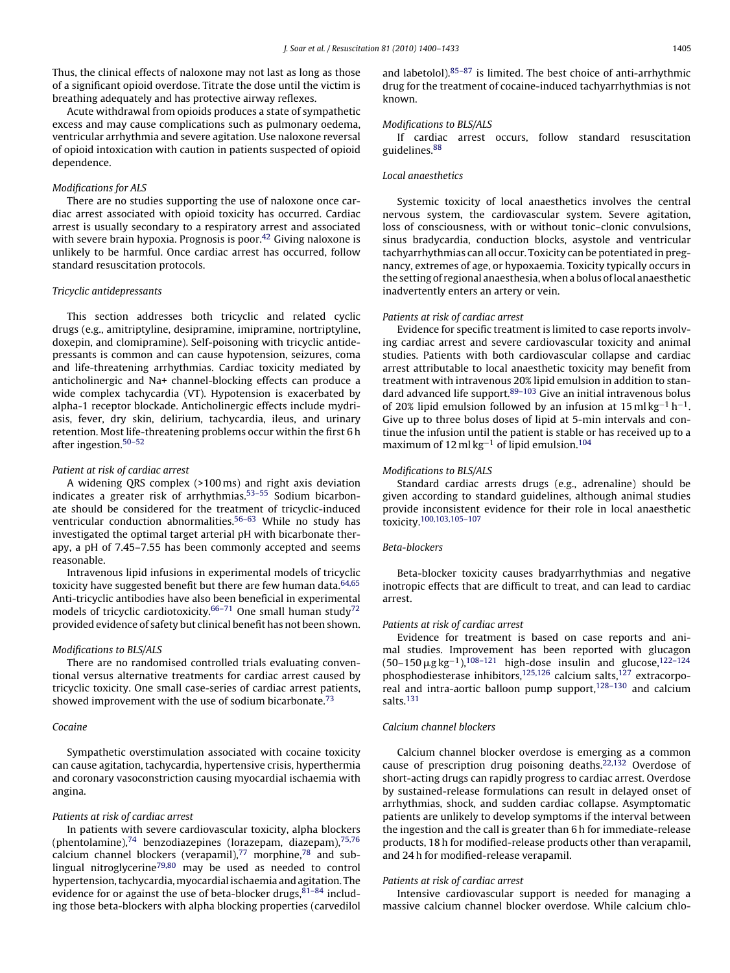Thus, the clinical effects of naloxone may not last as long as those of a significant opioid overdose. Titrate the dose until the victim is breathing adequately and has protective airway reflexes.

Acute withdrawal from opioids produces a state of sympathetic excess and may cause complications such as pulmonary oedema, ventricular arrhythmia and severe agitation. Use naloxone reversal of opioid intoxication with caution in patients suspected of opioid dependence.

#### Modifications for ALS

There are no studies supporting the use of naloxone once cardiac arrest associated with opioid toxicity has occurred. Cardiac arrest is usually secondary to a respiratory arrest and associated with severe brain hypoxia. Prognosis is poor.<sup>[42](#page-25-0)</sup> Giving naloxone is unlikely to be harmful. Once cardiac arrest has occurred, follow standard resuscitation protocols.

## Tricyclic antidepressants

This section addresses both tricyclic and related cyclic drugs (e.g., amitriptyline, desipramine, imipramine, nortriptyline, doxepin, and clomipramine). Self-poisoning with tricyclic antidepressants is common and can cause hypotension, seizures, coma and life-threatening arrhythmias. Cardiac toxicity mediated by anticholinergic and Na+ channel-blocking effects can produce a wide complex tachycardia (VT). Hypotension is exacerbated by alpha-1 receptor blockade. Anticholinergic effects include mydriasis, fever, dry skin, delirium, tachycardia, ileus, and urinary retention. Most life-threatening problems occur within the first 6 h after ingestion[.50–52](#page-26-0)

### Patient at risk of cardiac arrest

A widening QRS complex (>100 ms) and right axis deviation indicates a greater risk of arrhythmias.<sup>53–55</sup> Sodium bicarbonate should be considered for the treatment of tricyclic-induced ventricular conduction abnormalities[.56–63](#page-26-0) While no study has investigated the optimal target arterial pH with bicarbonate therapy, a pH of 7.45–7.55 has been commonly accepted and seems reasonable.

Intravenous lipid infusions in experimental models of tricyclic toxicity have suggested benefit but there are few human data. [64,65](#page-26-0) Anti-tricyclic antibodies have also been beneficial in experimental models of tricyclic cardiotoxicity.<sup>66-71</sup> One small human study<sup>[72](#page-26-0)</sup> provided evidence of safety but clinical benefit has not been shown.

#### Modifications to BLS/ALS

There are no randomised controlled trials evaluating conventional versus alternative treatments for cardiac arrest caused by tricyclic toxicity. One small case-series of cardiac arrest patients, showed improvement with the use of sodium bicarbonate.<sup>[73](#page-26-0)</sup>

## Cocaine

Sympathetic overstimulation associated with cocaine toxicity can cause agitation, tachycardia, hypertensive crisis, hyperthermia and coronary vasoconstriction causing myocardial ischaemia with angina.

## Patients at risk of cardiac arrest

In patients with severe cardiovascular toxicity, alpha blockers (phentolamine), $^{74}$  benzodiazepines (lorazepam, diazepam), $^{75,76}$  $^{75,76}$  $^{75,76}$ calcium channel blockers (verapamil), $77$  morphine, $78$  and sublingual nitroglycerine[79,80](#page-26-0) may be used as needed to control hypertension, tachycardia,myocardial ischaemia and agitation. The evidence for or against the use of beta-blocker drugs,  $81-84$  including those beta-blockers with alpha blocking properties (carvedilol

and labetolol). $85-87$  is limited. The best choice of anti-arrhythmic drug for the treatment of cocaine-induced tachyarrhythmias is not known.

#### Modifications to BLS/ALS

If cardiac arrest occurs, follow standard resuscitation guidelines[.88](#page-26-0)

## Local anaesthetics

Systemic toxicity of local anaesthetics involves the central nervous system, the cardiovascular system. Severe agitation, loss of consciousness, with or without tonic–clonic convulsions, sinus bradycardia, conduction blocks, asystole and ventricular tachyarrhythmias can all occur. Toxicity can be potentiated in pregnancy, extremes of age, or hypoxaemia. Toxicity typically occurs in the setting of regional anaesthesia, when a bolus of local anaesthetic inadvertently enters an artery or vein.

#### Patients at risk of cardiac arrest

Evidence for specific treatment is limited to case reports involving cardiac arrest and severe cardiovascular toxicity and animal studies. Patients with both cardiovascular collapse and cardiac arrest attributable to local anaesthetic toxicity may benefit from treatment with intravenous 20% lipid emulsion in addition to standard advanced life support.<sup>89-103</sup> Give an initial intravenous bolus of 20% lipid emulsion followed by an infusion at 15 ml kg−<sup>1</sup> h−1. Give up to three bolus doses of lipid at 5-min intervals and continue the infusion until the patient is stable or has received up to a maximum of 12 ml kg<sup>-1</sup> of lipid emulsion.<sup>[104](#page-27-0)</sup>

#### Modifications to BLS/ALS

Standard cardiac arrests drugs (e.g., adrenaline) should be given according to standard guidelines, although animal studies provide inconsistent evidence for their role in local anaesthetic toxicity[.100,103,105–107](#page-26-0)

## Beta-blockers

Beta-blocker toxicity causes bradyarrhythmias and negative inotropic effects that are difficult to treat, and can lead to cardiac arrest.

## Patients at risk of cardiac arrest

Evidence for treatment is based on case reports and animal studies. Improvement has been reported with glucagon  $(50-150 \,\mu g \,\text{kg}^{-1})$ ,<sup>108-121</sup> high-dose insulin and glucose,<sup>122-124</sup> phosphodiesterase inhibitors[,125,126](#page-27-0) calcium salts,[127](#page-27-0) extracorporeal and intra-aortic balloon pump support, $128-130$  and calcium salts.<sup>131</sup>

## Calcium channel blockers

Calcium channel blocker overdose is emerging as a common cause of prescription drug poisoning deaths.[22,132](#page-25-0) Overdose of short-acting drugs can rapidly progress to cardiac arrest. Overdose by sustained-release formulations can result in delayed onset of arrhythmias, shock, and sudden cardiac collapse. Asymptomatic patients are unlikely to develop symptoms if the interval between the ingestion and the call is greater than 6 h for immediate-release products, 18 h for modified-release products other than verapamil, and 24 h for modified-release verapamil.

## Patients at risk of cardiac arrest

Intensive cardiovascular support is needed for managing a massive calcium channel blocker overdose. While calcium chlo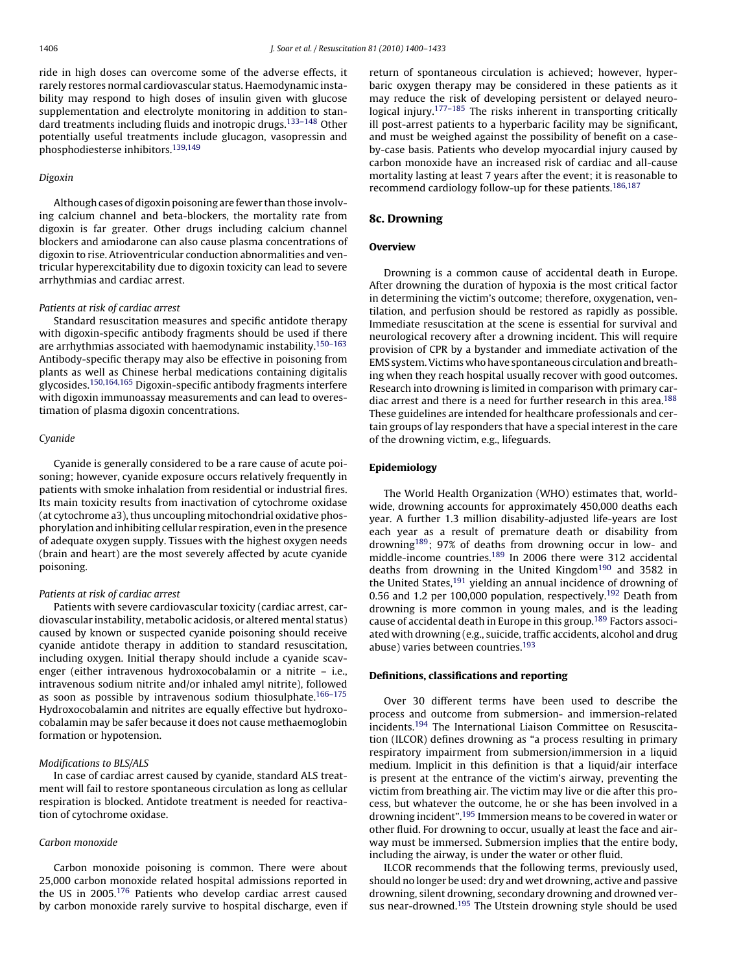ride in high doses can overcome some of the adverse effects, it rarely restores normal cardiovascular status. Haemodynamic instability may respond to high doses of insulin given with glucose supplementation and electrolyte monitoring in addition to standard treatments including fluids and inotropic drugs.<sup>133-148</sup> Other potentially useful treatments include glucagon, vasopressin and phosphodiesterse inhibitors.[139,149](#page-27-0)

## Digoxin

Although cases of digoxin poisoning are fewer than those involving calcium channel and beta-blockers, the mortality rate from digoxin is far greater. Other drugs including calcium channel blockers and amiodarone can also cause plasma concentrations of digoxin to rise. Atrioventricular conduction abnormalities and ventricular hyperexcitability due to digoxin toxicity can lead to severe arrhythmias and cardiac arrest.

## Patients at risk of cardiac arrest

Standard resuscitation measures and specific antidote therapy with digoxin-specific antibody fragments should be used if there are arrhythmias associated with haemodynamic instability.[150–163](#page-27-0) Antibody-specific therapy may also be effective in poisoning from plants as well as Chinese herbal medications containing digitalis glycosides[.150,164,165](#page-27-0) Digoxin-specific antibody fragments interfere with digoxin immunoassay measurements and can lead to overestimation of plasma digoxin concentrations.

## Cyanide

Cyanide is generally considered to be a rare cause of acute poisoning; however, cyanide exposure occurs relatively frequently in patients with smoke inhalation from residential or industrial fires. Its main toxicity results from inactivation of cytochrome oxidase (at cytochrome a3), thus uncoupling mitochondrial oxidative phosphorylation and inhibiting cellular respiration, even in the presence of adequate oxygen supply. Tissues with the highest oxygen needs (brain and heart) are the most severely affected by acute cyanide poisoning.

#### Patients at risk of cardiac arrest

Patients with severe cardiovascular toxicity (cardiac arrest, cardiovascular instability, metabolic acidosis, or altered mental status) caused by known or suspected cyanide poisoning should receive cyanide antidote therapy in addition to standard resuscitation, including oxygen. Initial therapy should include a cyanide scavenger (either intravenous hydroxocobalamin or a nitrite – i.e., intravenous sodium nitrite and/or inhaled amyl nitrite), followed as soon as possible by intravenous sodium thiosulphate.<sup>166-175</sup> Hydroxocobalamin and nitrites are equally effective but hydroxocobalamin may be safer because it does not cause methaemoglobin formation or hypotension.

#### Modifications to BLS/ALS

In case of cardiac arrest caused by cyanide, standard ALS treatment will fail to restore spontaneous circulation as long as cellular respiration is blocked. Antidote treatment is needed for reactivation of cytochrome oxidase.

## Carbon monoxide

Carbon monoxide poisoning is common. There were about 25,000 carbon monoxide related hospital admissions reported in the US in 2005.<sup>176</sup> Patients who develop cardiac arrest caused by carbon monoxide rarely survive to hospital discharge, even if return of spontaneous circulation is achieved; however, hyperbaric oxygen therapy may be considered in these patients as it may reduce the risk of developing persistent or delayed neurological injury.<sup>177-185</sup> The risks inherent in transporting critically ill post-arrest patients to a hyperbaric facility may be significant, and must be weighed against the possibility of benefit on a caseby-case basis. Patients who develop myocardial injury caused by carbon monoxide have an increased risk of cardiac and all-cause mortality lasting at least 7 years after the event; it is reasonable to recommend cardiology follow-up for these patients.<sup>[186,187](#page-28-0)</sup>

# **8c. Drowning**

# **Overview**

Drowning is a common cause of accidental death in Europe. After drowning the duration of hypoxia is the most critical factor in determining the victim's outcome; therefore, oxygenation, ventilation, and perfusion should be restored as rapidly as possible. Immediate resuscitation at the scene is essential for survival and neurological recovery after a drowning incident. This will require provision of CPR by a bystander and immediate activation of the EMS system. Victims who have spontaneous circulation and breathing when they reach hospital usually recover with good outcomes. Research into drowning is limited in comparison with primary car-diac arrest and there is a need for further research in this area.<sup>[188](#page-28-0)</sup> These guidelines are intended for healthcare professionals and certain groups of lay responders that have a special interest in the care of the drowning victim, e.g., lifeguards.

# **Epidemiology**

The World Health Organization (WHO) estimates that, worldwide, drowning accounts for approximately 450,000 deaths each year. A further 1.3 million disability-adjusted life-years are lost each year as a result of premature death or disability from drowning[189;](#page-28-0) 97% of deaths from drowning occur in low- and middle-income countries[.189](#page-28-0) In 2006 there were 312 accidental deaths from drowning in the United Kingdo[m190](#page-28-0) and 3582 in the United States,<sup>191</sup> yielding an annual incidence of drowning of 0.56 and 1.2 per 100,000 population, respectively.<sup>[192](#page-28-0)</sup> Death from drowning is more common in young males, and is the leading cause of accidental death in Europe in this group.<sup>[189](#page-28-0)</sup> Factors associated with drowning (e.g., suicide, traffic accidents, alcohol and drug abuse) varies between countries.<sup>193</sup>

#### **Definitions, classifications and reporting**

Over 30 different terms have been used to describe the process and outcome from submersion- and immersion-related incidents[.194](#page-28-0) The International Liaison Committee on Resuscitation (ILCOR) defines drowning as "a process resulting in primary respiratory impairment from submersion/immersion in a liquid medium. Implicit in this definition is that a liquid/air interface is present at the entrance of the victim's airway, preventing the victim from breathing air. The victim may live or die after this process, but whatever the outcome, he or she has been involved in a drowning incident"[.195](#page-28-0) Immersion means to be covered in water or other fluid. For drowning to occur, usually at least the face and airway must be immersed. Submersion implies that the entire body, including the airway, is under the water or other fluid.

ILCOR recommends that the following terms, previously used, should no longer be used: dry and wet drowning, active and passive drowning, silent drowning, secondary drowning and drowned versus near-drowned.<sup>195</sup> The Utstein drowning style should be used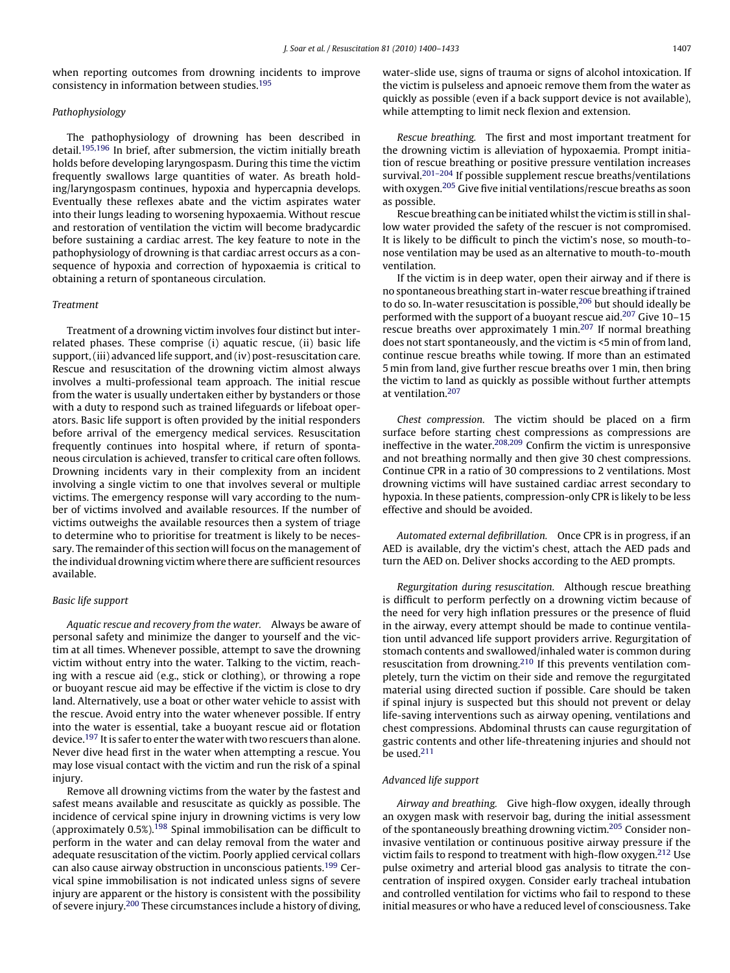when reporting outcomes from drowning incidents to improve consistency in information between studies[.195](#page-28-0)

#### Pathophysiology

The pathophysiology of drowning has been described in detail[.195,196](#page-28-0) In brief, after submersion, the victim initially breath holds before developing laryngospasm. During this time the victim frequently swallows large quantities of water. As breath holding/laryngospasm continues, hypoxia and hypercapnia develops. Eventually these reflexes abate and the victim aspirates water into their lungs leading to worsening hypoxaemia. Without rescue and restoration of ventilation the victim will become bradycardic before sustaining a cardiac arrest. The key feature to note in the pathophysiology of drowning is that cardiac arrest occurs as a consequence of hypoxia and correction of hypoxaemia is critical to obtaining a return of spontaneous circulation.

#### Treatment

Treatment of a drowning victim involves four distinct but interrelated phases. These comprise (i) aquatic rescue, (ii) basic life support, (iii) advanced life support, and (iv) post-resuscitation care. Rescue and resuscitation of the drowning victim almost always involves a multi-professional team approach. The initial rescue from the water is usually undertaken either by bystanders or those with a duty to respond such as trained lifeguards or lifeboat operators. Basic life support is often provided by the initial responders before arrival of the emergency medical services. Resuscitation frequently continues into hospital where, if return of spontaneous circulation is achieved, transfer to critical care often follows. Drowning incidents vary in their complexity from an incident involving a single victim to one that involves several or multiple victims. The emergency response will vary according to the number of victims involved and available resources. If the number of victims outweighs the available resources then a system of triage to determine who to prioritise for treatment is likely to be necessary. The remainder of this section will focus on the management of the individual drowning victim where there are sufficient resources available.

## Basic life support

Aquatic rescue and recovery from the water. Always be aware of personal safety and minimize the danger to yourself and the victim at all times. Whenever possible, attempt to save the drowning victim without entry into the water. Talking to the victim, reaching with a rescue aid (e.g., stick or clothing), or throwing a rope or buoyant rescue aid may be effective if the victim is close to dry land. Alternatively, use a boat or other water vehicle to assist with the rescue. Avoid entry into the water whenever possible. If entry into the water is essential, take a buoyant rescue aid or flotation device[.197](#page-28-0) It is safer to enter the water with two rescuers than alone. Never dive head first in the water when attempting a rescue. You may lose visual contact with the victim and run the risk of a spinal injury.

Remove all drowning victims from the water by the fastest and safest means available and resuscitate as quickly as possible. The incidence of cervical spine injury in drowning victims is very low (approximately  $0.5\%$ ).<sup>[198](#page-28-0)</sup> Spinal immobilisation can be difficult to perform in the water and can delay removal from the water and adequate resuscitation of the victim. Poorly applied cervical collars can also cause airway obstruction in unconscious patients.[199](#page-28-0) Cervical spine immobilisation is not indicated unless signs of severe injury are apparent or the history is consistent with the possibility of severe injury.[200](#page-28-0) These circumstances include a history of diving,

water-slide use, signs of trauma or signs of alcohol intoxication. If the victim is pulseless and apnoeic remove them from the water as quickly as possible (even if a back support device is not available), while attempting to limit neck flexion and extension.

Rescue breathing. The first and most important treatment for the drowning victim is alleviation of hypoxaemia. Prompt initiation of rescue breathing or positive pressure ventilation increases survival[.201–204](#page-28-0) If possible supplement rescue breaths/ventilations with oxygen[.205](#page-28-0) Give five initial ventilations/rescue breaths as soon as possible.

Rescue breathing can be initiated whilst the victim is still in shallow water provided the safety of the rescuer is not compromised. It is likely to be difficult to pinch the victim's nose, so mouth-tonose ventilation may be used as an alternative to mouth-to-mouth ventilation.

If the victim is in deep water, open their airway and if there is no spontaneous breathing start in-water rescue breathing if trained to do so. In-water resuscitation is possible[,206](#page-28-0) but should ideally be performed with the support of a buoyant rescue aid.[207](#page-28-0) Give 10–15 rescue breaths over approximately 1 min.[207](#page-28-0) If normal breathing does not start spontaneously, and the victim is <5 min of from land, continue rescue breaths while towing. If more than an estimated 5 min from land, give further rescue breaths over 1 min, then bring the victim to land as quickly as possible without further attempts at ventilation[.207](#page-28-0)

Chest compression. The victim should be placed on a firm surface before starting chest compressions as compressions are ineffective in the water.<sup>[208,209](#page-28-0)</sup> Confirm the victim is unresponsive and not breathing normally and then give 30 chest compressions. Continue CPR in a ratio of 30 compressions to 2 ventilations. Most drowning victims will have sustained cardiac arrest secondary to hypoxia. In these patients, compression-only CPR is likely to be less effective and should be avoided.

Automated external defibrillation. Once CPR is in progress, if an AED is available, dry the victim's chest, attach the AED pads and turn the AED on. Deliver shocks according to the AED prompts.

Regurgitation during resuscitation. Although rescue breathing is difficult to perform perfectly on a drowning victim because of the need for very high inflation pressures or the presence of fluid in the airway, every attempt should be made to continue ventilation until advanced life support providers arrive. Regurgitation of stomach contents and swallowed/inhaled water is common during resuscitation from drowning.[210](#page-28-0) If this prevents ventilation completely, turn the victim on their side and remove the regurgitated material using directed suction if possible. Care should be taken if spinal injury is suspected but this should not prevent or delay life-saving interventions such as airway opening, ventilations and chest compressions. Abdominal thrusts can cause regurgitation of gastric contents and other life-threatening injuries and should not be used[.211](#page-28-0)

## Advanced life support

Airway and breathing. Give high-flow oxygen, ideally through an oxygen mask with reservoir bag, during the initial assessment of the spontaneously breathing drowning victim[.205](#page-28-0) Consider noninvasive ventilation or continuous positive airway pressure if the victim fails to respond to treatment with high-flow oxygen.[212](#page-28-0) Use pulse oximetry and arterial blood gas analysis to titrate the concentration of inspired oxygen. Consider early tracheal intubation and controlled ventilation for victims who fail to respond to these initial measures or who have a reduced level of consciousness. Take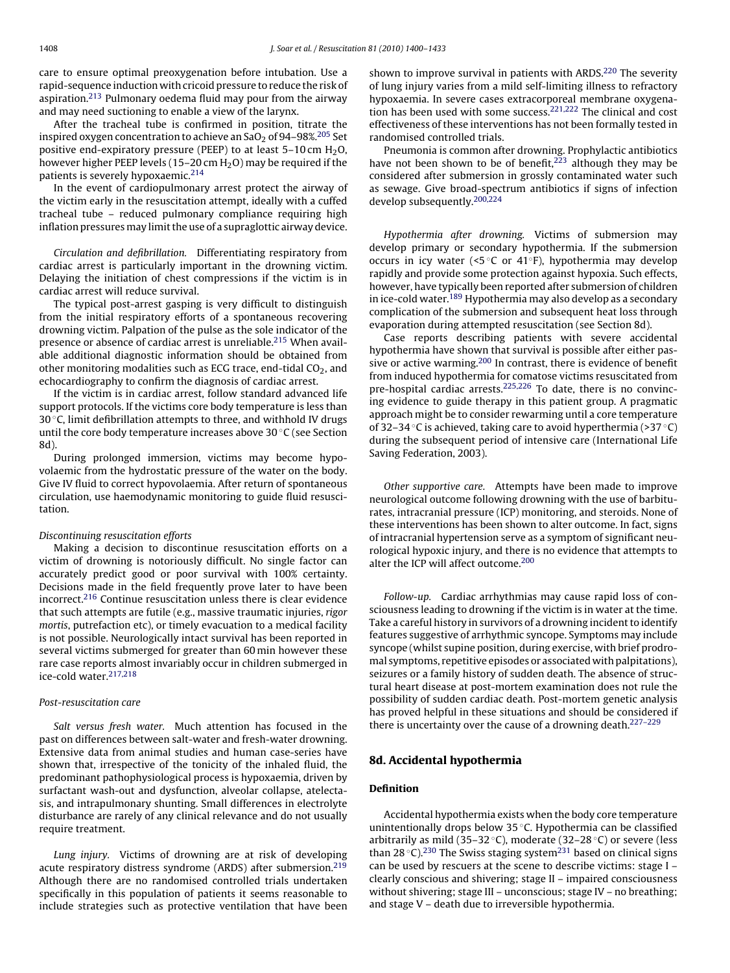care to ensure optimal preoxygenation before intubation. Use a rapid-sequence induction with cricoid pressure to reduce the risk of aspiration[.213](#page-28-0) Pulmonary oedema fluid may pour from the airway and may need suctioning to enable a view of the larynx.

After the tracheal tube is confirmed in position, titrate the inspired oxygen concentration to achieve an  $SaO<sub>2</sub>$  of 94–98%.<sup>[205](#page-28-0)</sup> Set positive end-expiratory pressure (PEEP) to at least  $5-10$  cm  $H_2O$ , however higher PEEP levels (15–20 cm  $H_2O$ ) may be required if the patients is severely hypoxaemic.[214](#page-28-0)

In the event of cardiopulmonary arrest protect the airway of the victim early in the resuscitation attempt, ideally with a cuffed tracheal tube – reduced pulmonary compliance requiring high inflation pressures may limit the use of a supraglottic airway device.

Circulation and defibrillation. Differentiating respiratory from cardiac arrest is particularly important in the drowning victim. Delaying the initiation of chest compressions if the victim is in cardiac arrest will reduce survival.

The typical post-arrest gasping is very difficult to distinguish from the initial respiratory efforts of a spontaneous recovering drowning victim. Palpation of the pulse as the sole indicator of the presence or absence of cardiac arrest is unreliable[.215](#page-28-0) When available additional diagnostic information should be obtained from other monitoring modalities such as ECG trace, end-tidal  $CO<sub>2</sub>$ , and echocardiography to confirm the diagnosis of cardiac arrest.

If the victim is in cardiac arrest, follow standard advanced life support protocols. If the victims core body temperature is less than 30 °C, limit defibrillation attempts to three, and withhold IV drugs until the core body temperature increases above 30 ◦C (see Section 8d).

During prolonged immersion, victims may become hypovolaemic from the hydrostatic pressure of the water on the body. Give IV fluid to correct hypovolaemia. After return of spontaneous circulation, use haemodynamic monitoring to guide fluid resuscitation.

#### Discontinuing resuscitation efforts

Making a decision to discontinue resuscitation efforts on a victim of drowning is notoriously difficult. No single factor can accurately predict good or poor survival with 100% certainty. Decisions made in the field frequently prove later to have been incorrect[.216](#page-28-0) Continue resuscitation unless there is clear evidence that such attempts are futile (e.g., massive traumatic injuries, rigor mortis, putrefaction etc), or timely evacuation to a medical facility is not possible. Neurologically intact survival has been reported in several victims submerged for greater than 60 min however these rare case reports almost invariably occur in children submerged in ice-cold water[.217,218](#page-28-0)

#### Post-resuscitation care

Salt versus fresh water. Much attention has focused in the past on differences between salt-water and fresh-water drowning. Extensive data from animal studies and human case-series have shown that, irrespective of the tonicity of the inhaled fluid, the predominant pathophysiological process is hypoxaemia, driven by surfactant wash-out and dysfunction, alveolar collapse, atelectasis, and intrapulmonary shunting. Small differences in electrolyte disturbance are rarely of any clinical relevance and do not usually require treatment.

Lung injury. Victims of drowning are at risk of developing acute respiratory distress syndrome (ARDS) after submersion[.219](#page-28-0) Although there are no randomised controlled trials undertaken specifically in this population of patients it seems reasonable to include strategies such as protective ventilation that have been shown to improve survival in patients with ARDS.<sup>[220](#page-28-0)</sup> The severity of lung injury varies from a mild self-limiting illness to refractory hypoxaemia. In severe cases extracorporeal membrane oxygenation has been used with some success.[221,222](#page-28-0) The clinical and cost effectiveness of these interventions has not been formally tested in randomised controlled trials.

Pneumonia is common after drowning. Prophylactic antibiotics have not been shown to be of benefit, $223$  although they may be considered after submersion in grossly contaminated water such as sewage. Give broad-spectrum antibiotics if signs of infection develop subsequently.[200,224](#page-28-0)

Hypothermia after drowning. Victims of submersion may develop primary or secondary hypothermia. If the submersion occurs in icy water (<5 $\degree$ C or 41 $\degree$ F), hypothermia may develop rapidly and provide some protection against hypoxia. Such effects, however, have typically been reported after submersion of children in ice-cold water.<sup>[189](#page-28-0)</sup> Hypothermia may also develop as a secondary complication of the submersion and subsequent heat loss through evaporation during attempted resuscitation (see Section 8d).

Case reports describing patients with severe accidental hypothermia have shown that survival is possible after either passive or active warming.<sup>200</sup> In contrast, there is evidence of benefit from induced hypothermia for comatose victims resuscitated from pre-hospital cardiac arrests.[225,226](#page-28-0) To date, there is no convincing evidence to guide therapy in this patient group. A pragmatic approach might be to consider rewarming until a core temperature of 32–34 ◦C is achieved, taking care to avoid hyperthermia (>37 ◦C) during the subsequent period of intensive care (International Life Saving Federation, 2003).

Other supportive care. Attempts have been made to improve neurological outcome following drowning with the use of barbiturates, intracranial pressure (ICP) monitoring, and steroids. None of these interventions has been shown to alter outcome. In fact, signs of intracranial hypertension serve as a symptom of significant neurological hypoxic injury, and there is no evidence that attempts to alter the ICP will affect outcome.<sup>200</sup>

Follow-up. Cardiac arrhythmias may cause rapid loss of consciousness leading to drowning if the victim is in water at the time. Take a careful history in survivors of a drowning incident to identify features suggestive of arrhythmic syncope. Symptoms may include syncope (whilst supine position, during exercise, with brief prodromal symptoms, repetitive episodes or associated with palpitations), seizures or a family history of sudden death. The absence of structural heart disease at post-mortem examination does not rule the possibility of sudden cardiac death. Post-mortem genetic analysis has proved helpful in these situations and should be considered if there is uncertainty over the cause of a drowning death.<sup>227-229</sup>

#### **8d. Accidental hypothermia**

## **Definition**

Accidental hypothermia exists when the body core temperature unintentionally drops below 35 ◦C. Hypothermia can be classified arbitrarily as mild (35–32 °C), moderate (32–28 °C) or severe (less than 28 $°C$ ).<sup>230</sup> The Swiss staging system<sup>[231](#page-28-0)</sup> based on clinical signs can be used by rescuers at the scene to describe victims: stage I – clearly conscious and shivering; stage II – impaired consciousness without shivering; stage III – unconscious; stage IV – no breathing; and stage V – death due to irreversible hypothermia.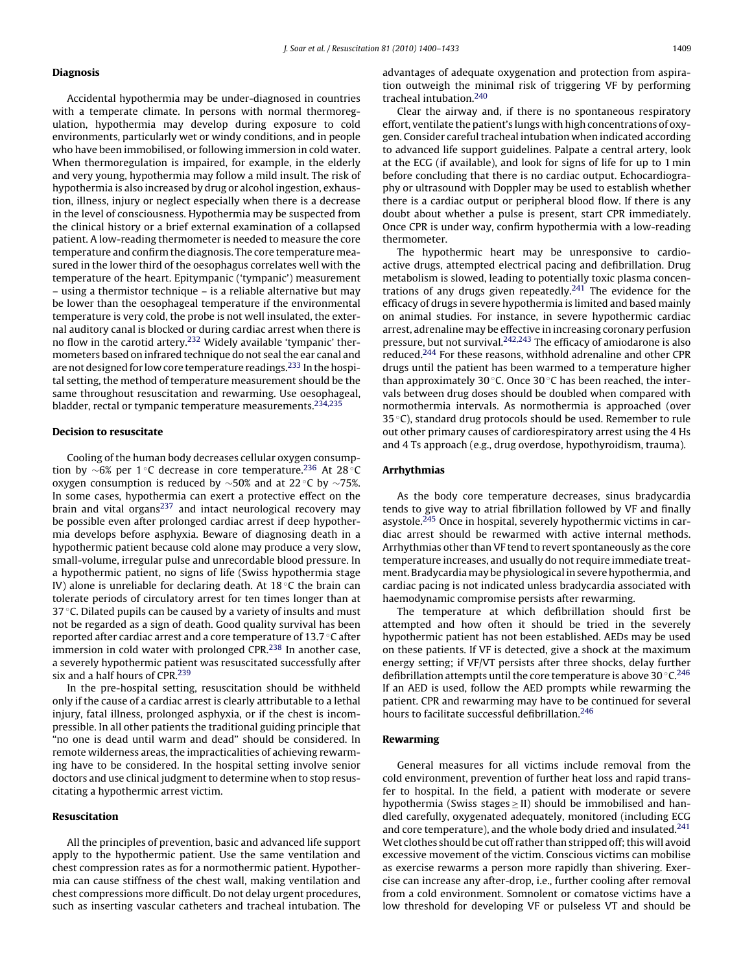#### **Diagnosis**

Accidental hypothermia may be under-diagnosed in countries with a temperate climate. In persons with normal thermoregulation, hypothermia may develop during exposure to cold environments, particularly wet or windy conditions, and in people who have been immobilised, or following immersion in cold water. When thermoregulation is impaired, for example, in the elderly and very young, hypothermia may follow a mild insult. The risk of hypothermia is also increased by drug or alcohol ingestion, exhaustion, illness, injury or neglect especially when there is a decrease in the level of consciousness. Hypothermia may be suspected from the clinical history or a brief external examination of a collapsed patient. A low-reading thermometer is needed to measure the core temperature and confirm the diagnosis. The core temperature measured in the lower third of the oesophagus correlates well with the temperature of the heart. Epitympanic ('tympanic') measurement – using a thermistor technique – is a reliable alternative but may be lower than the oesophageal temperature if the environmental temperature is very cold, the probe is not well insulated, the external auditory canal is blocked or during cardiac arrest when there is no flow in the carotid artery.[232](#page-29-0) Widely available 'tympanic' thermometers based on infrared technique do not seal the ear canal and are not designed for low core temperature readings.<sup>[233](#page-29-0)</sup> In the hospital setting, the method of temperature measurement should be the same throughout resuscitation and rewarming. Use oesophageal, bladder, rectal or tympanic temperature measurements[.234,235](#page-29-0)

## **Decision to resuscitate**

Cooling of the human body decreases cellular oxygen consumption by <sup>∼</sup>6% per 1 ◦C decrease in core temperature.[236](#page-29-0) At 28 ◦<sup>C</sup> oxygen consumption is reduced by ∼50% and at 22 ◦C by ∼75%. In some cases, hypothermia can exert a protective effect on the brain and vital organs $^{237}$  $^{237}$  $^{237}$  and intact neurological recovery may be possible even after prolonged cardiac arrest if deep hypothermia develops before asphyxia. Beware of diagnosing death in a hypothermic patient because cold alone may produce a very slow, small-volume, irregular pulse and unrecordable blood pressure. In a hypothermic patient, no signs of life (Swiss hypothermia stage IV) alone is unreliable for declaring death. At 18 ◦C the brain can tolerate periods of circulatory arrest for ten times longer than at 37 °C. Dilated pupils can be caused by a variety of insults and must not be regarded as a sign of death. Good quality survival has been reported after cardiac arrest and a core temperature of 13.7 ◦C after immersion in cold water with prolonged CPR.<sup>238</sup> In another case, a severely hypothermic patient was resuscitated successfully after six and a half hours of CPR.<sup>239</sup>

In the pre-hospital setting, resuscitation should be withheld only if the cause of a cardiac arrest is clearly attributable to a lethal injury, fatal illness, prolonged asphyxia, or if the chest is incompressible. In all other patients the traditional guiding principle that "no one is dead until warm and dead" should be considered. In remote wilderness areas, the impracticalities of achieving rewarming have to be considered. In the hospital setting involve senior doctors and use clinical judgment to determine when to stop resuscitating a hypothermic arrest victim.

## **Resuscitation**

All the principles of prevention, basic and advanced life support apply to the hypothermic patient. Use the same ventilation and chest compression rates as for a normothermic patient. Hypothermia can cause stiffness of the chest wall, making ventilation and chest compressions more difficult. Do not delay urgent procedures, such as inserting vascular catheters and tracheal intubation. The advantages of adequate oxygenation and protection from aspiration outweigh the minimal risk of triggering VF by performing tracheal intubation[.240](#page-29-0)

Clear the airway and, if there is no spontaneous respiratory effort, ventilate the patient's lungs with high concentrations of oxygen. Consider careful tracheal intubation when indicated according to advanced life support guidelines. Palpate a central artery, look at the ECG (if available), and look for signs of life for up to 1 min before concluding that there is no cardiac output. Echocardiography or ultrasound with Doppler may be used to establish whether there is a cardiac output or peripheral blood flow. If there is any doubt about whether a pulse is present, start CPR immediately. Once CPR is under way, confirm hypothermia with a low-reading thermometer.

The hypothermic heart may be unresponsive to cardioactive drugs, attempted electrical pacing and defibrillation. Drug metabolism is slowed, leading to potentially toxic plasma concen-trations of any drugs given repeatedly.<sup>[241](#page-29-0)</sup> The evidence for the efficacy of drugs in severe hypothermia is limited and based mainly on animal studies. For instance, in severe hypothermic cardiac arrest, adrenaline may be effective in increasing coronary perfusion pressure, but not survival.[242,243](#page-29-0) The efficacy of amiodarone is also reduced[.244](#page-29-0) For these reasons, withhold adrenaline and other CPR drugs until the patient has been warmed to a temperature higher than approximately 30 ◦C. Once 30 ◦C has been reached, the intervals between drug doses should be doubled when compared with normothermia intervals. As normothermia is approached (over 35 °C), standard drug protocols should be used. Remember to rule out other primary causes of cardiorespiratory arrest using the 4 Hs and 4 Ts approach (e.g., drug overdose, hypothyroidism, trauma).

### **Arrhythmias**

As the body core temperature decreases, sinus bradycardia tends to give way to atrial fibrillation followed by VF and finally asystole.<sup>245</sup> Once in hospital, severely hypothermic victims in cardiac arrest should be rewarmed with active internal methods. Arrhythmias other than VF tend to revert spontaneously as the core temperature increases, and usually do not require immediate treatment. Bradycardiamay be physiological in severe hypothermia, and cardiac pacing is not indicated unless bradycardia associated with haemodynamic compromise persists after rewarming.

The temperature at which defibrillation should first be attempted and how often it should be tried in the severely hypothermic patient has not been established. AEDs may be used on these patients. If VF is detected, give a shock at the maximum energy setting; if VF/VT persists after three shocks, delay further defibrillation attempts until the core temperature is above 30 ◦C[.246](#page-29-0) If an AED is used, follow the AED prompts while rewarming the patient. CPR and rewarming may have to be continued for several hours to facilitate successful defibrillation.<sup>[246](#page-29-0)</sup>

## **Rewarming**

General measures for all victims include removal from the cold environment, prevention of further heat loss and rapid transfer to hospital. In the field, a patient with moderate or severe hypothermia (Swiss stages  $\geq$  II) should be immobilised and handled carefully, oxygenated adequately, monitored (including ECG and core temperature), and the whole body dried and insulated.<sup>241</sup> Wet clothes should be cut off rather than stripped off; this will avoid excessive movement of the victim. Conscious victims can mobilise as exercise rewarms a person more rapidly than shivering. Exercise can increase any after-drop, i.e., further cooling after removal from a cold environment. Somnolent or comatose victims have a low threshold for developing VF or pulseless VT and should be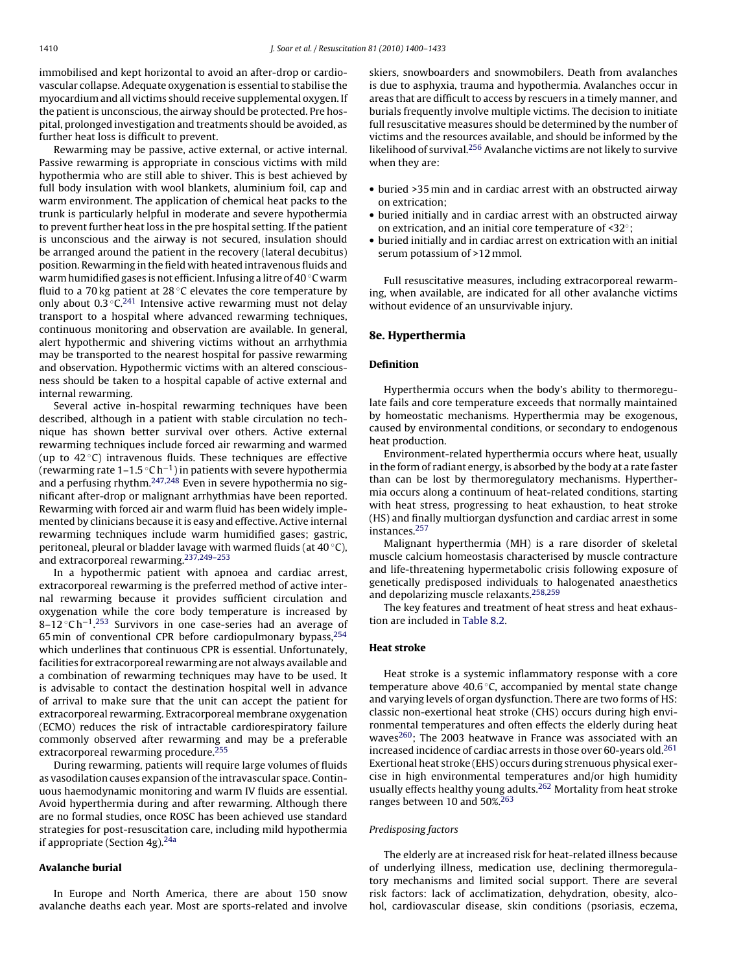immobilised and kept horizontal to avoid an after-drop or cardiovascular collapse. Adequate oxygenation is essential to stabilise the myocardium and all victims should receive supplemental oxygen. If the patient is unconscious, the airway should be protected. Pre hospital, prolonged investigation and treatments should be avoided, as further heat loss is difficult to prevent.

Rewarming may be passive, active external, or active internal. Passive rewarming is appropriate in conscious victims with mild hypothermia who are still able to shiver. This is best achieved by full body insulation with wool blankets, aluminium foil, cap and warm environment. The application of chemical heat packs to the trunk is particularly helpful in moderate and severe hypothermia to prevent further heat loss in the pre hospital setting. If the patient is unconscious and the airway is not secured, insulation should be arranged around the patient in the recovery (lateral decubitus) position. Rewarming in the field with heated intravenous fluids and warm humidified gases is not efficient. Infusing a litre of 40 ◦C warm fluid to a 70 kg patient at 28 $\degree$ C elevates the core temperature by only about 0.3 ◦C[.241](#page-29-0) Intensive active rewarming must not delay transport to a hospital where advanced rewarming techniques, continuous monitoring and observation are available. In general, alert hypothermic and shivering victims without an arrhythmia may be transported to the nearest hospital for passive rewarming and observation. Hypothermic victims with an altered consciousness should be taken to a hospital capable of active external and internal rewarming.

Several active in-hospital rewarming techniques have been described, although in a patient with stable circulation no technique has shown better survival over others. Active external rewarming techniques include forced air rewarming and warmed (up to  $42^{\circ}$ C) intravenous fluids. These techniques are effective (rewarming rate 1–1.5 ◦C h−1) in patients with severe hypothermia and a perfusing rhythm.<sup>247,248</sup> Even in severe hypothermia no significant after-drop or malignant arrhythmias have been reported. Rewarming with forced air and warm fluid has been widely implemented by clinicians because it is easy and effective. Active internal rewarming techniques include warm humidified gases; gastric, peritoneal, pleural or bladder lavage with warmed fluids (at  $40^{\circ}$ C), and extracorporeal rewarming.[237,249–253](#page-29-0)

In a hypothermic patient with apnoea and cardiac arrest, extracorporeal rewarming is the preferred method of active internal rewarming because it provides sufficient circulation and oxygenation while the core body temperature is increased by 8–12 °Ch<sup>–1</sup>.<sup>[253](#page-29-0)</sup> Survivors in one case-series had an average of 65 min of conventional CPR before cardiopulmonary bypass, $254$ which underlines that continuous CPR is essential. Unfortunately, facilities for extracorporeal rewarming are not always available and a combination of rewarming techniques may have to be used. It is advisable to contact the destination hospital well in advance of arrival to make sure that the unit can accept the patient for extracorporeal rewarming. Extracorporeal membrane oxygenation (ECMO) reduces the risk of intractable cardiorespiratory failure commonly observed after rewarming and may be a preferable extracorporeal rewarming procedure[.255](#page-29-0)

During rewarming, patients will require large volumes of fluids as vasodilation causes expansion of the intravascular space. Continuous haemodynamic monitoring and warm IV fluids are essential. Avoid hyperthermia during and after rewarming. Although there are no formal studies, once ROSC has been achieved use standard strategies for post-resuscitation care, including mild hypothermia if appropriate (Section 4g).<sup>[24a](#page-25-0)</sup>

#### **Avalanche burial**

In Europe and North America, there are about 150 snow avalanche deaths each year. Most are sports-related and involve skiers, snowboarders and snowmobilers. Death from avalanches is due to asphyxia, trauma and hypothermia. Avalanches occur in areas that are difficult to access by rescuers in a timely manner, and burials frequently involve multiple victims. The decision to initiate full resuscitative measures should be determined by the number of victims and the resources available, and should be informed by the likelihood of survival[.256](#page-29-0) Avalanche victims are not likely to survive when they are:

- buried >35 min and in cardiac arrest with an obstructed airway on extrication;
- buried initially and in cardiac arrest with an obstructed airway on extrication, and an initial core temperature of <32◦;
- buried initially and in cardiac arrest on extrication with an initial serum potassium of >12 mmol.

Full resuscitative measures, including extracorporeal rewarming, when available, are indicated for all other avalanche victims without evidence of an unsurvivable injury.

## **8e. Hyperthermia**

# **Definition**

Hyperthermia occurs when the body's ability to thermoregulate fails and core temperature exceeds that normally maintained by homeostatic mechanisms. Hyperthermia may be exogenous, caused by environmental conditions, or secondary to endogenous heat production.

Environment-related hyperthermia occurs where heat, usually in the form of radiant energy, is absorbed by the body at a rate faster than can be lost by thermoregulatory mechanisms. Hyperthermia occurs along a continuum of heat-related conditions, starting with heat stress, progressing to heat exhaustion, to heat stroke (HS) and finally multiorgan dysfunction and cardiac arrest in some instances.[257](#page-29-0)

Malignant hyperthermia (MH) is a rare disorder of skeletal muscle calcium homeostasis characterised by muscle contracture and life-threatening hypermetabolic crisis following exposure of genetically predisposed individuals to halogenated anaesthetics and depolarizing muscle relaxants.[258,259](#page-29-0)

The key features and treatment of heat stress and heat exhaustion are included in [Table 8.2.](#page-11-0)

## **Heat stroke**

Heat stroke is a systemic inflammatory response with a core temperature above 40.6 $\degree$ C, accompanied by mental state change and varying levels of organ dysfunction. There are two forms of HS: classic non-exertional heat stroke (CHS) occurs during high environmental temperatures and often effects the elderly during heat waves $260$ ; The 2003 heatwave in France was associated with an increased incidence of cardiac arrests in those over 60-years old.[261](#page-29-0) Exertional heat stroke (EHS) occurs during strenuous physical exercise in high environmental temperatures and/or high humidity usually effects healthy young adults.<sup>262</sup> Mortality from heat stroke ranges between 10 and 50%.<sup>[263](#page-29-0)</sup>

## Predisposing factors

The elderly are at increased risk for heat-related illness because of underlying illness, medication use, declining thermoregulatory mechanisms and limited social support. There are several risk factors: lack of acclimatization, dehydration, obesity, alcohol, cardiovascular disease, skin conditions (psoriasis, eczema,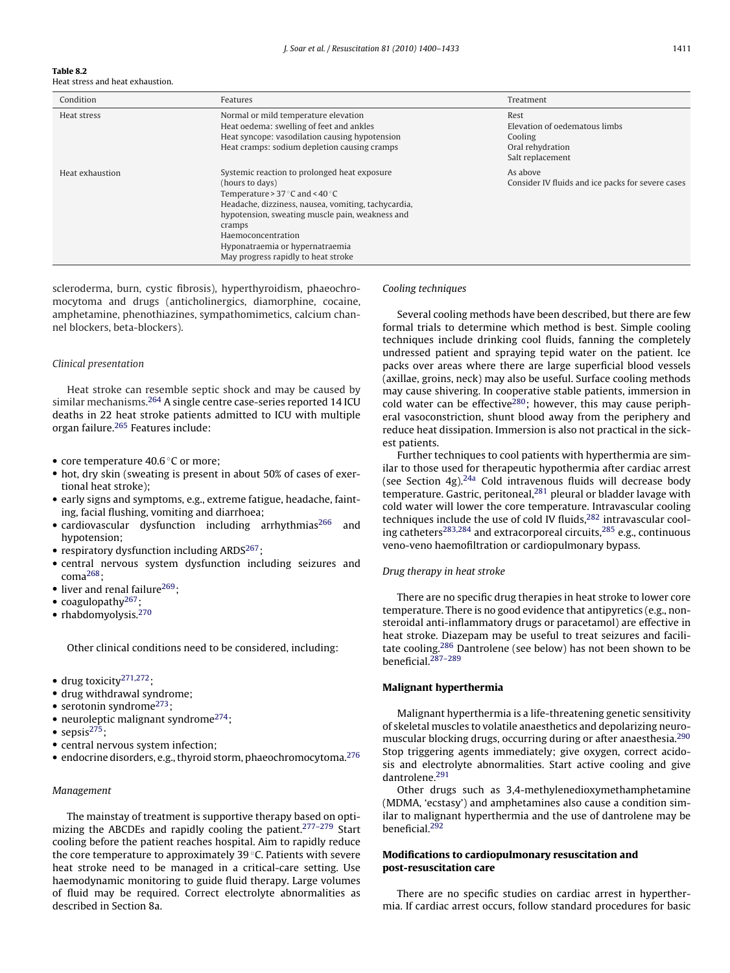#### <span id="page-11-0"></span>**Table 8.2** Heat stress and heat exhaustion.

| Condition       | Features                                                                                                                                                                                                                                                                                                                                 | Treatment                                                                                |
|-----------------|------------------------------------------------------------------------------------------------------------------------------------------------------------------------------------------------------------------------------------------------------------------------------------------------------------------------------------------|------------------------------------------------------------------------------------------|
| Heat stress     | Normal or mild temperature elevation<br>Heat oedema: swelling of feet and ankles<br>Heat syncope: vasodilation causing hypotension<br>Heat cramps: sodium depletion causing cramps                                                                                                                                                       | Rest<br>Elevation of oedematous limbs<br>Cooling<br>Oral rehydration<br>Salt replacement |
| Heat exhaustion | Systemic reaction to prolonged heat exposure<br>(hours to days)<br>Temperature > $37^{\circ}$ C and < $40^{\circ}$ C<br>Headache, dizziness, nausea, vomiting, tachycardia,<br>hypotension, sweating muscle pain, weakness and<br>cramps<br>Haemoconcentration<br>Hyponatraemia or hypernatraemia<br>May progress rapidly to heat stroke | As above<br>Consider IV fluids and ice packs for severe cases                            |

scleroderma, burn, cystic fibrosis), hyperthyroidism, phaeochromocytoma and drugs (anticholinergics, diamorphine, cocaine, amphetamine, phenothiazines, sympathomimetics, calcium channel blockers, beta-blockers).

# Clinical presentation

Heat stroke can resemble septic shock and may be caused by similar mechanisms.[264](#page-29-0) A single centre case-series reported 14 ICU deaths in 22 heat stroke patients admitted to ICU with multiple organ failure[.265](#page-29-0) Features include:

- core temperature 40.6 °C or more;
- hot, dry skin (sweating is present in about 50% of cases of exertional heat stroke);
- early signs and symptoms, e.g., extreme fatigue, headache, fainting, facial flushing, vomiting and diarrhoea;
- cardiovascular dysfunction including arrhythmias<sup>[266](#page-29-0)</sup> and hypotension;
- respiratory dysfunction including  $ARDS^{267}$ ;
- central nervous system dysfunction including seizures and coma[268;](#page-29-0)
- $\bullet$  liver and renal failure<sup>269</sup>;
- coagulopathy<sup>267</sup>;
- $\bullet$  rhabdomyolysis.<sup>[270](#page-29-0)</sup>

Other clinical conditions need to be considered, including:

- drug toxicity<sup>271,272</sup>;
- drug withdrawal syndrome;
- serotonin syndrome $273$ ;
- neuroleptic malignant syndrome<sup>274</sup>;
- sepsis $2^{75}$ ;
- central nervous system infection;
- endocrine disorders, e.g., thyroid storm, phaeochromocytoma.<sup>[276](#page-29-0)</sup>

## Management

The mainstay of treatment is supportive therapy based on opti-mizing the ABCDEs and rapidly cooling the patient.<sup>[277–279](#page-29-0)</sup> Start cooling before the patient reaches hospital. Aim to rapidly reduce the core temperature to approximately 39 ◦C. Patients with severe heat stroke need to be managed in a critical-care setting. Use haemodynamic monitoring to guide fluid therapy. Large volumes of fluid may be required. Correct electrolyte abnormalities as described in Section 8a.

## Cooling techniques

Several cooling methods have been described, but there are few formal trials to determine which method is best. Simple cooling techniques include drinking cool fluids, fanning the completely undressed patient and spraying tepid water on the patient. Ice packs over areas where there are large superficial blood vessels (axillae, groins, neck) may also be useful. Surface cooling methods may cause shivering. In cooperative stable patients, immersion in cold water can be effective<sup>280</sup>; however, this may cause peripheral vasoconstriction, shunt blood away from the periphery and reduce heat dissipation. Immersion is also not practical in the sickest patients.

Further techniques to cool patients with hyperthermia are similar to those used for therapeutic hypothermia after cardiac arrest (see Section 4g).<sup>24a</sup> Cold intravenous fluids will decrease body temperature. Gastric, peritoneal,[281](#page-29-0) pleural or bladder lavage with cold water will lower the core temperature. Intravascular cooling techniques include the use of cold IV fluids,<sup>[282](#page-29-0)</sup> intravascular cooling catheter[s283,284](#page-29-0) and extracorporeal circuits[,285](#page-29-0) e.g., continuous veno-veno haemofiltration or cardiopulmonary bypass.

## Drug therapy in heat stroke

There are no specific drug therapies in heat stroke to lower core temperature. There is no good evidence that antipyretics (e.g., nonsteroidal anti-inflammatory drugs or paracetamol) are effective in heat stroke. Diazepam may be useful to treat seizures and facilitate cooling.<sup>286</sup> Dantrolene (see below) has not been shown to be beneficial[.287–289](#page-29-0)

# **Malignant hyperthermia**

Malignant hyperthermia is a life-threatening genetic sensitivity of skeletal muscles to volatile anaesthetics and depolarizing neuromuscular blocking drugs, occurring during or after anaesthesia[.290](#page-29-0) Stop triggering agents immediately; give oxygen, correct acidosis and electrolyte abnormalities. Start active cooling and give dantrolene.[291](#page-29-0)

Other drugs such as 3,4-methylenedioxymethamphetamine (MDMA, 'ecstasy') and amphetamines also cause a condition similar to malignant hyperthermia and the use of dantrolene may be beneficial.<sup>292</sup>

# **Modifications to cardiopulmonary resuscitation and post-resuscitation care**

There are no specific studies on cardiac arrest in hyperthermia. If cardiac arrest occurs, follow standard procedures for basic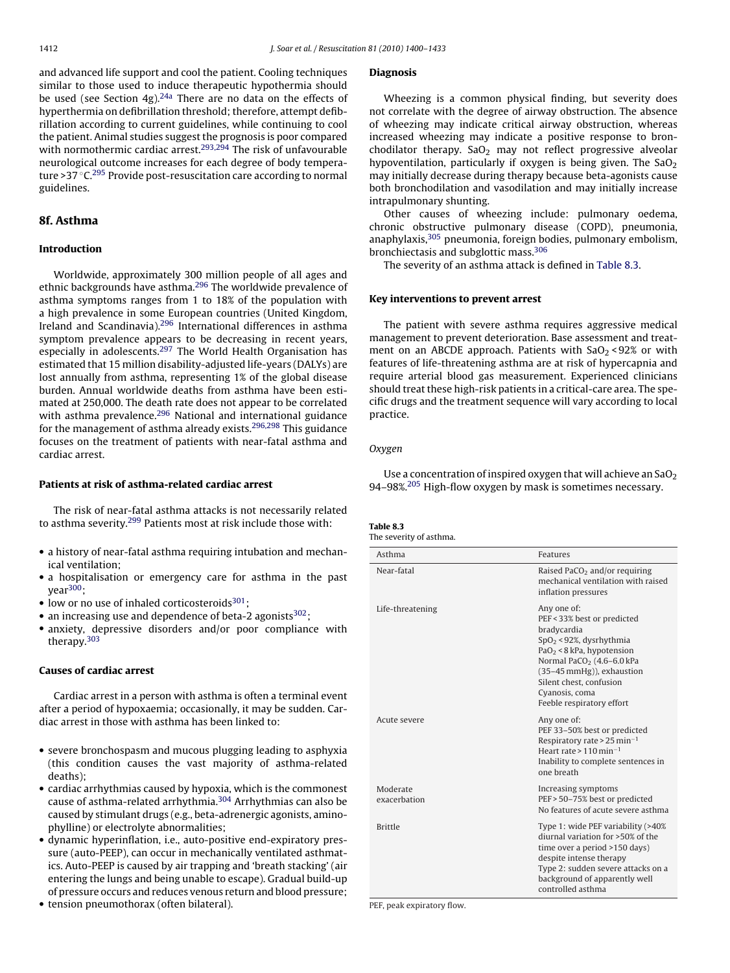and advanced life support and cool the patient. Cooling techniques similar to those used to induce therapeutic hypothermia should be used (see Section 4g).<sup>24a</sup> There are no data on the effects of hyperthermia on defibrillation threshold; therefore, attempt defibrillation according to current guidelines, while continuing to cool the patient. Animal studies suggest the prognosis is poor compared with normothermic cardiac arrest.<sup>[293,294](#page-29-0)</sup> The risk of unfavourable neurological outcome increases for each degree of body temperature >37 $\degree$ C.<sup>295</sup> Provide post-resuscitation care according to normal guidelines.

# **8f. Asthma**

## **Introduction**

Worldwide, approximately 300 million people of all ages and ethnic backgrounds have asthma[.296](#page-29-0) The worldwide prevalence of asthma symptoms ranges from 1 to 18% of the population with a high prevalence in some European countries (United Kingdom, Ireland and Scandinavia).[296](#page-29-0) International differences in asthma symptom prevalence appears to be decreasing in recent years, especially in adolescents[.297](#page-29-0) The World Health Organisation has estimated that 15 million disability-adjusted life-years (DALYs) are lost annually from asthma, representing 1% of the global disease burden. Annual worldwide deaths from asthma have been estimated at 250,000. The death rate does not appear to be correlated with asthma prevalence.<sup>[296](#page-29-0)</sup> National and international guidance for the management of asthma already exists.<sup>296,298</sup> This guidance focuses on the treatment of patients with near-fatal asthma and cardiac arrest.

# **Patients at risk of asthma-related cardiac arrest**

The risk of near-fatal asthma attacks is not necessarily related to asthma severity[.299](#page-29-0) Patients most at risk include those with:

- a history of near-fatal asthma requiring intubation and mechanical ventilation;
- a hospitalisation or emergency care for asthma in the past  $vear<sup>300</sup>$ :
- low or no use of inhaled corticosteroids $301$ ;
- an increasing use and dependence of beta-2 agonists  $302$ ;
- anxiety, depressive disorders and/or poor compliance with therapy.[303](#page-30-0)

#### **Causes of cardiac arrest**

Cardiac arrest in a person with asthma is often a terminal event after a period of hypoxaemia; occasionally, it may be sudden. Cardiac arrest in those with asthma has been linked to:

- severe bronchospasm and mucous plugging leading to asphyxia (this condition causes the vast majority of asthma-related deaths);
- cardiac arrhythmias caused by hypoxia, which is the commonest cause of asthma-related arrhythmia.[304](#page-30-0) Arrhythmias can also be caused by stimulant drugs (e.g., beta-adrenergic agonists, aminophylline) or electrolyte abnormalities;
- dynamic hyperinflation, i.e., auto-positive end-expiratory pressure (auto-PEEP), can occur in mechanically ventilated asthmatics. Auto-PEEP is caused by air trapping and 'breath stacking' (air entering the lungs and being unable to escape). Gradual build-up of pressure occurs and reduces venous return and blood pressure;
- tension pneumothorax (often bilateral).

# **Diagnosis**

Wheezing is a common physical finding, but severity does not correlate with the degree of airway obstruction. The absence of wheezing may indicate critical airway obstruction, whereas increased wheezing may indicate a positive response to bronchodilator therapy. SaO<sub>2</sub> may not reflect progressive alveolar hypoventilation, particularly if oxygen is being given. The  $a_2$ may initially decrease during therapy because beta-agonists cause both bronchodilation and vasodilation and may initially increase intrapulmonary shunting.

Other causes of wheezing include: pulmonary oedema, chronic obstructive pulmonary disease (COPD), pneumonia, anaphylaxis[,305](#page-30-0) pneumonia, foreign bodies, pulmonary embolism, bronchiectasis and subglottic mass.<sup>[306](#page-30-0)</sup>

The severity of an asthma attack is defined in Table 8.3.

#### **Key interventions to prevent arrest**

The patient with severe asthma requires aggressive medical management to prevent deterioration. Base assessment and treatment on an ABCDE approach. Patients with  $SaO<sub>2</sub> < 92%$  or with features of life-threatening asthma are at risk of hypercapnia and require arterial blood gas measurement. Experienced clinicians should treat these high-risk patients in a critical-care area. The specific drugs and the treatment sequence will vary according to local practice.

#### Oxygen

Use a concentration of inspired oxygen that will achieve an  $a_2$ 94–98%.<sup>[205](#page-28-0)</sup> High-flow oxygen by mask is sometimes necessary.

| Table 8.3 |  |  |
|-----------|--|--|
|           |  |  |

The severity of asthma.

| Asthma                   | Features                                                                                                                                                                                                                                                               |
|--------------------------|------------------------------------------------------------------------------------------------------------------------------------------------------------------------------------------------------------------------------------------------------------------------|
| Near-fatal               | Raised PaCO <sub>2</sub> and/or requiring<br>mechanical ventilation with raised<br>inflation pressures                                                                                                                                                                 |
| Life-threatening         | Any one of:<br>PEF < 33% best or predicted<br>bradycardia<br>$SpO2 < 92%$ , dysrhythmia<br>$PaO2 < 8$ kPa, hypotension<br>Normal PaCO <sub>2</sub> (4.6-6.0 kPa<br>(35-45 mmHg)), exhaustion<br>Silent chest, confusion<br>Cyanosis, coma<br>Feeble respiratory effort |
| Acute severe             | Any one of:<br>PEF 33-50% best or predicted<br>Respiratory rate > 25 min <sup>-1</sup><br>Heart rate $> 110$ min <sup>-1</sup><br>Inability to complete sentences in<br>one breath                                                                                     |
| Moderate<br>exacerbation | Increasing symptoms<br>PEF > 50-75% best or predicted<br>No features of acute severe asthma                                                                                                                                                                            |
| <b>Brittle</b>           | Type 1: wide PEF variability (>40%<br>diurnal variation for >50% of the<br>time over a period >150 days)<br>despite intense therapy<br>Type 2: sudden severe attacks on a<br>background of apparently well<br>controlled asthma                                        |

PEF, peak expiratory flow.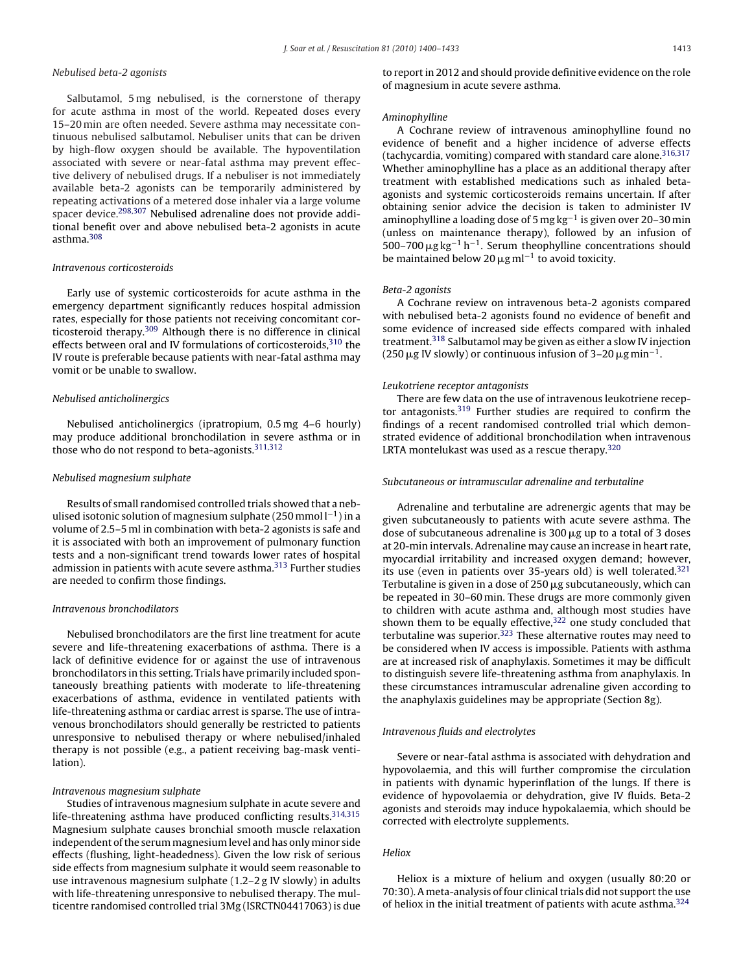# Nebulised beta-2 agonists

Salbutamol, 5 mg nebulised, is the cornerstone of therapy for acute asthma in most of the world. Repeated doses every 15–20 min are often needed. Severe asthma may necessitate continuous nebulised salbutamol. Nebuliser units that can be driven by high-flow oxygen should be available. The hypoventilation associated with severe or near-fatal asthma may prevent effective delivery of nebulised drugs. If a nebuliser is not immediately available beta-2 agonists can be temporarily administered by repeating activations of a metered dose inhaler via a large volume spacer device.[298,307](#page-29-0) Nebulised adrenaline does not provide additional benefit over and above nebulised beta-2 agonists in acute asthma.[308](#page-30-0)

## Intravenous corticosteroids

Early use of systemic corticosteroids for acute asthma in the emergency department significantly reduces hospital admission rates, especially for those patients not receiving concomitant corticosteroid therapy[.309](#page-30-0) Although there is no difference in clinical effects between oral and IV formulations of corticosteroids, $310$  the IV route is preferable because patients with near-fatal asthma may vomit or be unable to swallow.

## Nebulised anticholinergics

Nebulised anticholinergics (ipratropium, 0.5 mg 4–6 hourly) may produce additional bronchodilation in severe asthma or in those who do not respond to beta-agonists.<sup>[311,312](#page-30-0)</sup>

#### Nebulised magnesium sulphate

Results of small randomised controlled trials showed that a nebulised isotonic solution of magnesium sulphate (250 mmol  $l^{-1}$ ) in a volume of 2.5–5 ml in combination with beta-2 agonists is safe and it is associated with both an improvement of pulmonary function tests and a non-significant trend towards lower rates of hospital admission in patients with acute severe asthma.<sup>[313](#page-30-0)</sup> Further studies are needed to confirm those findings.

#### Intravenous bronchodilators

Nebulised bronchodilators are the first line treatment for acute severe and life-threatening exacerbations of asthma. There is a lack of definitive evidence for or against the use of intravenous bronchodilators in this setting. Trials have primarily included spontaneously breathing patients with moderate to life-threatening exacerbations of asthma, evidence in ventilated patients with life-threatening asthma or cardiac arrest is sparse. The use of intravenous bronchodilators should generally be restricted to patients unresponsive to nebulised therapy or where nebulised/inhaled therapy is not possible (e.g., a patient receiving bag-mask ventilation).

## Intravenous magnesium sulphate

Studies of intravenous magnesium sulphate in acute severe and life-threatening asthma have produced conflicting results.<sup>[314,315](#page-30-0)</sup> Magnesium sulphate causes bronchial smooth muscle relaxation independent of the serum magnesium level and has only minor side effects (flushing, light-headedness). Given the low risk of serious side effects from magnesium sulphate it would seem reasonable to use intravenous magnesium sulphate (1.2–2 g IV slowly) in adults with life-threatening unresponsive to nebulised therapy. The multicentre randomised controlled trial 3Mg (ISRCTN04417063) is due to report in 2012 and should provide definitive evidence on the role of magnesium in acute severe asthma.

## Aminophylline

A Cochrane review of intravenous aminophylline found no evidence of benefit and a higher incidence of adverse effects (tachycardia, vomiting) compared with standard care alone.  $316,317$ Whether aminophylline has a place as an additional therapy after treatment with established medications such as inhaled betaagonists and systemic corticosteroids remains uncertain. If after obtaining senior advice the decision is taken to administer IV aminophylline a loading dose of 5 mg kg<sup>-1</sup> is given over 20–30 min (unless on maintenance therapy), followed by an infusion of 500–700  $\mu$ g kg<sup>-1</sup> h<sup>-1</sup>. Serum theophylline concentrations should be maintained below 20  $\mu$ g ml<sup>-1</sup> to avoid toxicity.

#### Beta-2 agonists

A Cochrane review on intravenous beta-2 agonists compared with nebulised beta-2 agonists found no evidence of benefit and some evidence of increased side effects compared with inhaled treatment.[318](#page-30-0) Salbutamol may be given as either a slow IV injection (250  $\mu$ g IV slowly) or continuous infusion of 3–20  $\mu$ g min<sup>-1</sup>.

#### Leukotriene receptor antagonists

There are few data on the use of intravenous leukotriene receptor antagonists[.319](#page-30-0) Further studies are required to confirm the findings of a recent randomised controlled trial which demonstrated evidence of additional bronchodilation when intravenous LRTA montelukast was used as a rescue therapy.<sup>[320](#page-30-0)</sup>

# Subcutaneous or intramuscular adrenaline and terbutaline

Adrenaline and terbutaline are adrenergic agents that may be given subcutaneously to patients with acute severe asthma. The dose of subcutaneous adrenaline is  $300 \,\mu$ g up to a total of 3 doses at 20-min intervals. Adrenaline may cause an increase in heart rate, myocardial irritability and increased oxygen demand; however, its use (even in patients over 35-years old) is well tolerated. $321$ Terbutaline is given in a dose of 250  $\mu$ g subcutaneously, which can be repeated in 30–60 min. These drugs are more commonly given to children with acute asthma and, although most studies have shown them to be equally effective,<sup>322</sup> one study concluded that terbutaline was superior[.323](#page-30-0) These alternative routes may need to be considered when IV access is impossible. Patients with asthma are at increased risk of anaphylaxis. Sometimes it may be difficult to distinguish severe life-threatening asthma from anaphylaxis. In these circumstances intramuscular adrenaline given according to the anaphylaxis guidelines may be appropriate (Section 8g).

#### Intravenous fluids and electrolytes

Severe or near-fatal asthma is associated with dehydration and hypovolaemia, and this will further compromise the circulation in patients with dynamic hyperinflation of the lungs. If there is evidence of hypovolaemia or dehydration, give IV fluids. Beta-2 agonists and steroids may induce hypokalaemia, which should be corrected with electrolyte supplements.

## **Heliox**

Heliox is a mixture of helium and oxygen (usually 80:20 or 70:30). A meta-analysis of four clinical trials did not support the use of heliox in the initial treatment of patients with acute asthma.<sup>[324](#page-30-0)</sup>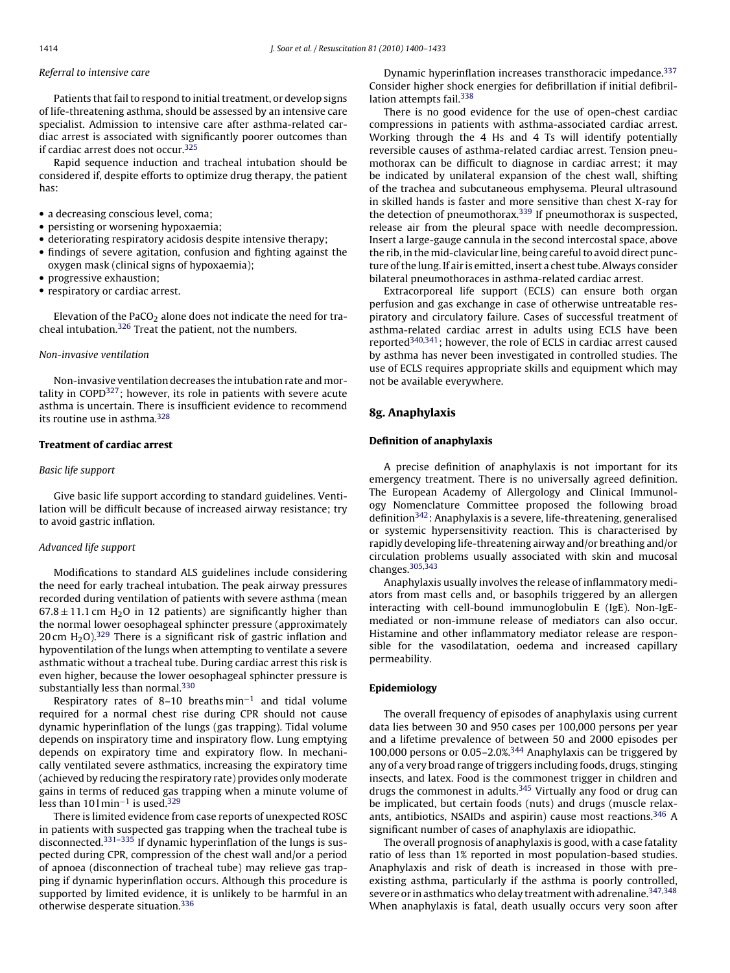## Referral to intensive care

Patients that fail to respond to initial treatment, or develop signs of life-threatening asthma, should be assessed by an intensive care specialist. Admission to intensive care after asthma-related cardiac arrest is associated with significantly poorer outcomes than if cardiac arrest does not occur.[325](#page-30-0)

Rapid sequence induction and tracheal intubation should be considered if, despite efforts to optimize drug therapy, the patient has:

- a decreasing conscious level, coma;
- persisting or worsening hypoxaemia;
- deteriorating respiratory acidosis despite intensive therapy;
- findings of severe agitation, confusion and fighting against the oxygen mask (clinical signs of hypoxaemia);
- progressive exhaustion;
- respiratory or cardiac arrest.

Elevation of the PaCO<sub>2</sub> alone does not indicate the need for tracheal intubation[.326](#page-30-0) Treat the patient, not the numbers.

## Non-invasive ventilation

Non-invasive ventilation decreases the intubation rate and mortality in COPD<sup>327</sup>; however, its role in patients with severe acute asthma is uncertain. There is insufficient evidence to recommend its routine use in asthma[.328](#page-30-0)

# **Treatment of cardiac arrest**

## Basic life support

Give basic life support according to standard guidelines. Ventilation will be difficult because of increased airway resistance; try to avoid gastric inflation.

## Advanced life support

Modifications to standard ALS guidelines include considering the need for early tracheal intubation. The peak airway pressures recorded during ventilation of patients with severe asthma (mean  $67.8 \pm 11.1$  cm H<sub>2</sub>O in 12 patients) are significantly higher than the normal lower oesophageal sphincter pressure (approximately 20 cm  $H_2O$ ).<sup>[329](#page-30-0)</sup> There is a significant risk of gastric inflation and hypoventilation of the lungs when attempting to ventilate a severe asthmatic without a tracheal tube. During cardiac arrest this risk is even higher, because the lower oesophageal sphincter pressure is substantially less than normal.<sup>330</sup>

Respiratory rates of 8–10 breaths min−<sup>1</sup> and tidal volume required for a normal chest rise during CPR should not cause dynamic hyperinflation of the lungs (gas trapping). Tidal volume depends on inspiratory time and inspiratory flow. Lung emptying depends on expiratory time and expiratory flow. In mechanically ventilated severe asthmatics, increasing the expiratory time (achieved by reducing the respiratory rate) provides only moderate gains in terms of reduced gas trapping when a minute volume of less than 101 min<sup>-1</sup> is used.<sup>[329](#page-30-0)</sup>

There is limited evidence from case reports of unexpected ROSC in patients with suspected gas trapping when the tracheal tube is disconnected[.331–335](#page-30-0) If dynamic hyperinflation of the lungs is suspected during CPR, compression of the chest wall and/or a period of apnoea (disconnection of tracheal tube) may relieve gas trapping if dynamic hyperinflation occurs. Although this procedure is supported by limited evidence, it is unlikely to be harmful in an otherwise desperate situation.[336](#page-30-0)

Dynamic hyperinflation increases transthoracic impedance.<sup>[337](#page-30-0)</sup> Consider higher shock energies for defibrillation if initial defibril-lation attempts fail.<sup>[338](#page-30-0)</sup>

There is no good evidence for the use of open-chest cardiac compressions in patients with asthma-associated cardiac arrest. Working through the 4 Hs and 4 Ts will identify potentially reversible causes of asthma-related cardiac arrest. Tension pneumothorax can be difficult to diagnose in cardiac arrest; it may be indicated by unilateral expansion of the chest wall, shifting of the trachea and subcutaneous emphysema. Pleural ultrasound in skilled hands is faster and more sensitive than chest X-ray for the detection of pneumothorax.<sup>[339](#page-30-0)</sup> If pneumothorax is suspected, release air from the pleural space with needle decompression. Insert a large-gauge cannula in the second intercostal space, above the rib, in the mid-clavicular line, being careful to avoid direct puncture of the lung. If air is emitted, insert a chest tube. Always consider bilateral pneumothoraces in asthma-related cardiac arrest.

Extracorporeal life support (ECLS) can ensure both organ perfusion and gas exchange in case of otherwise untreatable respiratory and circulatory failure. Cases of successful treatment of asthma-related cardiac arrest in adults using ECLS have been reported<sup>340,341</sup>; however, the role of ECLS in cardiac arrest caused by asthma has never been investigated in controlled studies. The use of ECLS requires appropriate skills and equipment which may not be available everywhere.

# **8g. Anaphylaxis**

# **Definition of anaphylaxis**

A precise definition of anaphylaxis is not important for its emergency treatment. There is no universally agreed definition. The European Academy of Allergology and Clinical Immunology Nomenclature Committee proposed the following broad definition<sup>342</sup>: Anaphylaxis is a severe, life-threatening, generalised or systemic hypersensitivity reaction. This is characterised by rapidly developing life-threatening airway and/or breathing and/or circulation problems usually associated with skin and mucosal changes[.305,343](#page-30-0)

Anaphylaxis usually involves the release of inflammatory mediators from mast cells and, or basophils triggered by an allergen interacting with cell-bound immunoglobulin E (IgE). Non-IgEmediated or non-immune release of mediators can also occur. Histamine and other inflammatory mediator release are responsible for the vasodilatation, oedema and increased capillary permeability.

# **Epidemiology**

The overall frequency of episodes of anaphylaxis using current data lies between 30 and 950 cases per 100,000 persons per year and a lifetime prevalence of between 50 and 2000 episodes per 100,000 persons or 0.05–2.0%.[344](#page-30-0) Anaphylaxis can be triggered by any of a very broad range of triggers including foods, drugs, stinging insects, and latex. Food is the commonest trigger in children and drugs the commonest in adults. $345$  Virtually any food or drug can be implicated, but certain foods (nuts) and drugs (muscle relaxants, antibiotics, NSAIDs and aspirin) cause most reactions.<sup>346</sup> A significant number of cases of anaphylaxis are idiopathic.

The overall prognosis of anaphylaxis is good, with a case fatality ratio of less than 1% reported in most population-based studies. Anaphylaxis and risk of death is increased in those with preexisting asthma, particularly if the asthma is poorly controlled, severe or in asthmatics who delay treatment with adrenaline.<sup>347,348</sup> When anaphylaxis is fatal, death usually occurs very soon after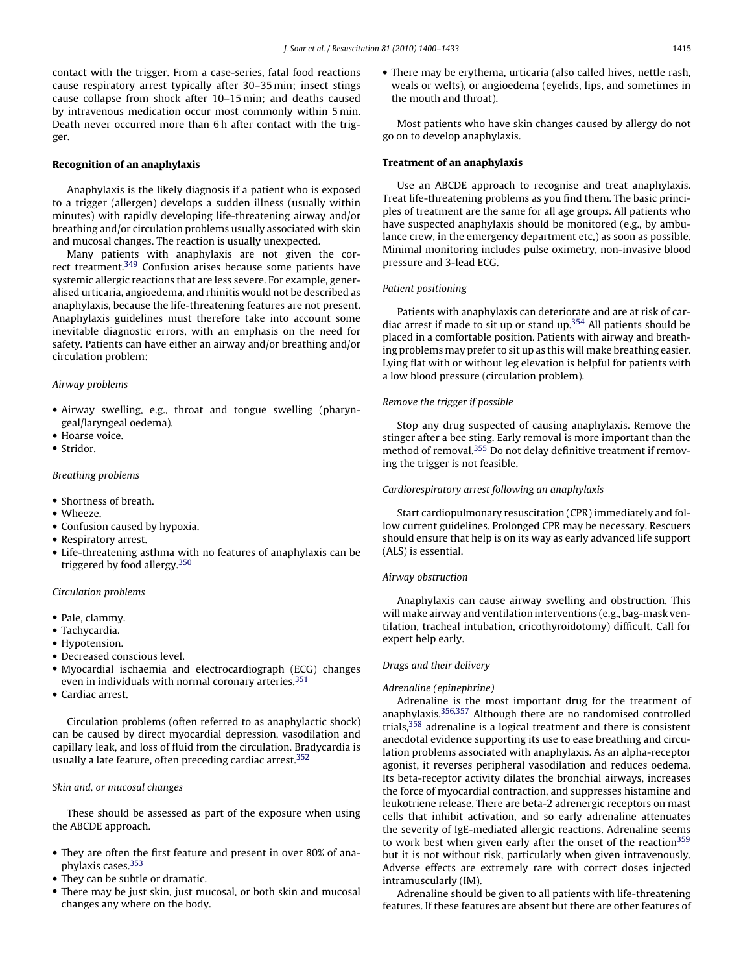contact with the trigger. From a case-series, fatal food reactions cause respiratory arrest typically after 30–35 min; insect stings cause collapse from shock after 10–15 min; and deaths caused by intravenous medication occur most commonly within 5 min. Death never occurred more than 6 h after contact with the trigger.

## **Recognition of an anaphylaxis**

Anaphylaxis is the likely diagnosis if a patient who is exposed to a trigger (allergen) develops a sudden illness (usually within minutes) with rapidly developing life-threatening airway and/or breathing and/or circulation problems usually associated with skin and mucosal changes. The reaction is usually unexpected.

Many patients with anaphylaxis are not given the correct treatment[.349](#page-30-0) Confusion arises because some patients have systemic allergic reactions that are less severe. For example, generalised urticaria, angioedema, and rhinitis would not be described as anaphylaxis, because the life-threatening features are not present. Anaphylaxis guidelines must therefore take into account some inevitable diagnostic errors, with an emphasis on the need for safety. Patients can have either an airway and/or breathing and/or circulation problem:

## Airway problems

- Airway swelling, e.g., throat and tongue swelling (pharyngeal/laryngeal oedema).
- Hoarse voice.
- Stridor.

## Breathing problems

- Shortness of breath.
- Wheeze.
- Confusion caused by hypoxia.
- Respiratory arrest.
- Life-threatening asthma with no features of anaphylaxis can be triggered by food allergy.[350](#page-30-0)

## Circulation problems

- Pale, clammy.
- Tachycardia.
- Hypotension.
- Decreased conscious level.
- Myocardial ischaemia and electrocardiograph (ECG) changes even in individuals with normal coronary arteries.<sup>[351](#page-30-0)</sup>
- Cardiac arrest.

Circulation problems (often referred to as anaphylactic shock) can be caused by direct myocardial depression, vasodilation and capillary leak, and loss of fluid from the circulation. Bradycardia is usually a late feature, often preceding cardiac arrest.<sup>[352](#page-30-0)</sup>

## Skin and, or mucosal changes

These should be assessed as part of the exposure when using the ABCDE approach.

- They are often the first feature and present in over 80% of anaphylaxis cases[.353](#page-30-0)
- They can be subtle or dramatic.
- There may be just skin, just mucosal, or both skin and mucosal changes any where on the body.

• There may be erythema, urticaria (also called hives, nettle rash, weals or welts), or angioedema (eyelids, lips, and sometimes in the mouth and throat).

Most patients who have skin changes caused by allergy do not go on to develop anaphylaxis.

## **Treatment of an anaphylaxis**

Use an ABCDE approach to recognise and treat anaphylaxis. Treat life-threatening problems as you find them. The basic principles of treatment are the same for all age groups. All patients who have suspected anaphylaxis should be monitored (e.g., by ambulance crew, in the emergency department etc,) as soon as possible. Minimal monitoring includes pulse oximetry, non-invasive blood pressure and 3-lead ECG.

## Patient positioning

Patients with anaphylaxis can deteriorate and are at risk of cardiac arrest if made to sit up or stand up[.354](#page-30-0) All patients should be placed in a comfortable position. Patients with airway and breathing problems may prefer to sit up as this will make breathing easier. Lying flat with or without leg elevation is helpful for patients with a low blood pressure (circulation problem).

## Remove the trigger if possible

Stop any drug suspected of causing anaphylaxis. Remove the stinger after a bee sting. Early removal is more important than the method of removal.<sup>[355](#page-30-0)</sup> Do not delay definitive treatment if removing the trigger is not feasible.

#### Cardiorespiratory arrest following an anaphylaxis

Start cardiopulmonary resuscitation (CPR) immediately and follow current guidelines. Prolonged CPR may be necessary. Rescuers should ensure that help is on its way as early advanced life support (ALS) is essential.

#### Airway obstruction

Anaphylaxis can cause airway swelling and obstruction. This will make airway and ventilation interventions (e.g., bag-mask ventilation, tracheal intubation, cricothyroidotomy) difficult. Call for expert help early.

### Drugs and their delivery

# Adrenaline (epinephrine)

Adrenaline is the most important drug for the treatment of anaphylaxis.<sup>[356,357](#page-30-0)</sup> Although there are no randomised controlled trials,[358](#page-30-0) adrenaline is a logical treatment and there is consistent anecdotal evidence supporting its use to ease breathing and circulation problems associated with anaphylaxis. As an alpha-receptor agonist, it reverses peripheral vasodilation and reduces oedema. Its beta-receptor activity dilates the bronchial airways, increases the force of myocardial contraction, and suppresses histamine and leukotriene release. There are beta-2 adrenergic receptors on mast cells that inhibit activation, and so early adrenaline attenuates the severity of IgE-mediated allergic reactions. Adrenaline seems to work best when given early after the onset of the reaction<sup>359</sup> but it is not without risk, particularly when given intravenously. Adverse effects are extremely rare with correct doses injected intramuscularly (IM).

Adrenaline should be given to all patients with life-threatening features. If these features are absent but there are other features of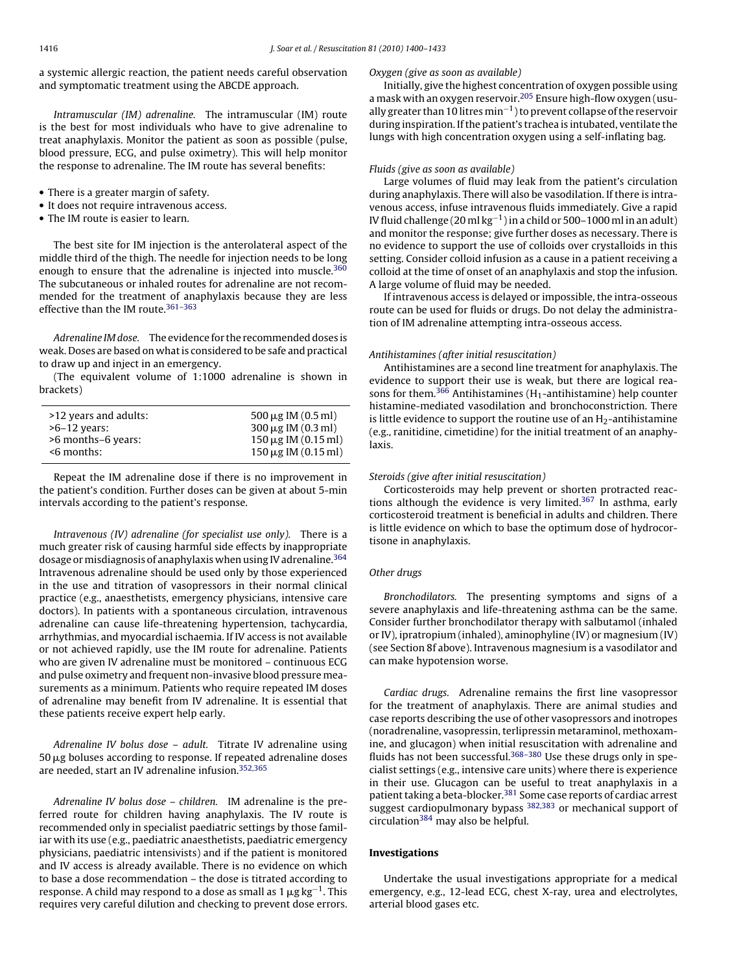a systemic allergic reaction, the patient needs careful observation and symptomatic treatment using the ABCDE approach.

Intramuscular (IM) adrenaline. The intramuscular (IM) route is the best for most individuals who have to give adrenaline to treat anaphylaxis. Monitor the patient as soon as possible (pulse, blood pressure, ECG, and pulse oximetry). This will help monitor the response to adrenaline. The IM route has several benefits:

- There is a greater margin of safety.
- It does not require intravenous access.
- The IM route is easier to learn.

The best site for IM injection is the anterolateral aspect of the middle third of the thigh. The needle for injection needs to be long enough to ensure that the adrenaline is injected into muscle.<sup>360</sup> The subcutaneous or inhaled routes for adrenaline are not recommended for the treatment of anaphylaxis because they are less effective than the IM route.<sup>361-363</sup>

Adrenaline IM dose. The evidence for the recommended doses is weak. Doses are based on what is considered to be safe and practical to draw up and inject in an emergency.

(The equivalent volume of 1:1000 adrenaline is shown in brackets)

| >12 years and adults: | $500 \mu g$ IM $(0.5 \text{ ml})$    |
|-----------------------|--------------------------------------|
| $>6-12$ years:        | $300 \,\mu g$ IM $(0.3 \,\text{ml})$ |
| >6 months-6 years:    | $150 \mu g$ IM $(0.15 \text{ ml})$   |
| $\leq$ 6 months:      | $150 \mu g$ IM $(0.15 \text{ ml})$   |

Repeat the IM adrenaline dose if there is no improvement in the patient's condition. Further doses can be given at about 5-min intervals according to the patient's response.

Intravenous (IV) adrenaline (for specialist use only). There is a much greater risk of causing harmful side effects by inappropriate dosage or misdiagnosis of anaphylaxis when using IV adrenaline.<sup>364</sup> Intravenous adrenaline should be used only by those experienced in the use and titration of vasopressors in their normal clinical practice (e.g., anaesthetists, emergency physicians, intensive care doctors). In patients with a spontaneous circulation, intravenous adrenaline can cause life-threatening hypertension, tachycardia, arrhythmias, and myocardial ischaemia. If IV access is not available or not achieved rapidly, use the IM route for adrenaline. Patients who are given IV adrenaline must be monitored – continuous ECG and pulse oximetry and frequent non-invasive blood pressure measurements as a minimum. Patients who require repeated IM doses of adrenaline may benefit from IV adrenaline. It is essential that these patients receive expert help early.

Adrenaline IV bolus dose – adult. Titrate IV adrenaline using  $50 \,\mathrm{\mu g}$  boluses according to response. If repeated adrenaline doses are needed, start an IV adrenaline infusion[.352,365](#page-30-0)

Adrenaline IV bolus dose – children. IM adrenaline is the preferred route for children having anaphylaxis. The IV route is recommended only in specialist paediatric settings by those familiar with its use (e.g., paediatric anaesthetists, paediatric emergency physicians, paediatric intensivists) and if the patient is monitored and IV access is already available. There is no evidence on which to base a dose recommendation – the dose is titrated according to response. A child may respond to a dose as small as 1  $\mu$ g kg $^{-1}$ . This requires very careful dilution and checking to prevent dose errors.

#### Oxygen (give as soon as available)

Initially, give the highest concentration of oxygen possible using a mask with an oxygen reservoir[.205](#page-28-0) Ensure high-flow oxygen (usually greater than 10 litres min−1) to prevent collapse of the reservoir during inspiration. If the patient's trachea is intubated, ventilate the lungs with high concentration oxygen using a self-inflating bag.

# Fluids (give as soon as available)

Large volumes of fluid may leak from the patient's circulation during anaphylaxis. There will also be vasodilation. If there is intravenous access, infuse intravenous fluids immediately. Give a rapid IV fluid challenge (20 ml kg−1) in a child or 500–1000 ml in an adult) and monitor the response; give further doses as necessary. There is no evidence to support the use of colloids over crystalloids in this setting. Consider colloid infusion as a cause in a patient receiving a colloid at the time of onset of an anaphylaxis and stop the infusion. A large volume of fluid may be needed.

If intravenous access is delayed or impossible, the intra-osseous route can be used for fluids or drugs. Do not delay the administration of IM adrenaline attempting intra-osseous access.

#### Antihistamines (after initial resuscitation)

Antihistamines are a second line treatment for anaphylaxis. The evidence to support their use is weak, but there are logical rea-sons for them.<sup>[366](#page-31-0)</sup> Antihistamines ( $H_1$ -antihistamine) help counter histamine-mediated vasodilation and bronchoconstriction. There is little evidence to support the routine use of an  $H<sub>2</sub>$ -antihistamine (e.g., ranitidine, cimetidine) for the initial treatment of an anaphylaxis.

#### Steroids (give after initial resuscitation)

Corticosteroids may help prevent or shorten protracted reactions although the evidence is very limited. $367$  In asthma, early corticosteroid treatment is beneficial in adults and children. There is little evidence on which to base the optimum dose of hydrocortisone in anaphylaxis.

## Other drugs

Bronchodilators. The presenting symptoms and signs of a severe anaphylaxis and life-threatening asthma can be the same. Consider further bronchodilator therapy with salbutamol (inhaled or IV), ipratropium (inhaled), aminophyline (IV) or magnesium (IV) (see Section 8f above). Intravenous magnesium is a vasodilator and can make hypotension worse.

Cardiac drugs. Adrenaline remains the first line vasopressor for the treatment of anaphylaxis. There are animal studies and case reports describing the use of other vasopressors and inotropes (noradrenaline, vasopressin, terlipressin metaraminol, methoxamine, and glucagon) when initial resuscitation with adrenaline and fluids has not been successful.<sup>368-380</sup> Use these drugs only in specialist settings (e.g., intensive care units) where there is experience in their use. Glucagon can be useful to treat anaphylaxis in a patient taking a beta-blocker.<sup>381</sup> Some case reports of cardiac arrest suggest cardiopulmonary bypass [382,383](#page-31-0) or mechanical support of circulatio[n384](#page-31-0) may also be helpful.

## **Investigations**

Undertake the usual investigations appropriate for a medical emergency, e.g., 12-lead ECG, chest X-ray, urea and electrolytes, arterial blood gases etc.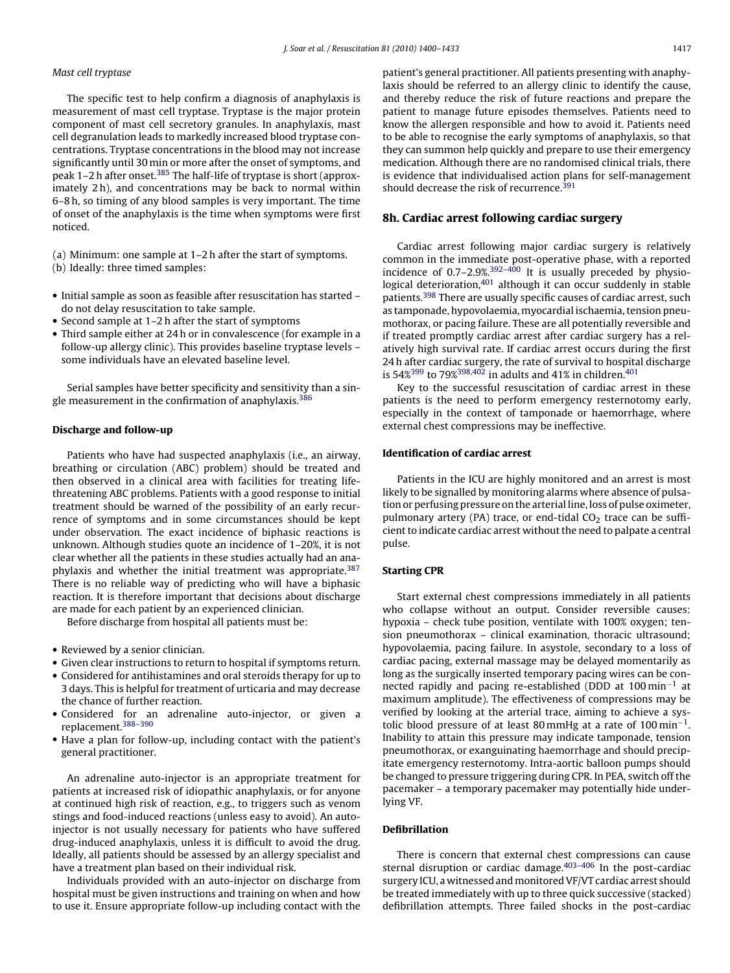## Mast cell tryptase

The specific test to help confirm a diagnosis of anaphylaxis is measurement of mast cell tryptase. Tryptase is the major protein component of mast cell secretory granules. In anaphylaxis, mast cell degranulation leads to markedly increased blood tryptase concentrations. Tryptase concentrations in the blood may not increase significantly until 30 min or more after the onset of symptoms, and peak 1–2 h after onset.<sup>[385](#page-31-0)</sup> The half-life of tryptase is short (approximately 2h), and concentrations may be back to normal within 6–8 h, so timing of any blood samples is very important. The time of onset of the anaphylaxis is the time when symptoms were first noticed.

(a) Minimum: one sample at 1–2 h after the start of symptoms.

- (b) Ideally: three timed samples:
- Initial sample as soon as feasible after resuscitation has started do not delay resuscitation to take sample.
- Second sample at 1–2 h after the start of symptoms
- Third sample either at 24 h or in convalescence (for example in a follow-up allergy clinic). This provides baseline tryptase levels – some individuals have an elevated baseline level.

Serial samples have better specificity and sensitivity than a single measurement in the confirmation of anaphylaxis.<sup>386</sup>

#### **Discharge and follow-up**

Patients who have had suspected anaphylaxis (i.e., an airway, breathing or circulation (ABC) problem) should be treated and then observed in a clinical area with facilities for treating lifethreatening ABC problems. Patients with a good response to initial treatment should be warned of the possibility of an early recurrence of symptoms and in some circumstances should be kept under observation. The exact incidence of biphasic reactions is unknown. Although studies quote an incidence of 1–20%, it is not clear whether all the patients in these studies actually had an ana-phylaxis and whether the initial treatment was appropriate.<sup>[387](#page-31-0)</sup> There is no reliable way of predicting who will have a biphasic reaction. It is therefore important that decisions about discharge are made for each patient by an experienced clinician.

Before discharge from hospital all patients must be:

- Reviewed by a senior clinician.
- Given clear instructions to return to hospital if symptoms return.
- Considered for antihistamines and oral steroids therapy for up to 3 days. This is helpful for treatment of urticaria and may decrease the chance of further reaction.
- Considered for an adrenaline auto-injector, or given a replacement.[388–390](#page-31-0)
- Have a plan for follow-up, including contact with the patient's general practitioner.

An adrenaline auto-injector is an appropriate treatment for patients at increased risk of idiopathic anaphylaxis, or for anyone at continued high risk of reaction, e.g., to triggers such as venom stings and food-induced reactions (unless easy to avoid). An autoinjector is not usually necessary for patients who have suffered drug-induced anaphylaxis, unless it is difficult to avoid the drug. Ideally, all patients should be assessed by an allergy specialist and have a treatment plan based on their individual risk.

Individuals provided with an auto-injector on discharge from hospital must be given instructions and training on when and how to use it. Ensure appropriate follow-up including contact with the patient's general practitioner. All patients presenting with anaphylaxis should be referred to an allergy clinic to identify the cause, and thereby reduce the risk of future reactions and prepare the patient to manage future episodes themselves. Patients need to know the allergen responsible and how to avoid it. Patients need to be able to recognise the early symptoms of anaphylaxis, so that they can summon help quickly and prepare to use their emergency medication. Although there are no randomised clinical trials, there is evidence that individualised action plans for self-management should decrease the risk of recurrence.<sup>391</sup>

# **8h. Cardiac arrest following cardiac surgery**

Cardiac arrest following major cardiac surgery is relatively common in the immediate post-operative phase, with a reported incidence of  $0.7-2.9\%^{392-400}$  It is usually preceded by physiological deterioration, $401$  although it can occur suddenly in stable patients[.398](#page-31-0) There are usually specific causes of cardiac arrest, such as tamponade, hypovolaemia, myocardial ischaemia, tension pneumothorax, or pacing failure. These are all potentially reversible and if treated promptly cardiac arrest after cardiac surgery has a relatively high survival rate. If cardiac arrest occurs during the first 24 h after cardiac surgery, the rate of survival to hospital discharge is 54%<sup>399</sup> to 79%<sup>398,402</sup> in adults and 41% in children.<sup>401</sup>

Key to the successful resuscitation of cardiac arrest in these patients is the need to perform emergency resternotomy early, especially in the context of tamponade or haemorrhage, where external chest compressions may be ineffective.

# **Identification of cardiac arrest**

Patients in the ICU are highly monitored and an arrest is most likely to be signalled by monitoring alarms where absence of pulsation or perfusing pressure on the arterial line, loss of pulse oximeter, pulmonary artery (PA) trace, or end-tidal  $CO<sub>2</sub>$  trace can be sufficient to indicate cardiac arrest without the need to palpate a central pulse.

# **Starting CPR**

Start external chest compressions immediately in all patients who collapse without an output. Consider reversible causes: hypoxia – check tube position, ventilate with 100% oxygen; tension pneumothorax – clinical examination, thoracic ultrasound; hypovolaemia, pacing failure. In asystole, secondary to a loss of cardiac pacing, external massage may be delayed momentarily as long as the surgically inserted temporary pacing wires can be connected rapidly and pacing re-established (DDD at 100 min−<sup>1</sup> at maximum amplitude). The effectiveness of compressions may be verified by looking at the arterial trace, aiming to achieve a systolic blood pressure of at least 80 mmHg at a rate of  $100 \text{ min}^{-1}$ . Inability to attain this pressure may indicate tamponade, tension pneumothorax, or exanguinating haemorrhage and should precipitate emergency resternotomy. Intra-aortic balloon pumps should be changed to pressure triggering during CPR. In PEA, switch off the pacemaker – a temporary pacemaker may potentially hide underlying VF.

## **Defibrillation**

There is concern that external chest compressions can cause sternal disruption or cardiac damage.<sup>403-406</sup> In the post-cardiac surgery ICU, a witnessed andmonitored VF/VT cardiac arrest should be treated immediately with up to three quick successive (stacked) defibrillation attempts. Three failed shocks in the post-cardiac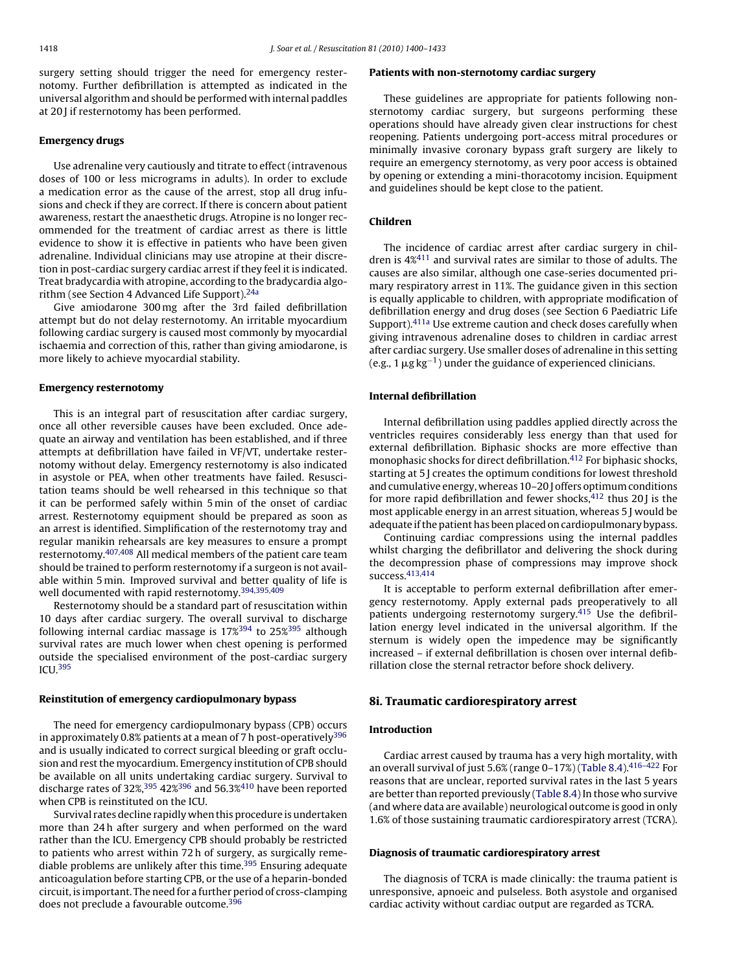surgery setting should trigger the need for emergency resternotomy. Further defibrillation is attempted as indicated in the universal algorithm and should be performed with internal paddles at 20 J if resternotomy has been performed.

#### **Emergency drugs**

Use adrenaline very cautiously and titrate to effect (intravenous doses of 100 or less micrograms in adults). In order to exclude a medication error as the cause of the arrest, stop all drug infusions and check if they are correct. If there is concern about patient awareness, restart the anaesthetic drugs. Atropine is no longer recommended for the treatment of cardiac arrest as there is little evidence to show it is effective in patients who have been given adrenaline. Individual clinicians may use atropine at their discretion in post-cardiac surgery cardiac arrest if they feel it is indicated. Treat bradycardia with atropine, according to the bradycardia algo-rithm (see Section 4 Advanced Life Support).<sup>[24a](#page-25-0)</sup>

Give amiodarone 300 mg after the 3rd failed defibrillation attempt but do not delay resternotomy. An irritable myocardium following cardiac surgery is caused most commonly by myocardial ischaemia and correction of this, rather than giving amiodarone, is more likely to achieve myocardial stability.

#### **Emergency resternotomy**

This is an integral part of resuscitation after cardiac surgery, once all other reversible causes have been excluded. Once adequate an airway and ventilation has been established, and if three attempts at defibrillation have failed in VF/VT, undertake resternotomy without delay. Emergency resternotomy is also indicated in asystole or PEA, when other treatments have failed. Resuscitation teams should be well rehearsed in this technique so that it can be performed safely within 5 min of the onset of cardiac arrest. Resternotomy equipment should be prepared as soon as an arrest is identified. Simplification of the resternotomy tray and regular manikin rehearsals are key measures to ensure a prompt resternotomy.[407,408](#page-31-0) All medical members of the patient care team should be trained to perform resternotomy if a surgeon is not available within 5 min. Improved survival and better quality of life is well documented with rapid resternotomy.<sup>394,395,409</sup>

Resternotomy should be a standard part of resuscitation within 10 days after cardiac surgery. The overall survival to discharge following internal cardiac massage is 17%[394](#page-31-0) to 25%[395](#page-31-0) although survival rates are much lower when chest opening is performed outside the specialised environment of the post-cardiac surgery ICU[.395](#page-31-0)

#### **Reinstitution of emergency cardiopulmonary bypass**

The need for emergency cardiopulmonary bypass (CPB) occurs in approximately 0.8% patients at a mean of 7 h post-operatively<sup>396</sup> and is usually indicated to correct surgical bleeding or graft occlusion and rest the myocardium. Emergency institution of CPB should be available on all units undertaking cardiac surgery. Survival to discharge rates of 32%[,395](#page-31-0) 42[%396](#page-31-0) and 56.3[%410](#page-31-0) have been reported when CPB is reinstituted on the ICU.

Survival rates decline rapidly when this procedure is undertaken more than 24 h after surgery and when performed on the ward rather than the ICU. Emergency CPB should probably be restricted to patients who arrest within 72 h of surgery, as surgically reme-diable problems are unlikely after this time.<sup>[395](#page-31-0)</sup> Ensuring adequate anticoagulation before starting CPB, or the use of a heparin-bonded circuit, is important. The need for a further period of cross-clamping does not preclude a favourable outcome.<sup>[396](#page-31-0)</sup>

#### **Patients with non-sternotomy cardiac surgery**

These guidelines are appropriate for patients following nonsternotomy cardiac surgery, but surgeons performing these operations should have already given clear instructions for chest reopening. Patients undergoing port-access mitral procedures or minimally invasive coronary bypass graft surgery are likely to require an emergency sternotomy, as very poor access is obtained by opening or extending a mini-thoracotomy incision. Equipment and guidelines should be kept close to the patient.

# **Children**

The incidence of cardiac arrest after cardiac surgery in children is 4[%411](#page-31-0) and survival rates are similar to those of adults. The causes are also similar, although one case-series documented primary respiratory arrest in 11%. The guidance given in this section is equally applicable to children, with appropriate modification of defibrillation energy and drug doses (see Section 6 Paediatric Life Support).[411a](#page-31-0) Use extreme caution and check doses carefully when giving intravenous adrenaline doses to children in cardiac arrest after cardiac surgery. Use smaller doses of adrenaline in this setting (e.g., 1  $\mu$ g kg<sup>-1</sup>) under the guidance of experienced clinicians.

# **Internal defibrillation**

Internal defibrillation using paddles applied directly across the ventricles requires considerably less energy than that used for external defibrillation. Biphasic shocks are more effective than monophasic shocks for direct defibrillation[.412](#page-31-0) For biphasic shocks, starting at 5 J creates the optimum conditions for lowest threshold and cumulative energy, whereas 10–20 J offers optimum conditions for more rapid defibrillation and fewer shocks, $412$  thus 20 J is the most applicable energy in an arrest situation, whereas 5 J would be adequate if the patient has been placed on cardiopulmonary bypass.

Continuing cardiac compressions using the internal paddles whilst charging the defibrillator and delivering the shock during the decompression phase of compressions may improve shock success.[413,414](#page-31-0)

It is acceptable to perform external defibrillation after emergency resternotomy. Apply external pads preoperatively to all patients undergoing resternotomy surgery.<sup>[415](#page-31-0)</sup> Use the defibrillation energy level indicated in the universal algorithm. If the sternum is widely open the impedence may be significantly increased – if external defibrillation is chosen over internal defibrillation close the sternal retractor before shock delivery.

# **8i. Traumatic cardiorespiratory arrest**

# **Introduction**

Cardiac arrest caused by trauma has a very high mortality, with an overall survival of just 5.6% (range  $0-17$ %) [\(Table 8.4\).](#page-19-0)<sup>[416–422](#page-31-0)</sup> For reasons that are unclear, reported survival rates in the last 5 years are better than reported previously [\(Table 8.4\) I](#page-19-0)n those who survive (and where data are available) neurological outcome is good in only 1.6% of those sustaining traumatic cardiorespiratory arrest (TCRA).

#### **Diagnosis of traumatic cardiorespiratory arrest**

The diagnosis of TCRA is made clinically: the trauma patient is unresponsive, apnoeic and pulseless. Both asystole and organised cardiac activity without cardiac output are regarded as TCRA.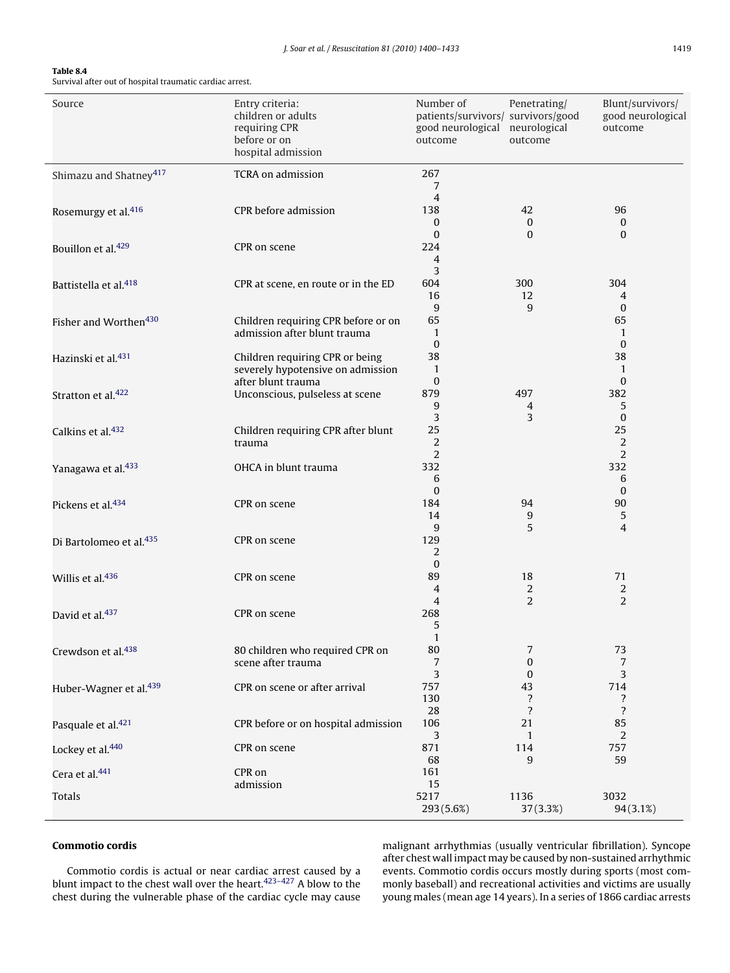## <span id="page-19-0"></span>**Table 8.4**

Survival after out of hospital traumatic cardiac arrest.

| Source                              | Entry criteria:<br>children or adults<br>requiring CPR<br>before or on<br>hospital admission | Number of<br>patients/survivors/ survivors/good<br>good neurological neurological<br>outcome | Penetrating/<br>outcome | Blunt/survivors/<br>good neurological<br>outcome |
|-------------------------------------|----------------------------------------------------------------------------------------------|----------------------------------------------------------------------------------------------|-------------------------|--------------------------------------------------|
| Shimazu and Shatney <sup>417</sup>  | TCRA on admission                                                                            | 267<br>7                                                                                     |                         |                                                  |
| Rosemurgy et al. <sup>416</sup>     | CPR before admission                                                                         | 4<br>138<br>0<br>$\bf{0}$                                                                    | 42<br>0<br>0            | 96<br>0<br>$\mathbf{0}$                          |
| Bouillon et al. <sup>429</sup>      | CPR on scene                                                                                 | 224<br>4<br>3                                                                                |                         |                                                  |
| Battistella et al. <sup>418</sup>   | CPR at scene, en route or in the ED                                                          | 604<br>16<br>9                                                                               | 300<br>12<br>9          | 304<br>4<br>$\bf{0}$                             |
| Fisher and Worthen <sup>430</sup>   | Children requiring CPR before or on<br>admission after blunt trauma                          | 65<br>$\mathbf{1}$<br>$\boldsymbol{0}$                                                       |                         | 65<br>$\mathbf{1}$<br>$\bf{0}$                   |
| Hazinski et al. <sup>431</sup>      | Children requiring CPR or being<br>severely hypotensive on admission<br>after blunt trauma   | 38<br>$\mathbf{1}$<br>$\bf{0}$                                                               |                         | 38<br>$\mathbf{1}$<br>$\bf{0}$                   |
| Stratton et al. <sup>422</sup>      | Unconscious, pulseless at scene                                                              | 879<br>9<br>3                                                                                | 497<br>4<br>3           | 382<br>5<br>$\bf{0}$                             |
| Calkins et al. <sup>432</sup>       | Children requiring CPR after blunt<br>trauma                                                 | 25<br>2<br>$\overline{2}$                                                                    |                         | 25<br>$\boldsymbol{2}$<br>$\overline{2}$         |
| Yanagawa et al. <sup>433</sup>      | OHCA in blunt trauma                                                                         | 332<br>6<br>$\mathbf{0}$                                                                     |                         | 332<br>6<br>$\bf{0}$                             |
| Pickens et al. <sup>434</sup>       | CPR on scene                                                                                 | 184<br>14<br>9                                                                               | 94<br>9<br>5            | 90<br>5<br>4                                     |
| Di Bartolomeo et al. <sup>435</sup> | CPR on scene                                                                                 | 129<br>2<br>$\bf{0}$                                                                         |                         |                                                  |
| Willis et al. <sup>436</sup>        | CPR on scene                                                                                 | 89<br>4<br>$\overline{4}$                                                                    | 18<br>2<br>2            | 71<br>$\overline{c}$<br>$\overline{2}$           |
| David et al. <sup>437</sup>         | CPR on scene                                                                                 | 268<br>5<br>$\mathbf{1}$                                                                     |                         |                                                  |
| Crewdson et al. <sup>438</sup>      | 80 children who required CPR on<br>scene after trauma                                        | 80<br>7<br>3                                                                                 | 7<br>0<br>$\mathbf{0}$  | 73<br>7<br>3                                     |
| Huber-Wagner et al. <sup>439</sup>  | CPR on scene or after arrival                                                                | 757<br>130<br>28                                                                             | 43<br>?<br>?            | 714<br>?<br>$\overline{\mathcal{E}}$             |
| Pasquale et al. <sup>421</sup>      | CPR before or on hospital admission                                                          | 106<br>3                                                                                     | 21<br>1                 | 85<br>2                                          |
| Lockey et al. <sup>440</sup>        | CPR on scene                                                                                 | 871<br>68                                                                                    | 114<br>9                | 757<br>59                                        |
| Cera et al. <sup>441</sup>          | CPR on                                                                                       | 161                                                                                          |                         |                                                  |
| <b>Totals</b>                       | admission                                                                                    | 15<br>5217<br>293 (5.6%)                                                                     | 1136<br>37(3.3%)        | 3032<br>94(3.1%)                                 |

# **Commotio cordis**

Commotio cordis is actual or near cardiac arrest caused by a blunt impact to the chest wall over the heart.<sup>423-427</sup> A blow to the chest during the vulnerable phase of the cardiac cycle may cause malignant arrhythmias (usually ventricular fibrillation). Syncope after chest wall impact may be caused by non-sustained arrhythmic events. Commotio cordis occurs mostly during sports (most commonly baseball) and recreational activities and victims are usually young males (mean age 14 years). In a series of 1866 cardiac arrests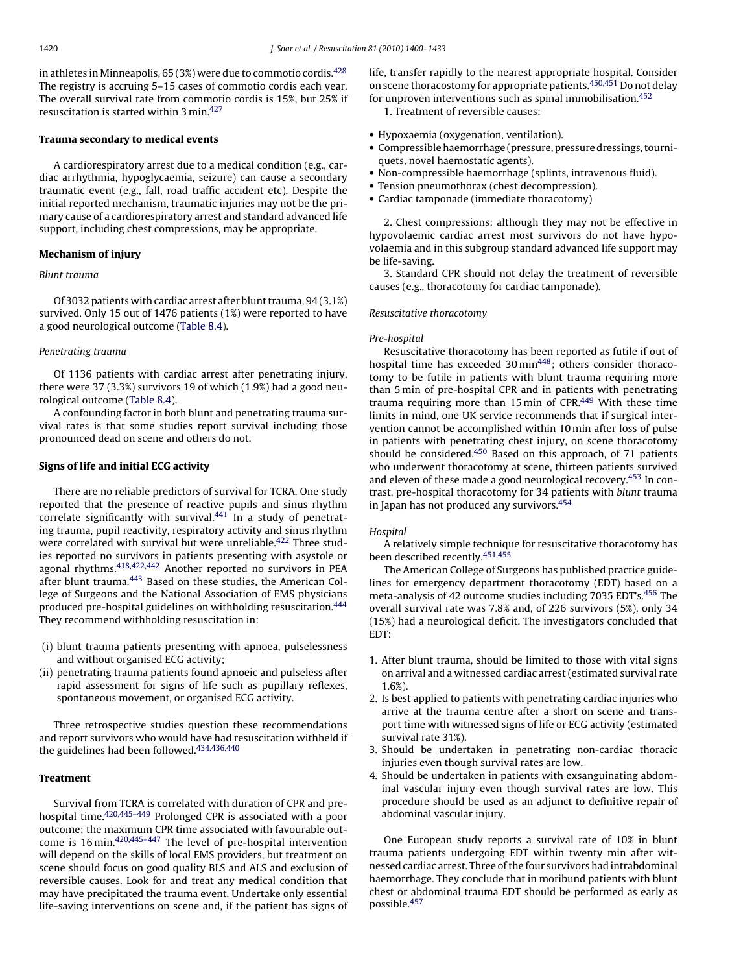in athletes in Minneapolis, 65 (3%) were due to commotio cordis.<sup>428</sup> The registry is accruing 5–15 cases of commotio cordis each year. The overall survival rate from commotio cordis is 15%, but 25% if resuscitation is started within 3 min[.427](#page-31-0)

## **Trauma secondary to medical events**

A cardiorespiratory arrest due to a medical condition (e.g., cardiac arrhythmia, hypoglycaemia, seizure) can cause a secondary traumatic event (e.g., fall, road traffic accident etc). Despite the initial reported mechanism, traumatic injuries may not be the primary cause of a cardiorespiratory arrest and standard advanced life support, including chest compressions, may be appropriate.

# **Mechanism of injury**

# Blunt trauma

Of 3032 patients with cardiac arrest after blunt trauma, 94 (3.1%) survived. Only 15 out of 1476 patients (1%) were reported to have a good neurological outcome [\(Table 8.4\).](#page-19-0)

## Penetrating trauma

Of 1136 patients with cardiac arrest after penetrating injury, there were 37 (3.3%) survivors 19 of which (1.9%) had a good neurological outcome ([Table 8.4\).](#page-19-0)

A confounding factor in both blunt and penetrating trauma survival rates is that some studies report survival including those pronounced dead on scene and others do not.

#### **Signs of life and initial ECG activity**

There are no reliable predictors of survival for TCRA. One study reported that the presence of reactive pupils and sinus rhythm correlate significantly with survival. $441$  In a study of penetrating trauma, pupil reactivity, respiratory activity and sinus rhythm were correlated with survival but were unreliable[.422](#page-31-0) Three studies reported no survivors in patients presenting with asystole or agonal rhythms[.418,422,442](#page-31-0) Another reported no survivors in PEA after blunt trauma.[443](#page-32-0) Based on these studies, the American College of Surgeons and the National Association of EMS physicians produced pre-hospital guidelines on withholding resuscitation[.444](#page-32-0) They recommend withholding resuscitation in:

- (i) blunt trauma patients presenting with apnoea, pulselessness and without organised ECG activity;
- (ii) penetrating trauma patients found apnoeic and pulseless after rapid assessment for signs of life such as pupillary reflexes, spontaneous movement, or organised ECG activity.

Three retrospective studies question these recommendations and report survivors who would have had resuscitation withheld if the guidelines had been followed[.434,436,440](#page-32-0)

# **Treatment**

Survival from TCRA is correlated with duration of CPR and prehospital time[.420,445–449](#page-31-0) Prolonged CPR is associated with a poor outcome; the maximum CPR time associated with favourable outcome is 16 min.[420,445–447](#page-31-0) The level of pre-hospital intervention will depend on the skills of local EMS providers, but treatment on scene should focus on good quality BLS and ALS and exclusion of reversible causes. Look for and treat any medical condition that may have precipitated the trauma event. Undertake only essential life-saving interventions on scene and, if the patient has signs of life, transfer rapidly to the nearest appropriate hospital. Consider on scene thoracostomy for appropriate patients[.450,451](#page-32-0) Do not delay for unproven interventions such as spinal immobilisation.<sup>[452](#page-32-0)</sup> 1. Treatment of reversible causes:

• Hypoxaemia (oxygenation, ventilation).

- Compressible haemorrhage (pressure, pressure dressings, tourniquets, novel haemostatic agents).
- Non-compressible haemorrhage (splints, intravenous fluid).
- Tension pneumothorax (chest decompression).
- Cardiac tamponade (immediate thoracotomy)

2. Chest compressions: although they may not be effective in hypovolaemic cardiac arrest most survivors do not have hypovolaemia and in this subgroup standard advanced life support may be life-saving.

3. Standard CPR should not delay the treatment of reversible causes (e.g., thoracotomy for cardiac tamponade).

#### Resuscitative thoracotomy

## Pre-hospital

Resuscitative thoracotomy has been reported as futile if out of hospital time has exceeded 30 min<sup>448</sup>; others consider thoracotomy to be futile in patients with blunt trauma requiring more than 5 min of pre-hospital CPR and in patients with penetrating trauma requiring more than 15 min of CPR.<sup>[449](#page-32-0)</sup> With these time limits in mind, one UK service recommends that if surgical intervention cannot be accomplished within 10 min after loss of pulse in patients with penetrating chest injury, on scene thoracotomy should be considered.[450](#page-32-0) Based on this approach, of 71 patients who underwent thoracotomy at scene, thirteen patients survived and eleven of these made a good neurological recovery.<sup>[453](#page-32-0)</sup> In contrast, pre-hospital thoracotomy for 34 patients with blunt trauma in Japan has not produced any survivors.<sup>[454](#page-32-0)</sup>

## Hospital

A relatively simple technique for resuscitative thoracotomy has been described recently[.451,455](#page-32-0)

The American College of Surgeons has published practice guidelines for emergency department thoracotomy (EDT) based on a meta-analysis of 42 outcome studies including 7035 EDT's.<sup>[456](#page-32-0)</sup> The overall survival rate was 7.8% and, of 226 survivors (5%), only 34 (15%) had a neurological deficit. The investigators concluded that EDT:

- 1. After blunt trauma, should be limited to those with vital signs on arrival and a witnessed cardiac arrest (estimated survival rate 1.6%).
- 2. Is best applied to patients with penetrating cardiac injuries who arrive at the trauma centre after a short on scene and transport time with witnessed signs of life or ECG activity (estimated survival rate 31%).
- 3. Should be undertaken in penetrating non-cardiac thoracic injuries even though survival rates are low.
- 4. Should be undertaken in patients with exsanguinating abdominal vascular injury even though survival rates are low. This procedure should be used as an adjunct to definitive repair of abdominal vascular injury.

One European study reports a survival rate of 10% in blunt trauma patients undergoing EDT within twenty min after witnessed cardiac arrest. Three of the four survivors had intrabdominal haemorrhage. They conclude that in moribund patients with blunt chest or abdominal trauma EDT should be performed as early as possible.[457](#page-32-0)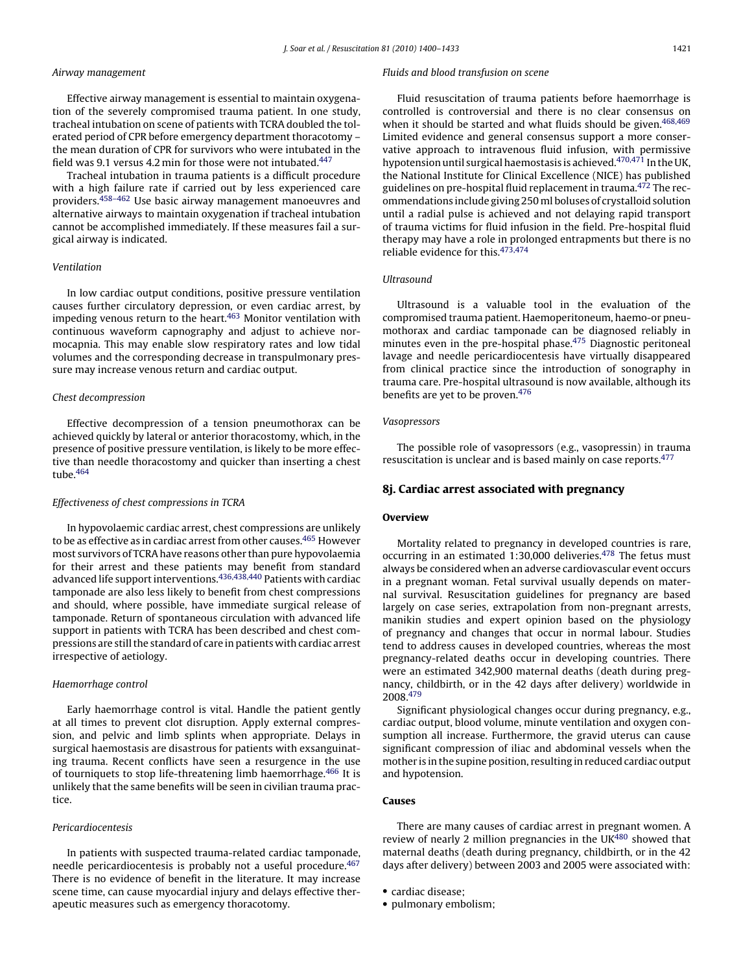## Airway management

Effective airway management is essential to maintain oxygenation of the severely compromised trauma patient. In one study, tracheal intubation on scene of patients with TCRA doubled the tolerated period of CPR before emergency department thoracotomy – the mean duration of CPR for survivors who were intubated in the field was 9.1 versus 4.2 min for those were not intubated.<sup>447</sup>

Tracheal intubation in trauma patients is a difficult procedure with a high failure rate if carried out by less experienced care providers[.458–462](#page-32-0) Use basic airway management manoeuvres and alternative airways to maintain oxygenation if tracheal intubation cannot be accomplished immediately. If these measures fail a surgical airway is indicated.

# Ventilation

In low cardiac output conditions, positive pressure ventilation causes further circulatory depression, or even cardiac arrest, by impeding venous return to the heart.<sup>463</sup> Monitor ventilation with continuous waveform capnography and adjust to achieve normocapnia. This may enable slow respiratory rates and low tidal volumes and the corresponding decrease in transpulmonary pressure may increase venous return and cardiac output.

## Chest decompression

Effective decompression of a tension pneumothorax can be achieved quickly by lateral or anterior thoracostomy, which, in the presence of positive pressure ventilation, is likely to be more effective than needle thoracostomy and quicker than inserting a chest tube.<sup>[464](#page-32-0)</sup>

## Effectiveness of chest compressions in TCRA

In hypovolaemic cardiac arrest, chest compressions are unlikely to be as effective as in cardiac arrest from other causes.<sup>[465](#page-32-0)</sup> However most survivors of TCRA have reasons other than pure hypovolaemia for their arrest and these patients may benefit from standard advanced life support interventions[.436,438,440](#page-32-0) Patients with cardiac tamponade are also less likely to benefit from chest compressions and should, where possible, have immediate surgical release of tamponade. Return of spontaneous circulation with advanced life support in patients with TCRA has been described and chest compressions are still the standard of care in patients with cardiac arrest irrespective of aetiology.

#### Haemorrhage control

Early haemorrhage control is vital. Handle the patient gently at all times to prevent clot disruption. Apply external compression, and pelvic and limb splints when appropriate. Delays in surgical haemostasis are disastrous for patients with exsanguinating trauma. Recent conflicts have seen a resurgence in the use of tourniquets to stop life-threatening limb haemorrhage.<sup>[466](#page-32-0)</sup> It is unlikely that the same benefits will be seen in civilian trauma practice.

# Pericardiocentesis

In patients with suspected trauma-related cardiac tamponade, needle pericardiocentesis is probably not a useful procedure.<sup>[467](#page-32-0)</sup> There is no evidence of benefit in the literature. It may increase scene time, can cause myocardial injury and delays effective therapeutic measures such as emergency thoracotomy.

#### Fluids and blood transfusion on scene

Fluid resuscitation of trauma patients before haemorrhage is controlled is controversial and there is no clear consensus on when it should be started and what fluids should be given.<sup>468,469</sup> Limited evidence and general consensus support a more conservative approach to intravenous fluid infusion, with permissive hypotension until surgical haemostasis is achieved.<sup>470,471</sup> In the UK, the National Institute for Clinical Excellence (NICE) has published guidelines on pre-hospital fluid replacement in trauma[.472](#page-32-0) The recommendations include giving 250 ml boluses of crystalloid solution until a radial pulse is achieved and not delaying rapid transport of trauma victims for fluid infusion in the field. Pre-hospital fluid therapy may have a role in prolonged entrapments but there is no reliable evidence for this[.473,474](#page-32-0)

# Ultrasound

Ultrasound is a valuable tool in the evaluation of the compromised trauma patient. Haemoperitoneum, haemo-or pneumothorax and cardiac tamponade can be diagnosed reliably in minutes even in the pre-hospital phase.<sup>475</sup> Diagnostic peritoneal lavage and needle pericardiocentesis have virtually disappeared from clinical practice since the introduction of sonography in trauma care. Pre-hospital ultrasound is now available, although its benefits are yet to be proven.<sup>[476](#page-32-0)</sup>

#### Vasopressors

The possible role of vasopressors (e.g., vasopressin) in trauma resuscitation is unclear and is based mainly on case reports[.477](#page-32-0)

# **8j. Cardiac arrest associated with pregnancy**

#### **Overview**

Mortality related to pregnancy in developed countries is rare, occurring in an estimated 1:30,000 deliveries[.478](#page-32-0) The fetus must always be considered when an adverse cardiovascular event occurs in a pregnant woman. Fetal survival usually depends on maternal survival. Resuscitation guidelines for pregnancy are based largely on case series, extrapolation from non-pregnant arrests, manikin studies and expert opinion based on the physiology of pregnancy and changes that occur in normal labour. Studies tend to address causes in developed countries, whereas the most pregnancy-related deaths occur in developing countries. There were an estimated 342,900 maternal deaths (death during pregnancy, childbirth, or in the 42 days after delivery) worldwide in 2008[.479](#page-32-0)

Significant physiological changes occur during pregnancy, e.g., cardiac output, blood volume, minute ventilation and oxygen consumption all increase. Furthermore, the gravid uterus can cause significant compression of iliac and abdominal vessels when the mother is in the supine position, resulting in reduced cardiac output and hypotension.

## **Causes**

There are many causes of cardiac arrest in pregnant women. A review of nearly 2 million pregnancies in the UK[480](#page-32-0) showed that maternal deaths (death during pregnancy, childbirth, or in the 42 days after delivery) between 2003 and 2005 were associated with:

- cardiac disease;
- pulmonary embolism;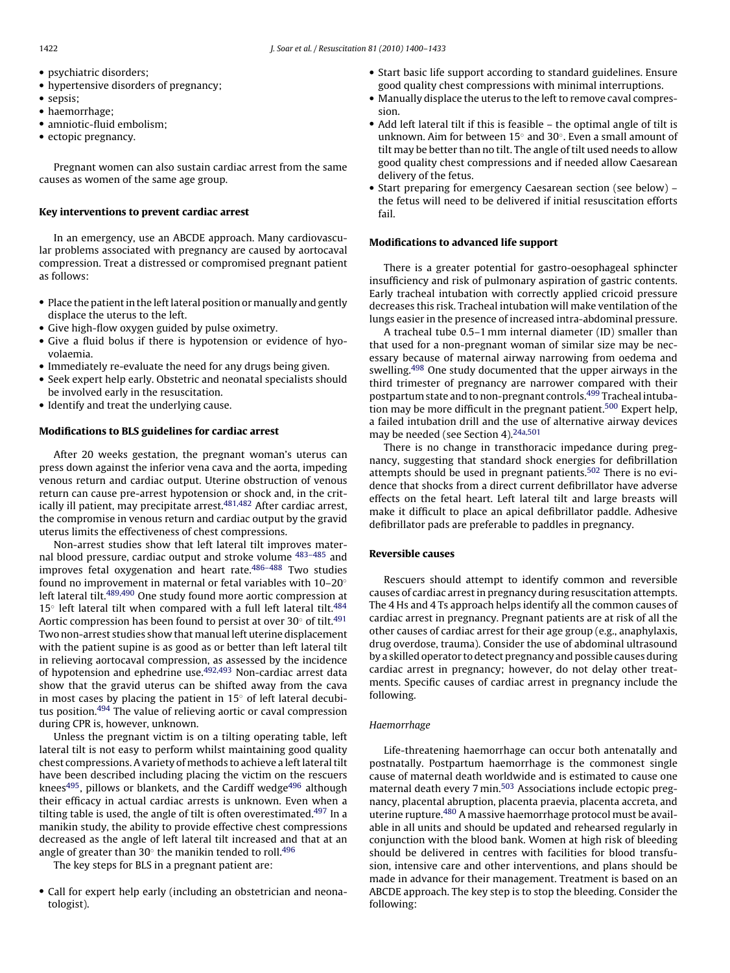- psychiatric disorders;
- hypertensive disorders of pregnancy;
- sepsis;
- haemorrhage;
- amniotic-fluid embolism;
- ectopic pregnancy.

Pregnant women can also sustain cardiac arrest from the same causes as women of the same age group.

## **Key interventions to prevent cardiac arrest**

In an emergency, use an ABCDE approach. Many cardiovascular problems associated with pregnancy are caused by aortocaval compression. Treat a distressed or compromised pregnant patient as follows:

- Place the patient in the left lateral position or manually and gently displace the uterus to the left.
- Give high-flow oxygen guided by pulse oximetry.
- Give a fluid bolus if there is hypotension or evidence of hyovolaemia.
- Immediately re-evaluate the need for any drugs being given.
- Seek expert help early. Obstetric and neonatal specialists should be involved early in the resuscitation.
- Identify and treat the underlying cause.

# **Modifications to BLS guidelines for cardiac arrest**

After 20 weeks gestation, the pregnant woman's uterus can press down against the inferior vena cava and the aorta, impeding venous return and cardiac output. Uterine obstruction of venous return can cause pre-arrest hypotension or shock and, in the critically ill patient, may precipitate arrest.<sup>481,482</sup> After cardiac arrest, the compromise in venous return and cardiac output by the gravid uterus limits the effectiveness of chest compressions.

Non-arrest studies show that left lateral tilt improves maternal blood pressure, cardiac output and stroke volume [483–485](#page-32-0) and improves fetal oxygenation and heart rate[.486–488](#page-32-0) Two studies found no improvement in maternal or fetal variables with 10–20◦ left lateral tilt.[489,490](#page-32-0) One study found more aortic compression at 15° left lateral tilt when compared with a full left lateral tilt.<sup>484</sup> Aortic compression has been found to persist at over 30 $^{\circ}$  of tilt.<sup>491</sup> Two non-arrest studies show that manual left uterine displacement with the patient supine is as good as or better than left lateral tilt in relieving aortocaval compression, as assessed by the incidence of hypotension and ephedrine use[.492,493](#page-32-0) Non-cardiac arrest data show that the gravid uterus can be shifted away from the cava in most cases by placing the patient in 15◦ of left lateral decubitus position[.494](#page-32-0) The value of relieving aortic or caval compression during CPR is, however, unknown.

Unless the pregnant victim is on a tilting operating table, left lateral tilt is not easy to perform whilst maintaining good quality chest compressions. A variety of methods to achieve a left lateral tilt have been described including placing the victim on the rescuers knees<sup>495</sup>, pillows or blankets, and the Cardiff wedge<sup>496</sup> although their efficacy in actual cardiac arrests is unknown. Even when a tilting table is used, the angle of tilt is often overestimated. $497$  In a manikin study, the ability to provide effective chest compressions decreased as the angle of left lateral tilt increased and that at an angle of greater than 30 $\degree$  the manikin tended to roll.<sup>496</sup>

The key steps for BLS in a pregnant patient are:

• Call for expert help early (including an obstetrician and neonatologist).

- Start basic life support according to standard guidelines. Ensure good quality chest compressions with minimal interruptions.
- Manually displace the uterus to the left to remove caval compression.
- Add left lateral tilt if this is feasible the optimal angle of tilt is unknown. Aim for between 15◦ and 30◦. Even a small amount of tilt may be better than no tilt. The angle of tilt used needs to allow good quality chest compressions and if needed allow Caesarean delivery of the fetus.
- Start preparing for emergency Caesarean section (see below) the fetus will need to be delivered if initial resuscitation efforts fail.

# **Modifications to advanced life support**

There is a greater potential for gastro-oesophageal sphincter insufficiency and risk of pulmonary aspiration of gastric contents. Early tracheal intubation with correctly applied cricoid pressure decreases this risk. Tracheal intubation will make ventilation of the lungs easier in the presence of increased intra-abdominal pressure.

A tracheal tube 0.5–1 mm internal diameter (ID) smaller than that used for a non-pregnant woman of similar size may be necessary because of maternal airway narrowing from oedema and swelling.<sup>498</sup> One study documented that the upper airways in the third trimester of pregnancy are narrower compared with their postpartum state and to non-pregnant controls.[499](#page-33-0) Tracheal intuba-tion may be more difficult in the pregnant patient.<sup>[500](#page-33-0)</sup> Expert help, a failed intubation drill and the use of alternative airway devices may be needed (see Section 4).<sup>[24a,501](#page-25-0)</sup>

There is no change in transthoracic impedance during pregnancy, suggesting that standard shock energies for defibrillation attempts should be used in pregnant patients.<sup>502</sup> There is no evidence that shocks from a direct current defibrillator have adverse effects on the fetal heart. Left lateral tilt and large breasts will make it difficult to place an apical defibrillator paddle. Adhesive defibrillator pads are preferable to paddles in pregnancy.

### **Reversible causes**

Rescuers should attempt to identify common and reversible causes of cardiac arrest in pregnancy during resuscitation attempts. The 4 Hs and 4 Ts approach helps identify all the common causes of cardiac arrest in pregnancy. Pregnant patients are at risk of all the other causes of cardiac arrest for their age group (e.g., anaphylaxis, drug overdose, trauma). Consider the use of abdominal ultrasound by a skilled operator to detect pregnancy and possible causes during cardiac arrest in pregnancy; however, do not delay other treatments. Specific causes of cardiac arrest in pregnancy include the following.

## Haemorrhage

Life-threatening haemorrhage can occur both antenatally and postnatally. Postpartum haemorrhage is the commonest single cause of maternal death worldwide and is estimated to cause one maternal death every 7 min.<sup>[503](#page-33-0)</sup> Associations include ectopic pregnancy, placental abruption, placenta praevia, placenta accreta, and uterine rupture.[480](#page-32-0) A massive haemorrhage protocol must be available in all units and should be updated and rehearsed regularly in conjunction with the blood bank. Women at high risk of bleeding should be delivered in centres with facilities for blood transfusion, intensive care and other interventions, and plans should be made in advance for their management. Treatment is based on an ABCDE approach. The key step is to stop the bleeding. Consider the following: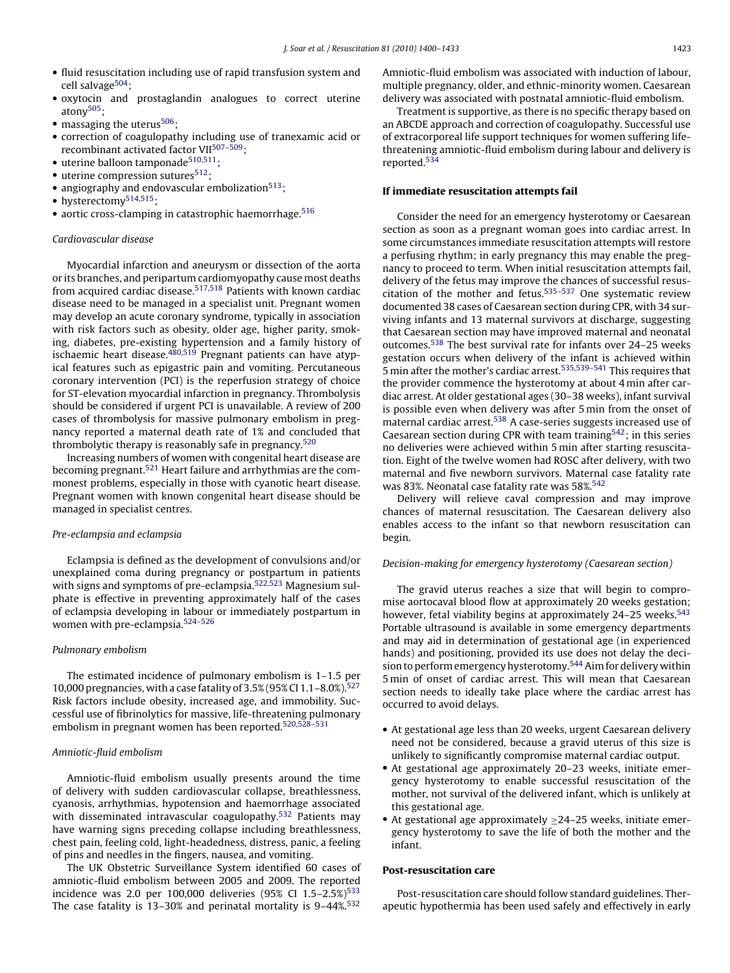- fluid resuscitation including use of rapid transfusion system and cell salvage<sup>504</sup>;
- oxytocin and prostaglandin analogues to correct uterine atony[505;](#page-33-0)
- massaging the uterus<sup>506</sup>:
- correction of coagulopathy including use of tranexamic acid or recombinant activated factor VII<sup>507-509</sup>;
- uterine balloon tamponade<sup>510,511</sup>;
- uterine compression sutures<sup>512</sup>:
- angiography and endovascular embolization $513$ ;
- hysterectomy<sup>514,515</sup>;
- aortic cross-clamping in catastrophic haemorrhage.<sup>[516](#page-33-0)</sup>

#### Cardiovascular disease

Myocardial infarction and aneurysm or dissection of the aorta or its branches, and peripartum cardiomyopathy cause most deaths from acquired cardiac disease.[517,518](#page-33-0) Patients with known cardiac disease need to be managed in a specialist unit. Pregnant women may develop an acute coronary syndrome, typically in association with risk factors such as obesity, older age, higher parity, smoking, diabetes, pre-existing hypertension and a family history of ischaemic heart disease.<sup>480,519</sup> Pregnant patients can have atypical features such as epigastric pain and vomiting. Percutaneous coronary intervention (PCI) is the reperfusion strategy of choice for ST-elevation myocardial infarction in pregnancy. Thrombolysis should be considered if urgent PCI is unavailable. A review of 200 cases of thrombolysis for massive pulmonary embolism in pregnancy reported a maternal death rate of 1% and concluded that thrombolytic therapy is reasonably safe in pregnancy.<sup>520</sup>

Increasing numbers of women with congenital heart disease are becoming pregnant.[521](#page-33-0) Heart failure and arrhythmias are the commonest problems, especially in those with cyanotic heart disease. Pregnant women with known congenital heart disease should be managed in specialist centres.

#### Pre-eclampsia and eclampsia

Eclampsia is defined as the development of convulsions and/or unexplained coma during pregnancy or postpartum in patients with signs and symptoms of pre-eclampsia.<sup>[522,523](#page-33-0)</sup> Magnesium sulphate is effective in preventing approximately half of the cases of eclampsia developing in labour or immediately postpartum in women with pre-eclampsia.[524–526](#page-33-0)

# Pulmonary embolism

The estimated incidence of pulmonary embolism is 1–1.5 per 10,000 pregnancies, with a case fatality of  $3.5\%$  (95% CI 1.1–8.0%).<sup>[527](#page-33-0)</sup> Risk factors include obesity, increased age, and immobility. Successful use of fibrinolytics for massive, life-threatening pulmonary embolism in pregnant women has been reported.[520,528–531](#page-33-0)

## Amniotic-fluid embolism

Amniotic-fluid embolism usually presents around the time of delivery with sudden cardiovascular collapse, breathlessness, cyanosis, arrhythmias, hypotension and haemorrhage associated with disseminated intravascular coagulopathy.<sup>532</sup> Patients may have warning signs preceding collapse including breathlessness, chest pain, feeling cold, light-headedness, distress, panic, a feeling of pins and needles in the fingers, nausea, and vomiting.

The UK Obstetric Surveillance System identified 60 cases of amniotic-fluid embolism between 2005 and 2009. The reported incidence was 2.0 per 100,000 deliveries (95% CI 1.5-2.5%)<sup>[533](#page-33-0)</sup> The case fatality is 13-30% and perinatal mortality is 9-44%.<sup>[532](#page-33-0)</sup>

Amniotic-fluid embolism was associated with induction of labour, multiple pregnancy, older, and ethnic-minority women. Caesarean delivery was associated with postnatal amniotic-fluid embolism.

Treatment is supportive, as there is no specific therapy based on an ABCDE approach and correction of coagulopathy. Successful use of extracorporeal life support techniques for women suffering lifethreatening amniotic-fluid embolism during labour and delivery is reported[.534](#page-33-0)

#### **If immediate resuscitation attempts fail**

Consider the need for an emergency hysterotomy or Caesarean section as soon as a pregnant woman goes into cardiac arrest. In some circumstances immediate resuscitation attempts will restore a perfusing rhythm; in early pregnancy this may enable the pregnancy to proceed to term. When initial resuscitation attempts fail, delivery of the fetus may improve the chances of successful resuscitation of the mother and fetus[.535–537](#page-33-0) One systematic review documented 38 cases of Caesarean section during CPR, with 34 surviving infants and 13 maternal survivors at discharge, suggesting that Caesarean section may have improved maternal and neonatal outcomes[.538](#page-33-0) The best survival rate for infants over 24–25 weeks gestation occurs when delivery of the infant is achieved within 5 min after the mother's cardiac arrest.[535,539–541](#page-33-0) This requires that the provider commence the hysterotomy at about 4 min after cardiac arrest. At older gestational ages (30–38 weeks), infant survival is possible even when delivery was after 5 min from the onset of maternal cardiac arrest.<sup>[538](#page-33-0)</sup> A case-series suggests increased use of Caesarean section during CPR with team training<sup>542</sup>; in this series no deliveries were achieved within 5 min after starting resuscitation. Eight of the twelve women had ROSC after delivery, with two maternal and five newborn survivors. Maternal case fatality rate was 83%. Neonatal case fatality rate was 58%[.542](#page-33-0)

Delivery will relieve caval compression and may improve chances of maternal resuscitation. The Caesarean delivery also enables access to the infant so that newborn resuscitation can begin.

#### Decision-making for emergency hysterotomy (Caesarean section)

The gravid uterus reaches a size that will begin to compromise aortocaval blood flow at approximately 20 weeks gestation; however, fetal viability begins at approximately 24-25 weeks.<sup>543</sup> Portable ultrasound is available in some emergency departments and may aid in determination of gestational age (in experienced hands) and positioning, provided its use does not delay the decision to perform emergency hysterotomy.[544](#page-33-0) Aim for delivery within 5 min of onset of cardiac arrest. This will mean that Caesarean section needs to ideally take place where the cardiac arrest has occurred to avoid delays.

- At gestational age less than 20 weeks, urgent Caesarean delivery need not be considered, because a gravid uterus of this size is unlikely to significantly compromise maternal cardiac output.
- At gestational age approximately 20–23 weeks, initiate emergency hysterotomy to enable successful resuscitation of the mother, not survival of the delivered infant, which is unlikely at this gestational age.
- At gestational age approximately  $\geq$ 24-25 weeks, initiate emergency hysterotomy to save the life of both the mother and the infant.

#### **Post-resuscitation care**

Post-resuscitation care should follow standard guidelines. Therapeutic hypothermia has been used safely and effectively in early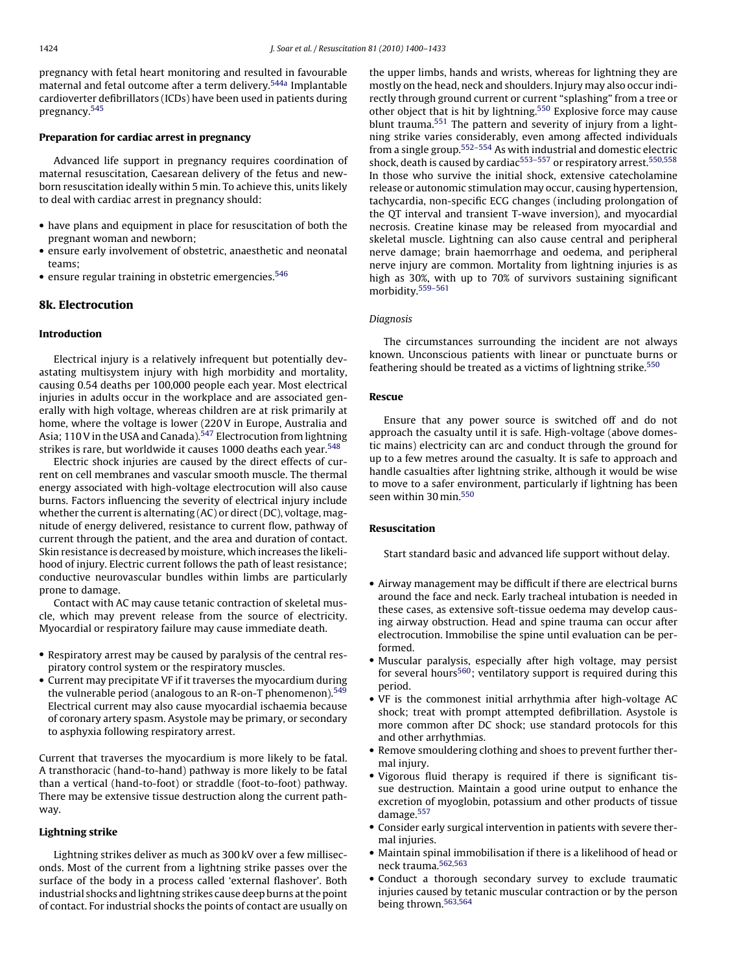pregnancy with fetal heart monitoring and resulted in favourable maternal and fetal outcome after a term delivery.[544a](#page-33-0) Implantable cardioverter defibrillators (ICDs) have been used in patients during pregnancy.[545](#page-33-0)

## **Preparation for cardiac arrest in pregnancy**

Advanced life support in pregnancy requires coordination of maternal resuscitation, Caesarean delivery of the fetus and newborn resuscitation ideally within 5 min. To achieve this, units likely to deal with cardiac arrest in pregnancy should:

- have plans and equipment in place for resuscitation of both the pregnant woman and newborn;
- ensure early involvement of obstetric, anaesthetic and neonatal teams;
- ensure regular training in obstetric emergencies.<sup>546</sup>

# **8k. Electrocution**

#### **Introduction**

Electrical injury is a relatively infrequent but potentially devastating multisystem injury with high morbidity and mortality, causing 0.54 deaths per 100,000 people each year. Most electrical injuries in adults occur in the workplace and are associated generally with high voltage, whereas children are at risk primarily at home, where the voltage is lower (220 V in Europe, Australia and Asia; 110 V in the USA and Canada).<sup>[547](#page-33-0)</sup> Electrocution from lightning strikes is rare, but worldwide it causes 1000 deaths each year.<sup>548</sup>

Electric shock injuries are caused by the direct effects of current on cell membranes and vascular smooth muscle. The thermal energy associated with high-voltage electrocution will also cause burns. Factors influencing the severity of electrical injury include whether the current is alternating (AC) or direct (DC), voltage, magnitude of energy delivered, resistance to current flow, pathway of current through the patient, and the area and duration of contact. Skin resistance is decreased by moisture, which increases the likelihood of injury. Electric current follows the path of least resistance; conductive neurovascular bundles within limbs are particularly prone to damage.

Contact with AC may cause tetanic contraction of skeletal muscle, which may prevent release from the source of electricity. Myocardial or respiratory failure may cause immediate death.

- Respiratory arrest may be caused by paralysis of the central respiratory control system or the respiratory muscles.
- Current may precipitate VF if it traverses the myocardium during the vulnerable period (analogous to an R-on-T phenomenon).<sup>549</sup> Electrical current may also cause myocardial ischaemia because of coronary artery spasm. Asystole may be primary, or secondary to asphyxia following respiratory arrest.

Current that traverses the myocardium is more likely to be fatal. A transthoracic (hand-to-hand) pathway is more likely to be fatal than a vertical (hand-to-foot) or straddle (foot-to-foot) pathway. There may be extensive tissue destruction along the current pathway.

## **Lightning strike**

Lightning strikes deliver as much as 300 kV over a few milliseconds. Most of the current from a lightning strike passes over the surface of the body in a process called 'external flashover'. Both industrial shocks and lightning strikes cause deep burns at the point of contact. For industrial shocks the points of contact are usually on the upper limbs, hands and wrists, whereas for lightning they are mostly on the head, neck and shoulders. Injury may also occur indirectly through ground current or current "splashing" from a tree or other object that is hit by lightning[.550](#page-33-0) Explosive force may cause blunt trauma.<sup>551</sup> The pattern and severity of injury from a lightning strike varies considerably, even among affected individuals from a single group[.552–554](#page-33-0) As with industrial and domestic electric shock, death is caused by cardiac<sup>553–557</sup> or respiratory arrest.<sup>550,558</sup> In those who survive the initial shock, extensive catecholamine release or autonomic stimulation may occur, causing hypertension, tachycardia, non-specific ECG changes (including prolongation of the QT interval and transient T-wave inversion), and myocardial necrosis. Creatine kinase may be released from myocardial and skeletal muscle. Lightning can also cause central and peripheral nerve damage; brain haemorrhage and oedema, and peripheral nerve injury are common. Mortality from lightning injuries is as high as 30%, with up to 70% of survivors sustaining significant morbidity[.559–561](#page-33-0)

## Diagnosis

The circumstances surrounding the incident are not always known. Unconscious patients with linear or punctuate burns or feathering should be treated as a victims of lightning strike.<sup>[550](#page-33-0)</sup>

## **Rescue**

Ensure that any power source is switched off and do not approach the casualty until it is safe. High-voltage (above domestic mains) electricity can arc and conduct through the ground for up to a few metres around the casualty. It is safe to approach and handle casualties after lightning strike, although it would be wise to move to a safer environment, particularly if lightning has been seen within 30 min.<sup>550</sup>

## **Resuscitation**

Start standard basic and advanced life support without delay.

- Airway management may be difficult if there are electrical burns around the face and neck. Early tracheal intubation is needed in these cases, as extensive soft-tissue oedema may develop causing airway obstruction. Head and spine trauma can occur after electrocution. Immobilise the spine until evaluation can be performed.
- Muscular paralysis, especially after high voltage, may persist for several hours<sup>560</sup>; ventilatory support is required during this period.
- VF is the commonest initial arrhythmia after high-voltage AC shock; treat with prompt attempted defibrillation. Asystole is more common after DC shock; use standard protocols for this and other arrhythmias.
- Remove smouldering clothing and shoes to prevent further thermal injury.
- Vigorous fluid therapy is required if there is significant tissue destruction. Maintain a good urine output to enhance the excretion of myoglobin, potassium and other products of tissue damage.[557](#page-33-0)
- Consider early surgical intervention in patients with severe thermal injuries.
- Maintain spinal immobilisation if there is a likelihood of head or neck trauma[.562,563](#page-33-0)
- Conduct a thorough secondary survey to exclude traumatic injuries caused by tetanic muscular contraction or by the person being thrown.<sup>563,564</sup>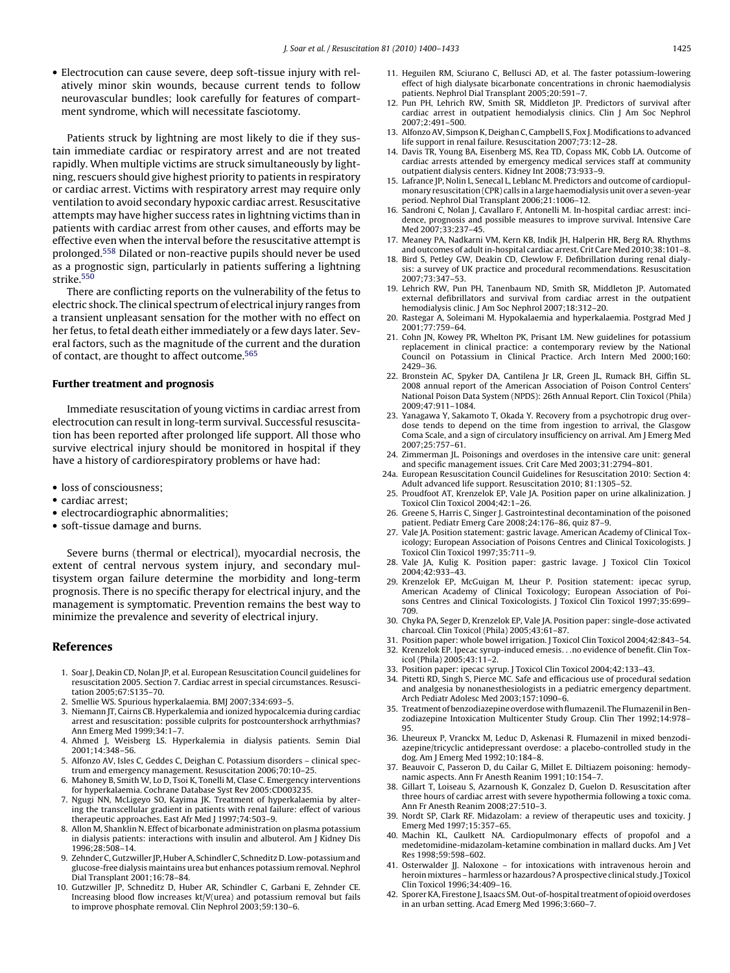<span id="page-25-0"></span>• Electrocution can cause severe, deep soft-tissue injury with relatively minor skin wounds, because current tends to follow neurovascular bundles; look carefully for features of compartment syndrome, which will necessitate fasciotomy.

Patients struck by lightning are most likely to die if they sustain immediate cardiac or respiratory arrest and are not treated rapidly. When multiple victims are struck simultaneously by lightning, rescuers should give highest priority to patients in respiratory or cardiac arrest. Victims with respiratory arrest may require only ventilation to avoid secondary hypoxic cardiac arrest. Resuscitative attempts may have higher success rates in lightning victims than in patients with cardiac arrest from other causes, and efforts may be effective even when the interval before the resuscitative attempt is prolonged.[558](#page-33-0) Dilated or non-reactive pupils should never be used as a prognostic sign, particularly in patients suffering a lightning strike[.550](#page-33-0)

There are conflicting reports on the vulnerability of the fetus to electric shock. The clinical spectrum of electrical injury ranges from a transient unpleasant sensation for the mother with no effect on her fetus, to fetal death either immediately or a few days later. Several factors, such as the magnitude of the current and the duration of contact, are thought to affect outcome.<sup>[565](#page-33-0)</sup>

## **Further treatment and prognosis**

Immediate resuscitation of young victims in cardiac arrest from electrocution can result in long-term survival. Successful resuscitation has been reported after prolonged life support. All those who survive electrical injury should be monitored in hospital if they have a history of cardiorespiratory problems or have had:

- loss of consciousness;
- cardiac arrest;
- electrocardiographic abnormalities;
- soft-tissue damage and burns.

Severe burns (thermal or electrical), myocardial necrosis, the extent of central nervous system injury, and secondary multisystem organ failure determine the morbidity and long-term prognosis. There is no specific therapy for electrical injury, and the management is symptomatic. Prevention remains the best way to minimize the prevalence and severity of electrical injury.

#### **References**

- 1. Soar J, Deakin CD, Nolan JP, et al. European Resuscitation Council guidelines for resuscitation 2005. Section 7. Cardiac arrest in special circumstances. Resuscitation 2005;67:S135–70.
- 2. Smellie WS. Spurious hyperkalaemia. BMJ 2007;334:693–5.
- 3. Niemann JT, Cairns CB. Hyperkalemia and ionized hypocalcemia during cardiac arrest and resuscitation: possible culprits for postcountershock arrhythmias? Ann Emerg Med 1999;34:1–7.
- 4. Ahmed J, Weisberg LS. Hyperkalemia in dialysis patients. Semin Dial  $2001 \cdot 14 \cdot 348 - 56$
- 5. Alfonzo AV, Isles C, Geddes C, Deighan C. Potassium disorders clinical spectrum and emergency management. Resuscitation 2006;70:10–25.
- 6. Mahoney B, Smith W, Lo D, Tsoi K, Tonelli M, Clase C. Emergency interventions for hyperkalaemia. Cochrane Database Syst Rev 2005:CD003235.
- 7. Ngugi NN, McLigeyo SO, Kayima JK. Treatment of hyperkalaemia by altering the transcellular gradient in patients with renal failure: effect of various therapeutic approaches. East Afr Med J 1997;74:503–9.
- 8. Allon M, Shanklin N. Effect of bicarbonate administration on plasma potassium in dialysis patients: interactions with insulin and albuterol. Am J Kidney Dis 1996;28:508–14.
- 9. Zehnder C, Gutzwiller JP, Huber A, Schindler C, Schneditz D. Low-potassium and glucose-free dialysis maintains urea but enhances potassium removal. Nephrol Dial Transplant 2001;16:78–84.
- 10. Gutzwiller JP, Schneditz D, Huber AR, Schindler C, Garbani E, Zehnder CE. Increasing blood flow increases kt/V(urea) and potassium removal but fails to improve phosphate removal. Clin Nephrol 2003;59:130–6.
- 11. Heguilen RM, Sciurano C, Bellusci AD, et al. The faster potassium-lowering effect of high dialysate bicarbonate concentrations in chronic haemodialysis patients. Nephrol Dial Transplant 2005;20:591–7.
- 12. Pun PH, Lehrich RW, Smith SR, Middleton JP. Predictors of survival after cardiac arrest in outpatient hemodialysis clinics. Clin J Am Soc Nephrol 2007;2:491–500.
- 13. Alfonzo AV, Simpson K, Deighan C, Campbell S, Fox J. Modifications to advanced life support in renal failure. Resuscitation 2007;73:12–28.
- 14. Davis TR, Young BA, Eisenberg MS, Rea TD, Copass MK, Cobb LA. Outcome of cardiac arrests attended by emergency medical services staff at community outpatient dialysis centers. Kidney Int 2008;73:933–9.
- 15. Lafrance JP, Nolin L, Senecal L, Leblanc M. Predictors and outcome of cardiopulmonary resuscitation (CPR) calls in a large haemodialysis unit over a seven-year period. Nephrol Dial Transplant 2006;21:1006–12.
- 16. Sandroni C, Nolan J, Cavallaro F, Antonelli M. In-hospital cardiac arrest: incidence, prognosis and possible measures to improve survival. Intensive Care Med 2007;33:237–45.
- 17. Meaney PA, Nadkarni VM, Kern KB, Indik JH, Halperin HR, Berg RA. Rhythms and outcomes of adult in-hospital cardiac arrest. Crit Care Med 2010;38:101–8.
- 18. Bird S, Petley GW, Deakin CD, Clewlow F. Defibrillation during renal dialysis: a survey of UK practice and procedural recommendations. Resuscitation 2007;73:347–53.
- 19. Lehrich RW, Pun PH, Tanenbaum ND, Smith SR, Middleton JP. Automated external defibrillators and survival from cardiac arrest in the outpatient hemodialysis clinic. J Am Soc Nephrol 2007;18:312–20.
- 20. Rastegar A, Soleimani M. Hypokalaemia and hyperkalaemia. Postgrad Med J 2001;77:759–64.
- 21. Cohn JN, Kowey PR, Whelton PK, Prisant LM. New guidelines for potassium replacement in clinical practice: a contemporary review by the National Council on Potassium in Clinical Practice. Arch Intern Med 2000;160: 2429–36.
- 22. Bronstein AC, Spyker DA, Cantilena Jr LR, Green JL, Rumack BH, Giffin SL. 2008 annual report of the American Association of Poison Control Centers' National Poison Data System (NPDS): 26th Annual Report. Clin Toxicol (Phila) 2009;47:911–1084.
- 23. Yanagawa Y, Sakamoto T, Okada Y. Recovery from a psychotropic drug overdose tends to depend on the time from ingestion to arrival, the Glasgow Coma Scale, and a sign of circulatory insufficiency on arrival. Am J Emerg Med 2007;25:757–61.
- 24. Zimmerman JL. Poisonings and overdoses in the intensive care unit: general and specific management issues. Crit Care Med 2003;31:2794–801.
- 24a. European Resuscitation Council Guidelines for Resuscitation 2010: Section 4: Adult advanced life support. Resuscitation 2010; 81:1305–52.
- 25. Proudfoot AT, Krenzelok EP, Vale JA. Position paper on urine alkalinization. J Toxicol Clin Toxicol 2004;42:1–26.
- 26. Greene S, Harris C, Singer J. Gastrointestinal decontamination of the poisoned patient. Pediatr Emerg Care 2008;24:176–86, quiz 87–9.
- 27. Vale JA. Position statement: gastric lavage. American Academy of Clinical Toxicology; European Association of Poisons Centres and Clinical Toxicologists. J Toxicol Clin Toxicol 1997;35:711–9.
- 28. Vale JA, Kulig K. Position paper: gastric lavage. J Toxicol Clin Toxicol 2004;42:933–43.
- 29. Krenzelok EP, McGuigan M, Lheur P. Position statement: ipecac syrup, American Academy of Clinical Toxicology; European Association of Poisons Centres and Clinical Toxicologists. J Toxicol Clin Toxicol 1997;35:699– 709.
- 30. Chyka PA, Seger D, Krenzelok EP, Vale JA. Position paper: single-dose activated charcoal. Clin Toxicol (Phila) 2005;43:61–87.
- 31. Position paper: whole bowel irrigation. J Toxicol Clin Toxicol 2004;42:843–54.
- 32. Krenzelok EP. Ipecac syrup-induced emesis...no evidence of benefit. Clin Toxicol (Phila) 2005;43:11–2.
- 33. Position paper: ipecac syrup. J Toxicol Clin Toxicol 2004;42:133–43.
- 34. Pitetti RD, Singh S, Pierce MC. Safe and efficacious use of procedural sedation and analgesia by nonanesthesiologists in a pediatric emergency department. Arch Pediatr Adolesc Med 2003;157:1090–6.
- 35. Treatment of benzodiazepine overdose with flumazenil. The Flumazenil in Benzodiazepine Intoxication Multicenter Study Group. Clin Ther 1992;14:978– 95.
- 36. Lheureux P, Vranckx M, Leduc D, Askenasi R. Flumazenil in mixed benzodiazepine/tricyclic antidepressant overdose: a placebo-controlled study in the dog. Am J Emerg Med 1992;10:184–8.
- 37. Beauvoir C, Passeron D, du Cailar G, Millet E. Diltiazem poisoning: hemodynamic aspects. Ann Fr Anesth Reanim 1991;10:154–7.
- 38. Gillart T, Loiseau S, Azarnoush K, Gonzalez D, Guelon D. Resuscitation after three hours of cardiac arrest with severe hypothermia following a toxic coma. Ann Fr Anesth Reanim 2008;27:510–3.
- 39. Nordt SP, Clark RF. Midazolam: a review of therapeutic uses and toxicity. J Emerg Med 1997;15:357–65.
- 40. Machin KL, Caulkett NA. Cardiopulmonary effects of propofol and a medetomidine-midazolam-ketamine combination in mallard ducks. Am J Vet Res 1998;59:598–602.
- 41. Osterwalder JJ. Naloxone for intoxications with intravenous heroin and heroin mixtures - harmless or hazardous? A prospective clinical study. J Toxicol Clin Toxicol 1996;34:409–16.
- 42. Sporer KA, Firestone J, Isaacs SM. Out-of-hospital treatment of opioid overdoses in an urban setting. Acad Emerg Med 1996;3:660–7.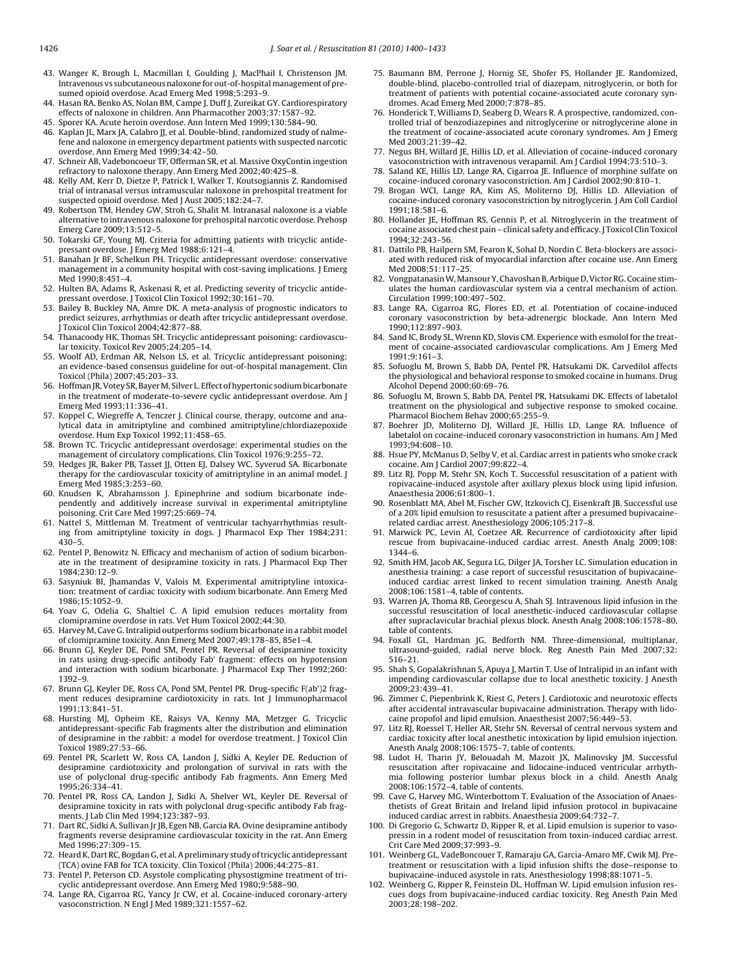- <span id="page-26-0"></span>43. Wanger K, Brough L, Macmillan I, Goulding J, MacPhail I, Christenson JM. Intravenous vs subcutaneous naloxone for out-of-hospital management of presumed opioid overdose. Acad Emerg Med 1998;5:293–9.
- 44. Hasan RA, Benko AS, Nolan BM, Campe J, Duff J, Zureikat GY. Cardiorespiratory effects of naloxone in children. Ann Pharmacother 2003;37:1587–92.
- 45. Sporer KA. Acute heroin overdose. Ann Intern Med 1999;130:584–90.
- 46. Kaplan JL, Marx JA, Calabro JJ, et al. Double-blind, randomized study of nalmefene and naloxone in emergency department patients with suspected narcotic overdose. Ann Emerg Med 1999;34:42–50.
- 47. Schneir AB, Vadeboncoeur TF, Offerman SR, et al. Massive OxyContin ingestion refractory to naloxone therapy. Ann Emerg Med 2002;40:425–8.
- 48. Kelly AM, Kerr D, Dietze P, Patrick I, Walker T, Koutsogiannis Z. Randomised trial of intranasal versus intramuscular naloxone in prehospital treatment for suspected opioid overdose. Med J Aust 2005;182:24–7.
- 49. Robertson TM, Hendey GW, Stroh G, Shalit M. Intranasal naloxone is a viable alternative to intravenous naloxone for prehospital narcotic overdose. Prehosp Emerg Care 2009;13:512–5.
- 50. Tokarski GF, Young MJ. Criteria for admitting patients with tricyclic antidepressant overdose. J Emerg Med 1988;6:121–4.
- 51. Banahan Jr BF, Schelkun PH. Tricyclic antidepressant overdose: conservative management in a community hospital with cost-saving implications. J Emerg Med 1990;8:451–4.
- 52. Hulten BA, Adams R, Askenasi R, et al. Predicting severity of tricyclic antidepressant overdose. J Toxicol Clin Toxicol 1992;30:161–70.
- 53. Bailey B, Buckley NA, Amre DK. A meta-analysis of prognostic indicators to predict seizures, arrhythmias or death after tricyclic antidepressant overdose. J Toxicol Clin Toxicol 2004;42:877–88.
- 54. Thanacoody HK, Thomas SH. Tricyclic antidepressant poisoning: cardiovascular toxicity. Toxicol Rev 2005;24:205–14.
- 55. Woolf AD, Erdman AR, Nelson LS, et al. Tricyclic antidepressant poisoning: an evidence-based consensus guideline for out-of-hospital management. Clin Toxicol (Phila) 2007;45:203–33.
- 56. Hoffman JR, Votey SR, Bayer M, Silver L. Effect of hypertonic sodium bicarbonate in the treatment of moderate-to-severe cyclic antidepressant overdose. Am J Emerg Med 1993;11:336–41.
- 57. Koppel C, Wiegreffe A, Tenczer J. Clinical course, therapy, outcome and analytical data in amitriptyline and combined amitriptyline/chlordiazepoxide overdose. Hum Exp Toxicol 1992;11:458–65.
- 58. Brown TC. Tricyclic antidepressant overdosage: experimental studies on the management of circulatory complications. Clin Toxicol 1976;9:255–72.
- 59. Hedges JR, Baker PB, Tasset JJ, Otten EJ, Dalsey WC, Syverud SA. Bicarbonate therapy for the cardiovascular toxicity of amitriptyline in an animal model. J Emerg Med 1985;3:253–60.
- 60. Knudsen K, Abrahamsson J. Epinephrine and sodium bicarbonate independently and additively increase survival in experimental amitriptyline poisoning. Crit Care Med 1997;25:669–74.
- 61. Nattel S, Mittleman M. Treatment of ventricular tachyarrhythmias resulting from amitriptyline toxicity in dogs. J Pharmacol Exp Ther 1984;231: 430–5.
- 62. Pentel P, Benowitz N. Efficacy and mechanism of action of sodium bicarbonate in the treatment of desipramine toxicity in rats. J Pharmacol Exp Ther 1984;230:12–9.
- 63. Sasyniuk BI, Jhamandas V, Valois M. Experimental amitriptyline intoxication: treatment of cardiac toxicity with sodium bicarbonate. Ann Emerg Med 1986;15:1052–9.
- 64. Yoav G, Odelia G, Shaltiel C. A lipid emulsion reduces mortality from clomipramine overdose in rats. Vet Hum Toxicol 2002;44:30.
- 65. Harvey M, Cave G. Intralipid outperforms sodium bicarbonate in a rabbit model of clomipramine toxicity. Ann Emerg Med 2007;49:178–85, 85e1–4.
- 66. Brunn GJ, Keyler DE, Pond SM, Pentel PR. Reversal of desipramine toxicity in rats using drug-specific antibody Fab' fragment: effects on hypotension and interaction with sodium bicarbonate. J Pharmacol Exp Ther 1992;260: 1392–9.
- 67. Brunn GJ, Keyler DE, Ross CA, Pond SM, Pentel PR. Drug-specific F(ab')2 fragment reduces desipramine cardiotoxicity in rats. Int J Immunopharmacol 1991;13:841–51.
- 68. Hursting MJ, Opheim KE, Raisys VA, Kenny MA, Metzger G. Tricyclic antidepressant-specific Fab fragments alter the distribution and elimination of desipramine in the rabbit: a model for overdose treatment. J Toxicol Clin Toxicol 1989;27:53–66.
- 69. Pentel PR, Scarlett W, Ross CA, Landon J, Sidki A, Keyler DE. Reduction of desipramine cardiotoxicity and prolongation of survival in rats with the use of polyclonal drug-specific antibody Fab fragments. Ann Emerg Med 1995;26:334–41.
- 70. Pentel PR, Ross CA, Landon J, Sidki A, Shelver WL, Keyler DE. Reversal of desipramine toxicity in rats with polyclonal drug-specific antibody Fab fragments. J Lab Clin Med 1994;123:387–93.
- 71. Dart RC, Sidki A, Sullivan Jr JB, Egen NB, Garcia RA. Ovine desipramine antibody fragments reverse desipramine cardiovascular toxicity in the rat. Ann Emerg Med 1996;27:309–15.
- 72. Heard K, Dart RC, Bogdan G, et al. A preliminary study of tricyclic antidepressant (TCA) ovine FAB for TCA toxicity. Clin Toxicol (Phila) 2006;44:275–81.
- 73. Pentel P, Peterson CD. Asystole complicating physostigmine treatment of tricyclic antidepressant overdose. Ann Emerg Med 1980;9:588–90.
- 74. Lange RA, Cigarroa RG, Yancy Jr CW, et al. Cocaine-induced coronary-artery vasoconstriction. N Engl J Med 1989;321:1557–62.
- 75. Baumann BM, Perrone J, Hornig SE, Shofer FS, Hollander JE. Randomized, double-blind, placebo-controlled trial of diazepam, nitroglycerin, or both for treatment of patients with potential cocaine-associated acute coronary syndromes. Acad Emerg Med 2000;7:878–85.
- 76. Honderick T, Williams D, Seaberg D, Wears R. A prospective, randomized, controlled trial of benzodiazepines and nitroglycerine or nitroglycerine alone in the treatment of cocaine-associated acute coronary syndromes. Am J Emerg Med 2003;21:39–42.
- 77. Negus BH, Willard JE, Hillis LD, et al. Alleviation of cocaine-induced coronary vasoconstriction with intravenous verapamil. Am J Cardiol 1994;73:510–3.
- 78. Saland KE, Hillis LD, Lange RA, Cigarroa JE. Influence of morphine sulfate on cocaine-induced coronary vasoconstriction. Am J Cardiol 2002;90:810–1.
- 79. Brogan WCI, Lange RA, Kim AS, Moliterno DJ, Hillis LD. Alleviation of cocaine-induced coronary vasoconstriction by nitroglycerin. J Am Coll Cardiol 1991;18:581–6.
- 80. Hollander JE, Hoffman RS, Gennis P, et al. Nitroglycerin in the treatment of cocaine associated chest pain – clinical safety and efficacy. J Toxicol Clin Toxicol 1994;32:243–56.
- 81. Dattilo PB, Hailpern SM, Fearon K, Sohal D, Nordin C. Beta-blockers are associated with reduced risk of myocardial infarction after cocaine use. Ann Emerg Med 2008;51:117–25.
- 82. Vongpatanasin W, Mansour Y, Chavoshan B, Arbique D, Victor RG. Cocaine stimulates the human cardiovascular system via a central mechanism of action. Circulation 1999;100:497–502.
- 83. Lange RA, Cigarroa RG, Flores ED, et al. Potentiation of cocaine-induced coronary vasoconstriction by beta-adrenergic blockade. Ann Intern Med 1990;112:897–903.
- 84. Sand IC, Brody SL, Wrenn KD, Slovis CM. Experience with esmolol for the treatment of cocaine-associated cardiovascular complications. Am J Emerg Med 1991;9:161–3.
- 85. Sofuoglu M, Brown S, Babb DA, Pentel PR, Hatsukami DK. Carvedilol affects the physiological and behavioral response to smoked cocaine in humans. Drug Alcohol Depend 2000;60:69–76.
- 86. Sofuoglu M, Brown S, Babb DA, Pentel PR, Hatsukami DK. Effects of labetalol treatment on the physiological and subjective response to smoked cocaine. Pharmacol Biochem Behav 2000;65:255–9.
- 87. Boehrer JD, Moliterno DJ, Willard JE, Hillis LD, Lange RA. Influence of labetalol on cocaine-induced coronary vasoconstriction in humans. Am J Med 1993;94:608–10.
- 88. Hsue PY, McManus D, Selby V, et al. Cardiac arrest in patients who smoke crack cocaine. Am J Cardiol 2007;99:822–4.
- 89. Litz RJ, Popp M, Stehr SN, Koch T. Successful resuscitation of a patient with ropivacaine-induced asystole after axillary plexus block using lipid infusion. Anaesthesia 2006;61:800–1.
- 90. Rosenblatt MA, Abel M, Fischer GW, Itzkovich CJ, Eisenkraft JB. Successful use of a 20% lipid emulsion to resuscitate a patient after a presumed bupivacainerelated cardiac arrest. Anesthesiology 2006;105:217–8.
- 91. Marwick PC, Levin AI, Coetzee AR. Recurrence of cardiotoxicity after lipid rescue from bupivacaine-induced cardiac arrest. Anesth Analg 2009;108: 1344–6.
- 92. Smith HM, Jacob AK, Segura LG, Dilger JA, Torsher LC. Simulation education in anesthesia training: a case report of successful resuscitation of bupivacaineinduced cardiac arrest linked to recent simulation training. Anesth Analg 2008;106:1581–4, table of contents.
- 93. Warren JA, Thoma RB, Georgescu A, Shah SJ. Intravenous lipid infusion in the successful resuscitation of local anesthetic-induced cardiovascular collapse after supraclavicular brachial plexus block. Anesth Analg 2008;106:1578–80, table of contents.
- 94. Foxall GL, Hardman JG, Bedforth NM. Three-dimensional, multiplanar, ultrasound-guided, radial nerve block. Reg Anesth Pain Med 2007;32: 516–21.
- 95. Shah S, Gopalakrishnan S, Apuya J, Martin T. Use of Intralipid in an infant with impending cardiovascular collapse due to local anesthetic toxicity. J Anesth 2009;23:439–41.
- 96. Zimmer C, Piepenbrink K, Riest G, Peters J. Cardiotoxic and neurotoxic effects after accidental intravascular bupivacaine administration. Therapy with lidocaine propofol and lipid emulsion. Anaesthesist 2007;56:449–53.
- 97. Litz RJ, Roessel T, Heller AR, Stehr SN. Reversal of central nervous system and cardiac toxicity after local anesthetic intoxication by lipid emulsion injection. Anesth Analg 2008;106:1575–7, table of contents.
- 98. Ludot H, Tharin JY, Belouadah M, Mazoit JX, Malinovsky JM. Successful resuscitation after ropivacaine and lidocaine-induced ventricular arrhythmia following posterior lumbar plexus block in a child. Anesth Analg 2008;106:1572–4, table of contents.
- 99. Cave G, Harvey MG, Winterbottom T. Evaluation of the Association of Anaesthetists of Great Britain and Ireland lipid infusion protocol in bupivacaine induced cardiac arrest in rabbits. Anaesthesia 2009;64:732–7.
- 100. Di Gregorio G, Schwartz D, Ripper R, et al. Lipid emulsion is superior to vasopressin in a rodent model of resuscitation from toxin-induced cardiac arrest. Crit Care Med 2009;37:993–9.
- 101. Weinberg GL, VadeBoncouer T, Ramaraju GA, Garcia-Amaro MF, Cwik MJ. Pretreatment or resuscitation with a lipid infusion shifts the dose–response to bupivacaine-induced asystole in rats. Anesthesiology 1998;88:1071–5.
- 102. Weinberg G, Ripper R, Feinstein DL, Hoffman W. Lipid emulsion infusion rescues dogs from bupivacaine-induced cardiac toxicity. Reg Anesth Pain Med 2003;28:198–202.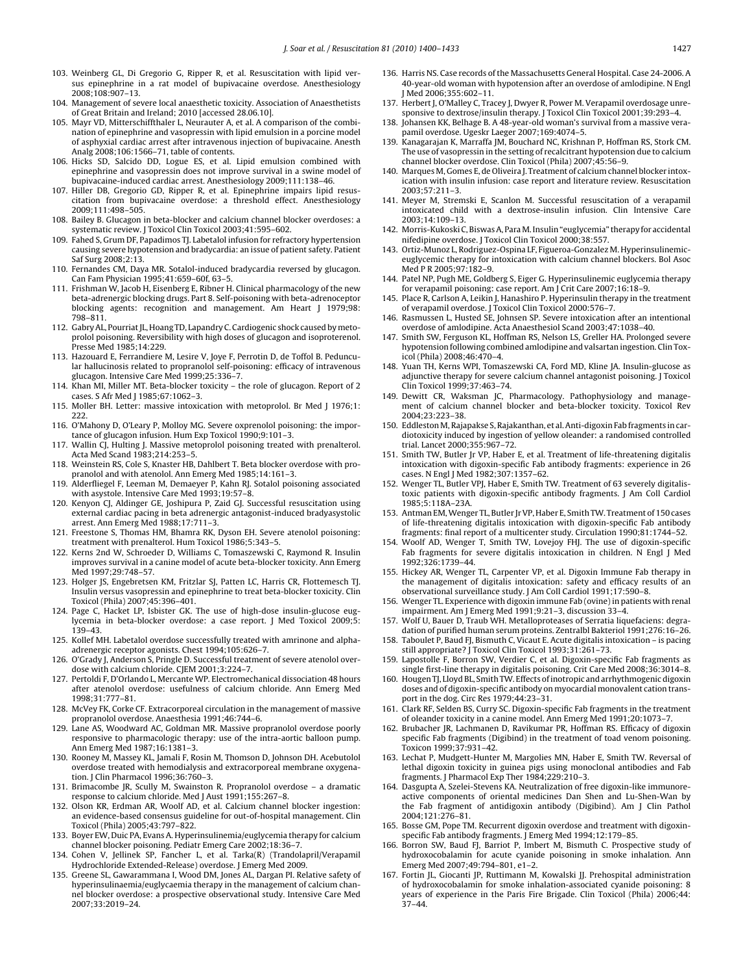- <span id="page-27-0"></span>103. Weinberg GL, Di Gregorio G, Ripper R, et al. Resuscitation with lipid versus epinephrine in a rat model of bupivacaine overdose. Anesthesiology 2008;108:907–13.
- 104. Management of severe local anaesthetic toxicity. Association of Anaesthetists of Great Britain and Ireland; 2010 [accessed 28.06.10].
- 105. Mayr VD, Mitterschiffthaler L, Neurauter A, et al. A comparison of the combination of epinephrine and vasopressin with lipid emulsion in a porcine model of asphyxial cardiac arrest after intravenous injection of bupivacaine. Anesth Analg 2008;106:1566–71, table of contents.
- 106. Hicks SD, Salcido DD, Logue ES, et al. Lipid emulsion combined with epinephrine and vasopressin does not improve survival in a swine model of bupivacaine-induced cardiac arrest. Anesthesiology 2009;111:138–46.
- 107. Hiller DB, Gregorio GD, Ripper R, et al. Epinephrine impairs lipid resuscitation from bupivacaine overdose: a threshold effect. Anesthesiology 2009;111:498–505.
- 108. Bailey B. Glucagon in beta-blocker and calcium channel blocker overdoses: a systematic review. J Toxicol Clin Toxicol 2003;41:595–602.
- 109. Fahed S, Grum DF, Papadimos TJ. Labetalol infusion for refractory hypertension causing severe hypotension and bradycardia: an issue of patient safety. Patient Saf Surg 2008;2:13.
- 110. Fernandes CM, Daya MR. Sotalol-induced bradycardia reversed by glucagon. Can Fam Physician 1995;41:659–60f, 63–5.
- 111. Frishman W, Jacob H, Eisenberg E, Ribner H. Clinical pharmacology of the new beta-adrenergic blocking drugs. Part 8. Self-poisoning with beta-adrenoceptor blocking agents: recognition and management. Am Heart J 1979;98: 798–811.
- 112. Gabry AL, Pourriat JL, Hoang TD, Lapandry C. Cardiogenic shock caused bymetoprolol poisoning. Reversibility with high doses of glucagon and isoproterenol. Presse Med 1985;14:229.
- 113. Hazouard E, Ferrandiere M, Lesire V, Joye F, Perrotin D, de Toffol B. Peduncular hallucinosis related to propranolol self-poisoning: efficacy of intravenous glucagon. Intensive Care Med 1999;25:336–7.
- 114. Khan MI, Miller MT. Beta-blocker toxicity the role of glucagon. Report of 2 cases. S Afr Med J 1985;67:1062–3.
- 115. Moller BH. Letter: massive intoxication with metoprolol. Br Med J 1976;1: 222.
- 116. O'Mahony D, O'Leary P, Molloy MG. Severe oxprenolol poisoning: the importance of glucagon infusion. Hum Exp Toxicol 1990;9:101–3.
- 117. Wallin CJ, Hulting J. Massive metoprolol poisoning treated with prenalterol. Acta Med Scand 1983;214:253–5.
- 118. Weinstein RS, Cole S, Knaster HB, Dahlbert T. Beta blocker overdose with propranolol and with atenolol. Ann Emerg Med 1985;14:161–3.
- 119. Alderfliegel F, Leeman M, Demaeyer P, Kahn RJ. Sotalol poisoning associated with asystole. Intensive Care Med 1993;19:57–8.
- 120. Kenyon CJ, Aldinger GE, Joshipura P, Zaid GJ. Successful resuscitation using external cardiac pacing in beta adrenergic antagonist-induced bradyasystolic arrest. Ann Emerg Med 1988;17:711–3.
- 121. Freestone S, Thomas HM, Bhamra RK, Dyson EH. Severe atenolol poisoning: treatment with prenalterol. Hum Toxicol 1986;5:343–5.
- 122. Kerns 2nd W, Schroeder D, Williams C, Tomaszewski C, Raymond R. Insulin improves survival in a canine model of acute beta-blocker toxicity. Ann Emerg Med 1997;29:748–57.
- 123. Holger JS, Engebretsen KM, Fritzlar SJ, Patten LC, Harris CR, Flottemesch TJ. Insulin versus vasopressin and epinephrine to treat beta-blocker toxicity. Clin Toxicol (Phila) 2007;45:396–401.
- 124. Page C, Hacket LP, Isbister GK. The use of high-dose insulin-glucose euglycemia in beta-blocker overdose: a case report. J Med Toxicol 2009;5: 139–43.
- 125. Kollef MH. Labetalol overdose successfully treated with amrinone and alphaadrenergic receptor agonists. Chest 1994;105:626–7.
- 126. O'Grady J, Anderson S, Pringle D. Successful treatment of severe atenolol overdose with calcium chloride. CJEM 2001;3:224-7.
- 127. Pertoldi F, D'Orlando L, Mercante WP. Electromechanical dissociation 48 hours after atenolol overdose: usefulness of calcium chloride. Ann Emerg Med 1998;31:777–81.
- 128. McVey FK, Corke CF. Extracorporeal circulation in the management of massive propranolol overdose. Anaesthesia 1991;46:744–6.
- 129. Lane AS, Woodward AC, Goldman MR. Massive propranolol overdose poorly responsive to pharmacologic therapy: use of the intra-aortic balloon pump. Ann Emerg Med 1987;16:1381–3.
- 130. Rooney M, Massey KL, Jamali F, Rosin M, Thomson D, Johnson DH. Acebutolol overdose treated with hemodialysis and extracorporeal membrane oxygenation. J Clin Pharmacol 1996;36:760–3.
- 131. Brimacombe JR, Scully M, Swainston R. Propranolol overdose a dramatic response to calcium chloride. Med J Aust 1991;155:267–8.
- 132. Olson KR, Erdman AR, Woolf AD, et al. Calcium channel blocker ingestion: an evidence-based consensus guideline for out-of-hospital management. Clin Toxicol (Phila) 2005;43:797–822.
- 133. Boyer EW, Duic PA, Evans A. Hyperinsulinemia/euglycemia therapy for calcium channel blocker poisoning. Pediatr Emerg Care 2002;18:36–7.
- 134. Cohen V, Jellinek SP, Fancher L, et al. Tarka(R) (Trandolapril/Verapamil Hydrochloride Extended-Release) overdose. J Emerg Med 2009.
- 135. Greene SL, Gawarammana I, Wood DM, Jones AL, Dargan PI. Relative safety of hyperinsulinaemia/euglycaemia therapy in the management of calcium channel blocker overdose: a prospective observational study. Intensive Care Med 2007;33:2019–24.
- 136. Harris NS. Case records of the Massachusetts General Hospital. Case 24-2006. A 40-year-old woman with hypotension after an overdose of amlodipine. N Engl J Med 2006;355:602–11.
- 137. Herbert J, O'Malley C, Tracey J, Dwyer R, Power M. Verapamil overdosage unresponsive to dextrose/insulin therapy. J Toxicol Clin Toxicol 2001;39:293–4.
- 138. Johansen KK, Belhage B. A 48-year-old woman's survival from a massive verapamil overdose. Ugeskr Laeger 2007;169:4074–5.
- 139. Kanagarajan K, Marraffa JM, Bouchard NC, Krishnan P, Hoffman RS, Stork CM. The use of vasopressin in the setting of recalcitrant hypotension due to calcium channel blocker overdose. Clin Toxicol (Phila) 2007;45:56–9.
- 140. Marques M, Gomes E, de Oliveira J. Treatment of calcium channel blocker intoxication with insulin infusion: case report and literature review. Resuscitation 2003;57:211–3.
- 141. Meyer M, Stremski E, Scanlon M. Successful resuscitation of a verapamil intoxicated child with a dextrose-insulin infusion. Clin Intensive Care 2003;14:109–13.
- 142. Morris-Kukoski C, Biswas A, Para M. Insulin "euglycemia" therapy for accidental nifedipine overdose. J Toxicol Clin Toxicol 2000;38:557.
- 143. Ortiz-Munoz L, Rodriguez-Ospina LF, Figueroa-Gonzalez M. Hyperinsulinemiceuglycemic therapy for intoxication with calcium channel blockers. Bol Asoc Med P R 2005;97:182–9.
- 144. Patel NP, Pugh ME, Goldberg S, Eiger G. Hyperinsulinemic euglycemia therapy for verapamil poisoning: case report. Am J Crit Care 2007;16:18–9.
- 145. Place R, Carlson A, Leikin J, Hanashiro P. Hyperinsulin therapy in the treatment of verapamil overdose. J Toxicol Clin Toxicol 2000:576–7.
- 146. Rasmussen L, Husted SE, Johnsen SP. Severe intoxication after an intentional overdose of amlodipine. Acta Anaesthesiol Scand 2003;47:1038–40.
- 147. Smith SW, Ferguson KL, Hoffman RS, Nelson LS, Greller HA. Prolonged severe hypotension following combined amlodipine and valsartan ingestion. Clin Toxicol (Phila) 2008;46:470–4.
- 148. Yuan TH, Kerns WPI, Tomaszewski CA, Ford MD, Kline JA. Insulin-glucose as adjunctive therapy for severe calcium channel antagonist poisoning. J Toxicol Clin Toxicol 1999;37:463–74.
- 149. Dewitt CR, Waksman JC, Pharmacology. Pathophysiology and management of calcium channel blocker and beta-blocker toxicity. Toxicol Rev 2004;23:223–38.
- 150. EddlestonM, Rajapakse S, Rajakanthan, et al. Anti-digoxin Fab fragments in cardiotoxicity induced by ingestion of yellow oleander: a randomised controlled trial. Lancet 2000;355:967–72.
- 151. Smith TW, Butler Jr VP, Haber E, et al. Treatment of life-threatening digitalis intoxication with digoxin-specific Fab antibody fragments: experience in 26 cases. N Engl J Med 1982;307:1357–62.
- 152. Wenger TL, Butler VPJ, Haber E, Smith TW. Treatment of 63 severely digitalistoxic patients with digoxin-specific antibody fragments. J Am Coll Cardiol 1985;5:118A–23A.
- 153. Antman EM,Wenger TL, Butler Jr VP, Haber E, Smith TW. Treatment of 150 cases of life-threatening digitalis intoxication with digoxin-specific Fab antibody fragments: final report of a multicenter study. Circulation 1990;81:1744–52.
- 154. Woolf AD, Wenger T, Smith TW, Lovejoy FHJ. The use of digoxin-specific Fab fragments for severe digitalis intoxication in children. N Engl J Med 1992;326:1739–44.
- 155. Hickey AR, Wenger TL, Carpenter VP, et al. Digoxin Immune Fab therapy in the management of digitalis intoxication: safety and efficacy results of an observational surveillance study. J Am Coll Cardiol 1991;17:590–8.
- 156. Wenger TL. Experience with digoxin immune Fab (ovine) in patients with renal impairment. Am J Emerg Med 1991;9:21–3, discussion 33–4.
- 157. Wolf U, Bauer D, Traub WH. Metalloproteases of Serratia liquefaciens: degradation of purified human serum proteins. Zentralbl Bakteriol 1991;276:16–26.
- 158. Taboulet P, Baud FJ, Bismuth C, Vicaut E. Acute digitalis intoxication is pacing still appropriate? J Toxicol Clin Toxicol 1993;31:261–73.
- 159. Lapostolle F, Borron SW, Verdier C, et al. Digoxin-specific Fab fragments as single first-line therapy in digitalis poisoning. Crit Care Med 2008;36:3014–8.
- 160. Hougen TJ, Lloyd BL, Smith TW. Effects of inotropic and arrhythmogenic digoxin doses and of digoxin-specific antibody on myocardial monovalent cation transport in the dog. Circ Res 1979;44:23–31.
- 161. Clark RF, Selden BS, Curry SC. Digoxin-specific Fab fragments in the treatment of oleander toxicity in a canine model. Ann Emerg Med 1991;20:1073–7.
- 162. Brubacher JR, Lachmanen D, Ravikumar PR, Hoffman RS. Efficacy of digoxin specific Fab fragments (Digibind) in the treatment of toad venom poisoning. Toxicon 1999;37:931–42.
- 163. Lechat P, Mudgett-Hunter M, Margolies MN, Haber E, Smith TW. Reversal of lethal digoxin toxicity in guinea pigs using monoclonal antibodies and Fab fragments. J Pharmacol Exp Ther 1984;229:210–3.
- 164. Dasgupta A, Szelei-Stevens KA. Neutralization of free digoxin-like immunoreactive components of oriental medicines Dan Shen and Lu-Shen-Wan by the Fab fragment of antidigoxin antibody (Digibind). Am J Clin Pathol 2004;121:276–81.
- 165. Bosse GM, Pope TM. Recurrent digoxin overdose and treatment with digoxinspecific Fab antibody fragments. J Emerg Med 1994;12:179–85.
- 166. Borron SW, Baud FJ, Barriot P, Imbert M, Bismuth C. Prospective study of hydroxocobalamin for acute cyanide poisoning in smoke inhalation. Ann Emerg Med 2007;49:794–801, e1–2.
- 167. Fortin JL, Giocanti JP, Ruttimann M, Kowalski JJ. Prehospital administration of hydroxocobalamin for smoke inhalation-associated cyanide poisoning: 8 years of experience in the Paris Fire Brigade. Clin Toxicol (Phila) 2006;44: 37–44.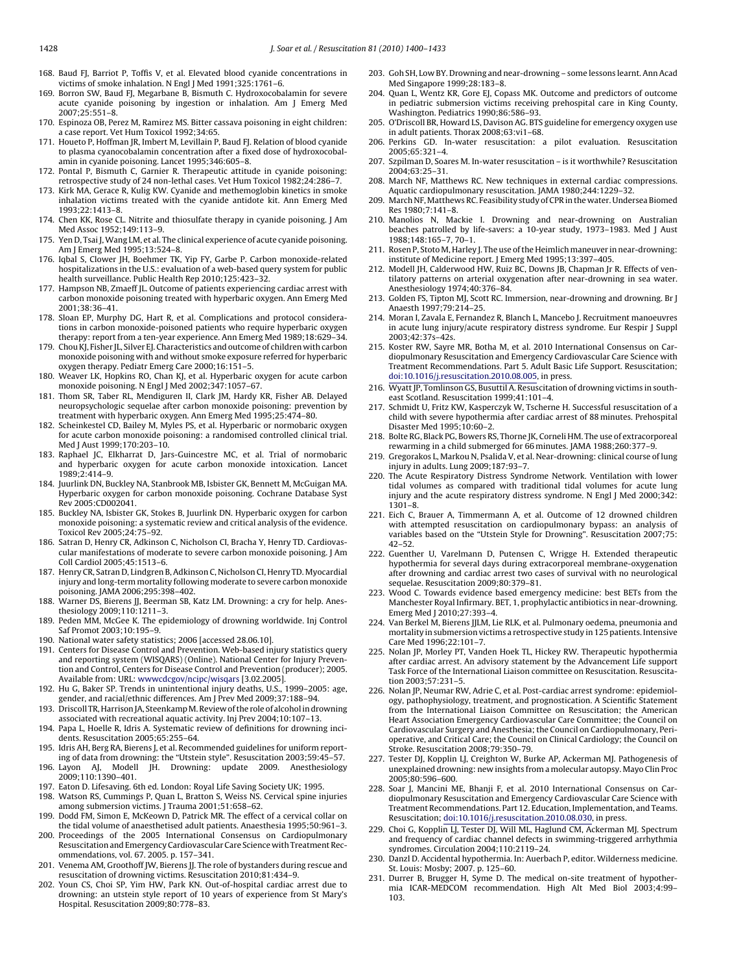- <span id="page-28-0"></span>168. Baud FJ, Barriot P, Toffis V, et al. Elevated blood cyanide concentrations in victims of smoke inhalation. N Engl J Med 1991;325:1761–6.
- 169. Borron SW, Baud FJ, Megarbane B, Bismuth C. Hydroxocobalamin for severe acute cyanide poisoning by ingestion or inhalation. Am J Emerg Med 2007;25:551–8.
- 170. Espinoza OB, Perez M, Ramirez MS. Bitter cassava poisoning in eight children: a case report. Vet Hum Toxicol 1992;34:65.
- 171. Houeto P, Hoffman JR, Imbert M, Levillain P, Baud FJ. Relation of blood cyanide to plasma cyanocobalamin concentration after a fixed dose of hydroxocobalamin in cyanide poisoning. Lancet 1995;346:605–8.
- 172. Pontal P, Bismuth C, Garnier R. Therapeutic attitude in cyanide poisoning: retrospective study of 24 non-lethal cases. Vet Hum Toxicol 1982;24:286–7.
- 173. Kirk MA, Gerace R, Kulig KW. Cyanide and methemoglobin kinetics in smoke inhalation victims treated with the cyanide antidote kit. Ann Emerg Med 1993;22:1413–8.
- 174. Chen KK, Rose CL. Nitrite and thiosulfate therapy in cyanide poisoning. J Am Med Assoc 1952;149:113–9.
- 175. Yen D, Tsai J,Wang LM, et al. The clinical experience of acute cyanide poisoning. Am J Emerg Med 1995;13:524–8.
- 176. Iqbal S, Clower JH, Boehmer TK, Yip FY, Garbe P. Carbon monoxide-related hospitalizations in the U.S.: evaluation of a web-based query system for public health surveillance. Public Health Rep 2010;125:423–32.
- 177. Hampson NB, Zmaeff JL. Outcome of patients experiencing cardiac arrest with carbon monoxide poisoning treated with hyperbaric oxygen. Ann Emerg Med 2001;38:36–41.
- 178. Sloan EP, Murphy DG, Hart R, et al. Complications and protocol considerations in carbon monoxide-poisoned patients who require hyperbaric oxygen therapy: report from a ten-year experience. Ann Emerg Med 1989;18:629
- 179. Chou KJ, Fisher JL, Silver EJ. Characteristics and outcome of children with carbon monoxide poisoning with and without smoke exposure referred for hyperbaric oxygen therapy. Pediatr Emerg Care 2000;16:151–5.
- 180. Weaver LK, Hopkins RO, Chan KJ, et al. Hyperbaric oxygen for acute carbon monoxide poisoning. N Engl J Med 2002;347:1057–67.
- 181. Thom SR, Taber RL, Mendiguren II, Clark JM, Hardy KR, Fisher AB. Delayed neuropsychologic sequelae after carbon monoxide poisoning: prevention by treatment with hyperbaric oxygen. Ann Emerg Med 1995;25:474–80.
- 182. Scheinkestel CD, Bailey M, Myles PS, et al. Hyperbaric or normobaric oxygen for acute carbon monoxide poisoning: a randomised controlled clinical trial. Med J Aust 1999;170:203–10.
- 183. Raphael JC, Elkharrat D, Jars-Guincestre MC, et al. Trial of normobaric and hyperbaric oxygen for acute carbon monoxide intoxication. Lancet 1989;2:414–9.
- 184. Juurlink DN, Buckley NA, Stanbrook MB, Isbister GK, Bennett M, McGuigan MA. Hyperbaric oxygen for carbon monoxide poisoning. Cochrane Database Syst Rev 2005:CD002041.
- 185. Buckley NA, Isbister GK, Stokes B, Juurlink DN. Hyperbaric oxygen for carbon monoxide poisoning: a systematic review and critical analysis of the evidence. Toxicol Rev 2005;24:75–92.
- 186. Satran D, Henry CR, Adkinson C, Nicholson CI, Bracha Y, Henry TD. Cardiovascular manifestations of moderate to severe carbon monoxide poisoning. J Am Coll Cardiol 2005;45:1513–6.
- 187. Henry CR, Satran D, Lindgren B, Adkinson C, Nicholson CI, Henry TD. Myocardial injury and long-term mortality following moderate to severe carbon monoxide poisoning. JAMA 2006;295:398–402.
- 188. Warner DS, Bierens JJ, Beerman SB, Katz LM. Drowning: a cry for help. Anesthesiology 2009;110:1211–3.
- 189. Peden MM, McGee K. The epidemiology of drowning worldwide. Inj Control Saf Promot 2003;10:195–9.
- 190. National water safety statistics; 2006 [accessed 28.06.10].
- 191. Centers for Disease Control and Prevention. Web-based injury statistics query and reporting system (WISQARS) (Online). National Center for Injury Prevention and Control, Centers for Disease Control and Prevention (producer); 2005. Available from: URL: [wwwcdcgov/ncipc/wisqars](http://wwwcdcgov/ncipc/wisqars) [3.02.2005].
- 192. Hu G, Baker SP. Trends in unintentional injury deaths, U.S., 1999–2005: age, gender, and racial/ethnic differences. Am J Prev Med 2009;37:188–94.
- 193. Driscoll TR, Harrison JA, Steenkamp M. Review of the role of alcohol in drowning associated with recreational aquatic activity. Inj Prev 2004;10:107–13.
- 194. Papa L, Hoelle R, Idris A. Systematic review of definitions for drowning incidents. Resuscitation 2005;65:255–64.
- 195. Idris AH, Berg RA, Bierens J, et al. Recommended guidelines for uniform reporting of data from drowning: the "Utstein style". Resuscitation 2003;59:45–57.
- 196. Layon AJ, Modell JH. Drowning: update 2009. Anesthesiology 2009;110:1390–401.
- 197. Eaton D. Lifesaving. 6th ed. London: Royal Life Saving Society UK; 1995.
- 198. Watson RS, Cummings P, Quan L, Bratton S, Weiss NS. Cervical spine injuries among submersion victims. J Trauma 2001;51:658–62.
- 199. Dodd FM, Simon E, McKeown D, Patrick MR. The effect of a cervical collar on the tidal volume of anaesthetised adult patients. Anaesthesia 1995;50:961–3.
- 200. Proceedings of the 2005 International Consensus on Cardiopulmonary Resuscitation and Emergency Cardiovascular Care Science with Treatment Recommendations, vol. 67. 2005. p. 157–341.
- 201. Venema AM, Groothoff JW, Bierens JJ. The role of bystanders during rescue and resuscitation of drowning victims. Resuscitation 2010;81:434–9.
- 202. Youn CS, Choi SP, Yim HW, Park KN. Out-of-hospital cardiac arrest due to drowning: an utstein style report of 10 years of experience from St Mary's Hospital. Resuscitation 2009;80:778–83.
- 203. Goh SH, Low BY. Drowning and near-drowning some lessons learnt. Ann Acad Med Singapore 1999;28:183–8.
- 204. Quan L, Wentz KR, Gore EJ, Copass MK. Outcome and predictors of outcome in pediatric submersion victims receiving prehospital care in King County, Washington. Pediatrics 1990;86:586–93.
- 205. O'Driscoll BR, Howard LS, Davison AG. BTS guideline for emergency oxygen use in adult patients. Thorax 2008;63:vi1–68.
- 206. Perkins GD. In-water resuscitation: a pilot evaluation. Resuscitation 2005;65:321–4.
- 207. Szpilman D, Soares M. In-water resuscitation is it worthwhile? Resuscitation 2004;63:25–31.
- 208. March NF, Matthews RC. New techniques in external cardiac compressions. Aquatic cardiopulmonary resuscitation. JAMA 1980;244:1229–32.
- 209. March NF, Matthews RC. Feasibility study of CPR in the water. Undersea Biomed Res 1980;7:141–8.
- 210. Manolios N, Mackie I. Drowning and near-drowning on Australian beaches patrolled by life-savers: a 10-year study, 1973–1983. Med J Aust 1988;148:165–7, 70–1.
- 211. Rosen P, Stoto M, Harley J. The use of the Heimlich maneuver in near-drowning: institute of Medicine report. J Emerg Med 1995;13:397–405.
- 212. Modell JH, Calderwood HW, Ruiz BC, Downs JB, Chapman Jr R. Effects of ventilatory patterns on arterial oxygenation after near-drowning in sea water. Anesthesiology 1974;40:376–84.
- 213. Golden FS, Tipton MJ, Scott RC. Immersion, near-drowning and drowning. Br J Anaesth 1997;79:214–25.
- 214. Moran I, Zavala E, Fernandez R, Blanch L, Mancebo J. Recruitment manoeuvres in acute lung injury/acute respiratory distress syndrome. Eur Respir J Suppl 2003;42:37s–42s.
- 215. Koster RW, Sayre MR, Botha M, et al. 2010 International Consensus on Cardiopulmonary Resuscitation and Emergency Cardiovascular Care Science with Treatment Recommendations. Part 5. Adult Basic Life Support. Resuscitation; [doi:10.1016/j.resuscitation.2010.08.005](http://dx.doi.org/10.1016/j.resuscitation.2010.08.005), in press.
- 216. Wyatt JP, Tomlinson GS, Busuttil A. Resuscitation of drowning victims in southeast Scotland. Resuscitation 1999;41:101–4.
- 217. Schmidt U, Fritz KW, Kasperczyk W, Tscherne H. Successful resuscitation of a child with severe hypothermia after cardiac arrest of 88 minutes. Prehospital Disaster Med 1995;10:60–2.
- 218. Bolte RG, Black PG, Bowers RS, Thorne JK, Corneli HM. The use of extracorporeal rewarming in a child submerged for 66 minutes. JAMA 1988;260:377–9.
- 219. Gregorakos L, Markou N, Psalida V, et al. Near-drowning: clinical course of lung injury in adults. Lung 2009;187:93–7.
- 220. The Acute Respiratory Distress Syndrome Network. Ventilation with lower tidal volumes as compared with traditional tidal volumes for acute lung injury and the acute respiratory distress syndrome. N Engl J Med 2000;342: 1301–8.
- 221. Eich C, Brauer A, Timmermann A, et al. Outcome of 12 drowned children with attempted resuscitation on cardiopulmonary bypass: an analysis of variables based on the "Utstein Style for Drowning". Resuscitation 2007;75: 42–52.
- 222. Guenther U, Varelmann D, Putensen C, Wrigge H. Extended therapeutic hypothermia for several days during extracorporeal membrane-oxygenation after drowning and cardiac arrest two cases of survival with no neurological sequelae. Resuscitation 2009;80:379–81.
- 223. Wood C. Towards evidence based emergency medicine: best BETs from the Manchester Royal Infirmary. BET, 1, prophylactic antibiotics in near-drowning. Emerg Med J 2010;27:393–4.
- 224. Van Berkel M, Bierens JJLM, Lie RLK, et al. Pulmonary oedema, pneumonia and mortality in submersion victims a retrospective study in 125 patients. Intensive Care Med 1996;22:101–7.
- 225. Nolan JP, Morley PT, Vanden Hoek TL, Hickey RW. Therapeutic hypothermia after cardiac arrest. An advisory statement by the Advancement Life support Task Force of the International Liaison committee on Resuscitation. Resuscitation 2003;57:231–5.
- 226. Nolan JP, Neumar RW, Adrie C, et al. Post-cardiac arrest syndrome: epidemiology, pathophysiology, treatment, and prognostication. A Scientific Statement from the International Liaison Committee on Resuscitation; the American Heart Association Emergency Cardiovascular Care Committee; the Council on Cardiovascular Surgery and Anesthesia; the Council on Cardiopulmonary, Perioperative, and Critical Care; the Council on Clinical Cardiology; the Council on Stroke. Resuscitation 2008;79:350–79.
- 227. Tester DJ, Kopplin LJ, Creighton W, Burke AP, Ackerman MJ. Pathogenesis of unexplained drowning: new insights from a molecular autopsy. Mayo Clin Proc 2005;80:596–600.
- 228. Soar J, Mancini ME, Bhanji F, et al. 2010 International Consensus on Cardiopulmonary Resuscitation and Emergency Cardiovascular Care Science with Treatment Recommendations. Part 12. Education, Implementation, and Teams. Resuscitation; [doi:10.1016/j.resuscitation.2010.08.030](http://dx.doi.org/10.1016/j.resuscitation.2010.08.030), in press.
- 229. Choi G, Kopplin LJ, Tester DJ, Will ML, Haglund CM, Ackerman MJ. Spectrum and frequency of cardiac channel defects in swimming-triggered arrhythmia syndromes. Circulation 2004;110:2119–24.
- 230. Danzl D. Accidental hypothermia. In: Auerbach P, editor. Wilderness medicine. St. Louis: Mosby; 2007. p. 125–60.
- 231. Durrer B, Brugger H, Syme D. The medical on-site treatment of hypothermia ICAR-MEDCOM recommendation. High Alt Med Biol 2003;4:99– 103.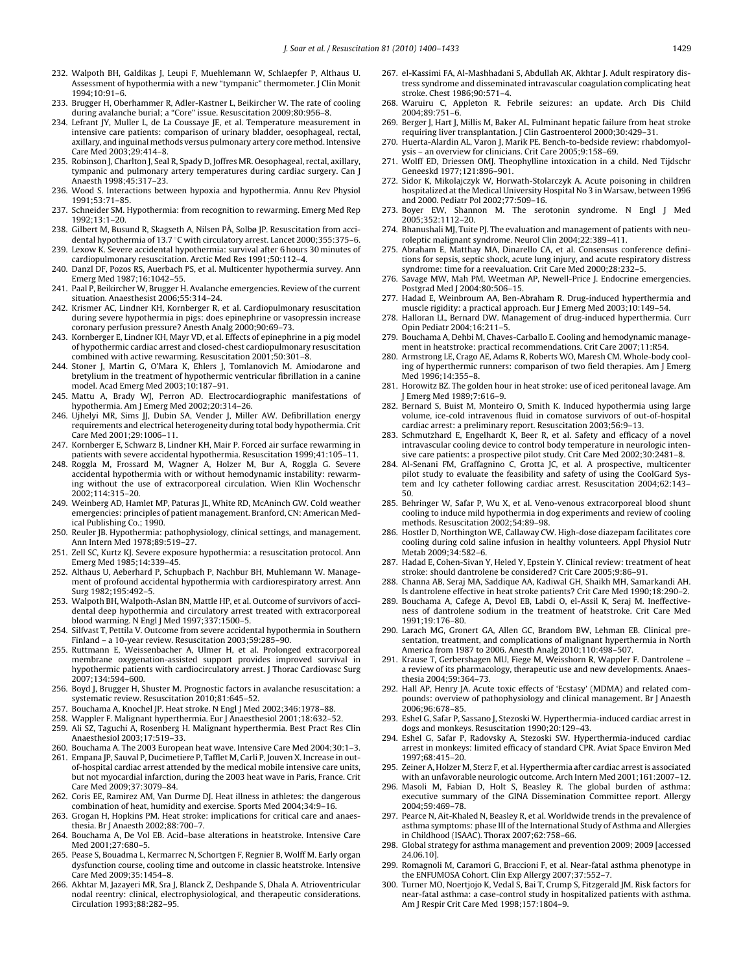- <span id="page-29-0"></span>232. Walpoth BH, Galdikas J, Leupi F, Muehlemann W, Schlaepfer P, Althaus U. Assessment of hypothermia with a new "tympanic" thermometer. J Clin Monit 1994;10:91–6.
- 233. Brugger H, Oberhammer R, Adler-Kastner L, Beikircher W. The rate of cooling during avalanche burial; a "Core" issue. Resuscitation 2009;80:956–8.
- 234. Lefrant JY, Muller L, de La Coussaye JE, et al. Temperature measurement in intensive care patients: comparison of urinary bladder, oesophageal, rectal, axillary, and inguinal methods versus pulmonary artery core method. Intensive Care Med 2003;29:414–8.
- 235. Robinson J, Charlton J, Seal R, Spady D, Joffres MR. Oesophageal, rectal, axillary, tympanic and pulmonary artery temperatures during cardiac surgery. Can J Anaesth 1998;45:317–23.
- 236. Wood S. Interactions between hypoxia and hypothermia. Annu Rev Physiol 1991;53:71–85.
- 237. Schneider SM. Hypothermia: from recognition to rewarming. Emerg Med Rep 1992;13:1–20.
- 238. Gilbert M, Busund R, Skagseth A, Nilsen PÅ, Solbø JP. Resuscitation from accidental hypothermia of 13.7 °C with circulatory arrest. Lancet 2000;355:375-6.
- 239. Lexow K. Severe accidental hypothermia: survival after 6 hours 30 minutes of cardiopulmonary resuscitation. Arctic Med Res 1991;50:112–4.
- 240. Danzl DF, Pozos RS, Auerbach PS, et al. Multicenter hypothermia survey. Ann Emerg Med 1987;16:1042–55.
- 241. Paal P, Beikircher W, Brugger H. Avalanche emergencies. Review of the current situation. Anaesthesist 2006;55:314–24.
- 242. Krismer AC, Lindner KH, Kornberger R, et al. Cardiopulmonary resuscitation during severe hypothermia in pigs: does epinephrine or vasopressin increase coronary perfusion pressure? Anesth Analg 2000;90:69–73.
- 243. Kornberger E, Lindner KH, Mayr VD, et al. Effects of epinephrine in a pig model of hypothermic cardiac arrest and closed-chest cardiopulmonary resuscitation combined with active rewarming. Resuscitation 2001;50:301–8.
- 244. Stoner J, Martin G, O'Mara K, Ehlers J, Tomlanovich M. Amiodarone and bretylium in the treatment of hypothermic ventricular fibrillation in a canine model. Acad Emerg Med 2003;10:187–91.
- 245. Mattu A, Brady WJ, Perron AD. Electrocardiographic manifestations of hypothermia. Am J Emerg Med 2002;20:314–26.
- Ujhelyi MR, Sims JJ, Dubin SA, Vender J, Miller AW. Defibrillation energy requirements and electrical heterogeneity during total body hypothermia. Crit Care Med 2001;29:1006–11.
- 247. Kornberger E, Schwarz B, Lindner KH, Mair P. Forced air surface rewarming in patients with severe accidental hypothermia. Resuscitation 1999;41:105–11.
- 248. Roggla M, Frossard M, Wagner A, Holzer M, Bur A, Roggla G. Severe accidental hypothermia with or without hemodynamic instability: rewarming without the use of extracorporeal circulation. Wien Klin Wochenschr 2002;114:315–20.
- 249. Weinberg AD, Hamlet MP, Paturas JL, White RD, McAninch GW. Cold weather emergencies: principles of patient management. Branford, CN: American Medical Publishing Co.; 1990.
- 250. Reuler JB. Hypothermia: pathophysiology, clinical settings, and management. Ann Intern Med 1978;89:519–27.
- 251. Zell SC, Kurtz KJ. Severe exposure hypothermia: a resuscitation protocol. Ann Emerg Med 1985;14:339–45.
- 252. Althaus U, Aeberhard P, Schupbach P, Nachbur BH, Muhlemann W. Management of profound accidental hypothermia with cardiorespiratory arrest. Ann Surg 1982;195:492–5.
- 253. Walpoth BH, Walpoth-Aslan BN, Mattle HP, et al. Outcome of survivors of accidental deep hypothermia and circulatory arrest treated with extracorporeal blood warming. N Engl J Med 1997;337:1500–5.
- 254. Silfvast T, Pettila V. Outcome from severe accidental hypothermia in Southern Finland – a 10-year review. Resuscitation 2003;59:285–90.
- 255. Ruttmann E, Weissenbacher A, Ulmer H, et al. Prolonged extracorporeal membrane oxygenation-assisted support provides improved survival in hypothermic patients with cardiocirculatory arrest. J Thorac Cardiovasc Surg 2007;134:594–600.
- 256. Boyd J, Brugger H, Shuster M. Prognostic factors in avalanche resuscitation: a systematic review. Resuscitation 2010;81:645–52.
- 257. Bouchama A, Knochel JP. Heat stroke. N Engl J Med 2002;346:1978–88.
- 258. Wappler F. Malignant hyperthermia. Eur J Anaesthesiol 2001;18:632–52.
- 259. Ali SZ, Taguchi A, Rosenberg H. Malignant hyperthermia. Best Pract Res Clin Anaesthesiol 2003;17:519–33.
- 260. Bouchama A. The 2003 European heat wave. Intensive Care Med 2004;30:1–3.
- 261. Empana JP, Sauval P, Ducimetiere P, Tafflet M, Carli P, Jouven X. Increase in outof-hospital cardiac arrest attended by the medical mobile intensive care units, but not myocardial infarction, during the 2003 heat wave in Paris, France. Crit Care Med 2009;37:3079–84.
- 262. Coris EE, Ramirez AM, Van Durme DJ. Heat illness in athletes: the dangerous combination of heat, humidity and exercise. Sports Med 2004;34:9–16.
- 263. Grogan H, Hopkins PM. Heat stroke: implications for critical care and anaesthesia. Br J Anaesth 2002;88:700–7.
- Bouchama A, De Vol EB. Acid-base alterations in heatstroke. Intensive Care Med 2001;27:680–5.
- 265. Pease S, Bouadma L, Kermarrec N, Schortgen F, Regnier B, Wolff M. Early organ dysfunction course, cooling time and outcome in classic heatstroke. Intensive Care Med 2009;35:1454–8.
- 266. Akhtar M, Jazayeri MR, Sra J, Blanck Z, Deshpande S, Dhala A. Atrioventricular nodal reentry: clinical, electrophysiological, and therapeutic considerations. Circulation 1993;88:282–95.
- 267. el-Kassimi FA, Al-Mashhadani S, Abdullah AK, Akhtar J. Adult respiratory distress syndrome and disseminated intravascular coagulation complicating heat stroke. Chest 1986;90:571–4.
- 268. Waruiru C, Appleton R. Febrile seizures: an update. Arch Dis Child 2004;89:751–6.
- 269. Berger J, Hart J, Millis M, Baker AL. Fulminant hepatic failure from heat stroke requiring liver transplantation. J Clin Gastroenterol 2000;30:429–31.
- 270. Huerta-Alardin AL, Varon J, Marik PE. Bench-to-bedside review: rhabdomyolysis – an overview for clinicians. Crit Care 2005;9:158–69.
- 271. Wolff ED, Driessen OMJ. Theophylline intoxication in a child. Ned Tijdschr Geneeskd 1977;121:896–901.
- 272. Sidor K, Mikolajczyk W, Horwath-Stolarczyk A. Acute poisoning in children hospitalized at the Medical University Hospital No 3 in Warsaw, between 1996 and 2000. Pediatr Pol 2002;77:509–16.
- 273. Boyer EW, Shannon M. The serotonin syndrome. N Engl J Med 2005;352:1112–20.
- 274. Bhanushali MJ, Tuite PJ. The evaluation and management of patients with neuroleptic malignant syndrome. Neurol Clin 2004;22:389–411.
- 275. Abraham E, Matthay MA, Dinarello CA, et al. Consensus conference definitions for sepsis, septic shock, acute lung injury, and acute respiratory distress syndrome: time for a reevaluation. Crit Care Med 2000;28:232–5.
- 276. Savage MW, Mah PM, Weetman AP, Newell-Price J. Endocrine emergencies. Postgrad Med J 2004;80:506–15.
- 277. Hadad E, Weinbroum AA, Ben-Abraham R. Drug-induced hyperthermia and muscle rigidity: a practical approach. Eur J Emerg Med 2003;10:149–54.
- 278. Halloran LL, Bernard DW. Management of drug-induced hyperthermia. Curr Opin Pediatr 2004;16:211–5.
- 279. Bouchama A, Dehbi M, Chaves-Carballo E. Cooling and hemodynamic management in heatstroke: practical recommendations. Crit Care 2007;11:R54.
- 280. Armstrong LE, Crago AE, Adams R, Roberts WO, Maresh CM. Whole-body cooling of hyperthermic runners: comparison of two field therapies. Am J Emerg Med 1996;14:355–8.
- 281. Horowitz BZ. The golden hour in heat stroke: use of iced peritoneal lavage. Am J Emerg Med 1989;7:616–9.
- 282. Bernard S, Buist M, Monteiro O, Smith K. Induced hypothermia using large volume, ice-cold intravenous fluid in comatose survivors of out-of-hospital cardiac arrest: a preliminary report. Resuscitation 2003;56:9–13.
- 283. Schmutzhard E, Engelhardt K, Beer R, et al. Safety and efficacy of a novel intravascular cooling device to control body temperature in neurologic intensive care patients: a prospective pilot study. Crit Care Med 2002;30:2481–8.
- 284. Al-Senani FM, Graffagnino C, Grotta JC, et al. A prospective, multicenter pilot study to evaluate the feasibility and safety of using the CoolGard System and Icy catheter following cardiac arrest. Resuscitation 2004;62:143– 50.
- 285. Behringer W, Safar P, Wu X, et al. Veno-venous extracorporeal blood shunt cooling to induce mild hypothermia in dog experiments and review of cooling methods. Resuscitation 2002;54:89–98.
- 286. Hostler D, Northington WE, Callaway CW. High-dose diazepam facilitates core cooling during cold saline infusion in healthy volunteers. Appl Physiol Nutr Metab 2009;34:582–6.
- 287. Hadad E, Cohen-Sivan Y, Heled Y, Epstein Y. Clinical review: treatment of heat stroke: should dantrolene be considered? Crit Care 2005;9:86–91.
- 288. Channa AB, Seraj MA, Saddique AA, Kadiwal GH, Shaikh MH, Samarkandi AH. Is dantrolene effective in heat stroke patients? Crit Care Med 1990;18:290–2.
- 289. Bouchama A, Cafege A, Devol EB, Labdi O, el-Assil K, Seraj M. Ineffectiveness of dantrolene sodium in the treatment of heatstroke. Crit Care Med 1991;19:176–80.
- 290. Larach MG, Gronert GA, Allen GC, Brandom BW, Lehman EB. Clinical presentation, treatment, and complications of malignant hyperthermia in North America from 1987 to 2006. Anesth Analg 2010;110:498–507.
- 291. Krause T, Gerbershagen MU, Fiege M, Weisshorn R, Wappler F. Dantrolene a review of its pharmacology, therapeutic use and new developments. Anaesthesia 2004;59:364–73.
- 292. Hall AP, Henry JA. Acute toxic effects of 'Ecstasy' (MDMA) and related compounds: overview of pathophysiology and clinical management. Br J Anaesth 2006;96:678–85.
- 293. Eshel G, Safar P, Sassano J, Stezoski W. Hyperthermia-induced cardiac arrest in dogs and monkeys. Resuscitation 1990;20:129–43.
- 294. Eshel G, Safar P, Radovsky A, Stezoski SW. Hyperthermia-induced cardiac arrest in monkeys: limited efficacy of standard CPR. Aviat Space Environ Med 1997;68:415–20.
- 295. Zeiner A, Holzer M, Sterz F, et al. Hyperthermia after cardiac arrest is associated with an unfavorable neurologic outcome. Arch Intern Med 2001;161:2007–12.
- 296. Masoli M, Fabian D, Holt S, Beasley R. The global burden of asthma: executive summary of the GINA Dissemination Committee report. Allergy 2004;59:469–78.
- 297. Pearce N, Ait-Khaled N, Beasley R, et al. Worldwide trends in the prevalence of asthma symptoms: phase III of the International Study of Asthma and Allergies in Childhood (ISAAC). Thorax 2007;62:758–66.
- 298. Global strategy for asthma management and prevention 2009; 2009 [accessed 24.06.10].
- 299. Romagnoli M, Caramori G, Braccioni F, et al. Near-fatal asthma phenotype in the ENFUMOSA Cohort. Clin Exp Allergy 2007;37:552–7.
- 300. Turner MO, Noertjojo K, Vedal S, Bai T, Crump S, Fitzgerald JM. Risk factors for near-fatal asthma: a case-control study in hospitalized patients with asthma. Am J Respir Crit Care Med 1998;157:1804–9.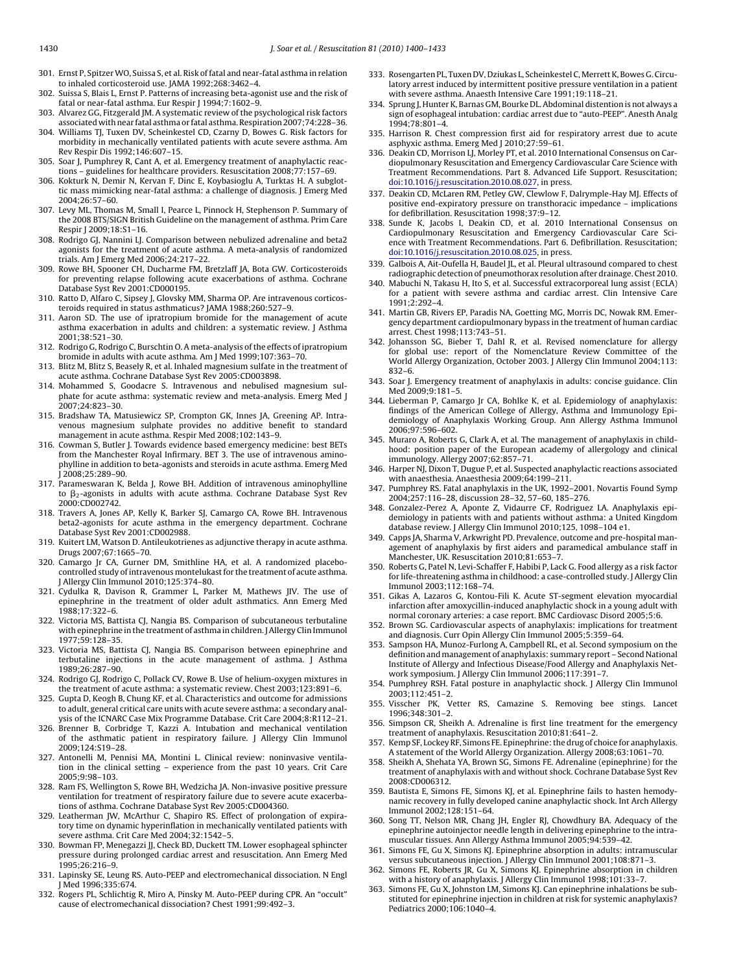- <span id="page-30-0"></span>301. Ernst P, SpitzerWO, Suissa S, et al. Risk of fatal and near-fatal asthma in relation to inhaled corticosteroid use. JAMA 1992;268:3462–4.
- 302. Suissa S, Blais L, Ernst P. Patterns of increasing beta-agonist use and the risk of fatal or near-fatal asthma. Eur Respir J 1994;7:1602–9.
- 303. Alvarez GG, Fitzgerald JM. A systematic review of the psychological risk factors associated with near fatal asthma or fatal asthma. Respiration 2007;74:228–36.
- 304. Williams TJ, Tuxen DV, Scheinkestel CD, Czarny D, Bowes G. Risk factors for morbidity in mechanically ventilated patients with acute severe asthma. Am Rev Respir Dis 1992;146:607–15.
- 305. Soar J, Pumphrey R, Cant A, et al. Emergency treatment of anaphylactic reactions – guidelines for healthcare providers. Resuscitation 2008;77:157–69.
- 306. Kokturk N, Demir N, Kervan F, Dinc E, Koybasioglu A, Turktas H. A subglottic mass mimicking near-fatal asthma: a challenge of diagnosis. J Emerg Med 2004;26:57–60.
- 307. Levy ML, Thomas M, Small I, Pearce L, Pinnock H, Stephenson P. Summary of the 2008 BTS/SIGN British Guideline on the management of asthma. Prim Care Respir J 2009;18:S1–16.
- 308. Rodrigo GJ, Nannini LJ. Comparison between nebulized adrenaline and beta2 agonists for the treatment of acute asthma. A meta-analysis of randomized trials. Am J Emerg Med 2006;24:217–22.
- 309. Rowe BH, Spooner CH, Ducharme FM, Bretzlaff JA, Bota GW. Corticosteroids for preventing relapse following acute exacerbations of asthma. Cochrane Database Syst Rev 2001:CD000195.
- 310. Ratto D, Alfaro C, Sipsey J, Glovsky MM, Sharma OP. Are intravenous corticosteroids required in status asthmaticus? JAMA 1988;260:527–9.
- 311. Aaron SD. The use of ipratropium bromide for the management of acute asthma exacerbation in adults and children: a systematic review. J Asthma 2001;38:521–30.
- 312. Rodrigo G, Rodrigo C, Burschtin O. A meta-analysis of the effects of ipratropium bromide in adults with acute asthma. Am J Med 1999;107:363–70.
- 313. Blitz M, Blitz S, Beasely R, et al. Inhaled magnesium sulfate in the treatment of acute asthma. Cochrane Database Syst Rev 2005:CD003898.
- 314. Mohammed S, Goodacre S. Intravenous and nebulised magnesium sulphate for acute asthma: systematic review and meta-analysis. Emerg Med J 2007;24:823–30.
- 315. Bradshaw TA, Matusiewicz SP, Crompton GK, Innes JA, Greening AP. Intravenous magnesium sulphate provides no additive benefit to standard management in acute asthma. Respir Med 2008;102:143–9.
- 316. Cowman S, Butler J. Towards evidence based emergency medicine: best BETs from the Manchester Royal Infirmary. BET 3. The use of intravenous aminophylline in addition to beta-agonists and steroids in acute asthma. Emerg Med J 2008;25:289–90.
- 317. Parameswaran K, Belda J, Rowe BH. Addition of intravenous aminophylline to  $\beta_2$ -agonists in adults with acute asthma. Cochrane Database Syst Rev 2000:CD002742.
- 318. Travers A, Jones AP, Kelly K, Barker SJ, Camargo CA, Rowe BH. Intravenous beta2-agonists for acute asthma in the emergency department. Cochrane Database Syst Rev 2001:CD002988.
- 319. Kuitert LM, Watson D. Antileukotrienes as adjunctive therapy in acute asthma. Drugs 2007;67:1665–70.
- 320. Camargo Jr CA, Gurner DM, Smithline HA, et al. A randomized placebocontrolled study of intravenous montelukast for the treatment of acute asthma. J Allergy Clin Immunol 2010;125:374–80.
- 321. Cydulka R, Davison R, Grammer L, Parker M, Mathews JIV. The use of epinephrine in the treatment of older adult asthmatics. Ann Emerg Med 1988;17:322–6.
- 322. Victoria MS, Battista CJ, Nangia BS. Comparison of subcutaneous terbutaline with epinephrine in the treatment of asthma in children. J Allergy Clin Immunol 1977;59:128–35.
- 323. Victoria MS, Battista CJ, Nangia BS. Comparison between epinephrine and terbutaline injections in the acute management of asthma. J Asthma 1989;26:287–90.
- 324. Rodrigo GJ, Rodrigo C, Pollack CV, Rowe B. Use of helium-oxygen mixtures in the treatment of acute asthma: a systematic review. Chest 2003;123:891–6.
- 325. Gupta D, Keogh B, Chung KF, et al. Characteristics and outcome for admissions to adult, general critical care units with acute severe asthma: a secondary analysis of the ICNARC Case Mix Programme Database. Crit Care 2004;8:R112–21.
- 326. Brenner B, Corbridge T, Kazzi A. Intubation and mechanical ventilation of the asthmatic patient in respiratory failure. J Allergy Clin Immunol 2009;124:S19–28.
- 327. Antonelli M, Pennisi MA, Montini L. Clinical review: noninvasive ventilation in the clinical setting – experience from the past 10 years. Crit Care 2005;9:98–103.
- 328. Ram FS, Wellington S, Rowe BH, Wedzicha JA. Non-invasive positive pressure ventilation for treatment of respiratory failure due to severe acute exacerbations of asthma. Cochrane Database Syst Rev 2005:CD004360.
- 329. Leatherman JW, McArthur C, Shapiro RS. Effect of prolongation of expiratory time on dynamic hyperinflation in mechanically ventilated patients with severe asthma. Crit Care Med 2004;32:1542–5.
- 330. Bowman FP, Menegazzi JJ, Check BD, Duckett TM. Lower esophageal sphincter pressure during prolonged cardiac arrest and resuscitation. Ann Emerg Med 1995;26:216–9.
- 331. Lapinsky SE, Leung RS. Auto-PEEP and electromechanical dissociation. N Engl J Med 1996;335:674.
- 332. Rogers PL, Schlichtig R, Miro A, Pinsky M. Auto-PEEP during CPR. An "occult" cause of electromechanical dissociation? Chest 1991;99:492–3.
- 333. Rosengarten PL, Tuxen DV, Dziukas L, Scheinkestel C, Merrett K, Bowes G. Circulatory arrest induced by intermittent positive pressure ventilation in a patient with severe asthma. Anaesth Intensive Care 1991;19:118–21.
- 334. Sprung J, Hunter K, Barnas GM, Bourke DL. Abdominal distention is not always a sign of esophageal intubation: cardiac arrest due to "auto-PEEP". Anesth Analg 1994;78:801–4.
- 335. Harrison R. Chest compression first aid for respiratory arrest due to acute asphyxic asthma. Emerg Med J 2010;27:59–61.
- 336. Deakin CD, Morrison LJ, Morley PT, et al. 2010 International Consensus on Cardiopulmonary Resuscitation and Emergency Cardiovascular Care Science with Treatment Recommendations. Part 8. Advanced Life Support. Resuscitation; [doi:10.1016/j.resuscitation.2010.08.027](http://dx.doi.org/10.1016/j.resuscitation.2010.08.027), in press.
- 337. Deakin CD, McLaren RM, Petley GW, Clewlow F, Dalrymple-Hay MJ. Effects of positive end-expiratory pressure on transthoracic impedance – implications for defibrillation. Resuscitation 1998;37:9–12.
- 338. Sunde K, Jacobs I, Deakin CD, et al. 2010 International Consensus on Cardiopulmonary Resuscitation and Emergency Cardiovascular Care Science with Treatment Recommendations. Part 6. Defibrillation. Resuscitation; [doi:10.1016/j.resuscitation.2010.08.025](http://dx.doi.org/10.1016/j.resuscitation.2010.08.025), in press.
- 339. Galbois A, Ait-Oufella H, Baudel JL, et al. Pleural ultrasound compared to chest radiographic detection of pneumothorax resolution after drainage. Chest 2010.
- 340. Mabuchi N, Takasu H, Ito S, et al. Successful extracorporeal lung assist (ECLA) for a patient with severe asthma and cardiac arrest. Clin Intensive Care  $1991:2:292-4$
- 341. Martin GB, Rivers EP, Paradis NA, Goetting MG, Morris DC, Nowak RM. Emergency department cardiopulmonary bypass in the treatment of human cardiac arrest. Chest 1998;113:743–51.
- 342. Johansson SG, Bieber T, Dahl R, et al. Revised nomenclature for allergy for global use: report of the Nomenclature Review Committee of the World Allergy Organization, October 2003. J Allergy Clin Immunol 2004;113: 832–6.
- 343. Soar J. Emergency treatment of anaphylaxis in adults: concise guidance. Clin Med 2009;9:181–5.
- 344. Lieberman P, Camargo Jr CA, Bohlke K, et al. Epidemiology of anaphylaxis: findings of the American College of Allergy, Asthma and Immunology Epidemiology of Anaphylaxis Working Group. Ann Allergy Asthma Immunol 2006;97:596–602.
- 345. Muraro A, Roberts G, Clark A, et al. The management of anaphylaxis in childhood: position paper of the European academy of allergology and clinical immunology. Allergy 2007;62:857–71.
- 346. Harper NJ, Dixon T, Dugue P, et al. Suspected anaphylactic reactions associated with anaesthesia. Anaesthesia 2009;64:199–211.
- 347. Pumphrey RS. Fatal anaphylaxis in the UK, 1992–2001. Novartis Found Symp 2004;257:116–28, discussion 28–32, 57–60, 185–276.
- 348. Gonzalez-Perez A, Aponte Z, Vidaurre CF, Rodriguez LA. Anaphylaxis epidemiology in patients with and patients without asthma: a United Kingdom database review. J Allergy Clin Immunol 2010;125, 1098–104 e1.
- 349. Capps JA, Sharma V, Arkwright PD. Prevalence, outcome and pre-hospital management of anaphylaxis by first aiders and paramedical ambulance staff in Manchester, UK. Resuscitation 2010;81:653–7.
- 350. Roberts G, Patel N, Levi-Schaffer F, Habibi P, Lack G. Food allergy as a risk factor for life-threatening asthma in childhood: a case-controlled study. J Allergy Clin Immunol 2003;112:168–74.
- 351. Gikas A, Lazaros G, Kontou-Fili K. Acute ST-segment elevation myocardial infarction after amoxycillin-induced anaphylactic shock in a young adult with normal coronary arteries: a case report. BMC Cardiovasc Disord 2005;5:6.
- 352. Brown SG. Cardiovascular aspects of anaphylaxis: implications for treatment and diagnosis. Curr Opin Allergy Clin Immunol 2005;5:359–64.
- 353. Sampson HA, Munoz-Furlong A, Campbell RL, et al. Second symposium on the definition and management of anaphylaxis: summary report – Second National Institute of Allergy and Infectious Disease/Food Allergy and Anaphylaxis Network symposium. J Allergy Clin Immunol 2006;117:391–7.
- 354. Pumphrey RSH. Fatal posture in anaphylactic shock. J Allergy Clin Immunol 2003;112:451–2.
- 355. Visscher PK, Vetter RS, Camazine S. Removing bee stings. Lancet 1996;348:301–2.
- 356. Simpson CR, Sheikh A. Adrenaline is first line treatment for the emergency treatment of anaphylaxis. Resuscitation 2010;81:641–2.
- 357. Kemp SF, Lockey RF, Simons FE. Epinephrine: the drug of choice for anaphylaxis. A statement of the World Allergy Organization. Allergy 2008;63:1061–70.
- 358. Sheikh A, Shehata YA, Brown SG, Simons FE. Adrenaline (epinephrine) for the treatment of anaphylaxis with and without shock. Cochrane Database Syst Rev 2008:CD006312.
- 359. Bautista E, Simons FE, Simons KJ, et al. Epinephrine fails to hasten hemodynamic recovery in fully developed canine anaphylactic shock. Int Arch Allergy Immunol 2002;128:151–64.
- 360. Song TT, Nelson MR, Chang JH, Engler RJ, Chowdhury BA. Adequacy of the epinephrine autoinjector needle length in delivering epinephrine to the intramuscular tissues. Ann Allergy Asthma Immunol 2005;94:539–42.
- 361. Simons FE, Gu X, Simons KJ. Epinephrine absorption in adults: intramuscular versus subcutaneous injection. J Allergy Clin Immunol 2001;108:871–3.
- 362. Simons FE, Roberts JR, Gu X, Simons KJ. Epinephrine absorption in children with a history of anaphylaxis. J Allergy Clin Immunol 1998;101:33–7.
- 363. Simons FE, Gu X, Johnston LM, Simons KJ. Can epinephrine inhalations be substituted for epinephrine injection in children at risk for systemic anaphylaxis? Pediatrics 2000;106:1040–4.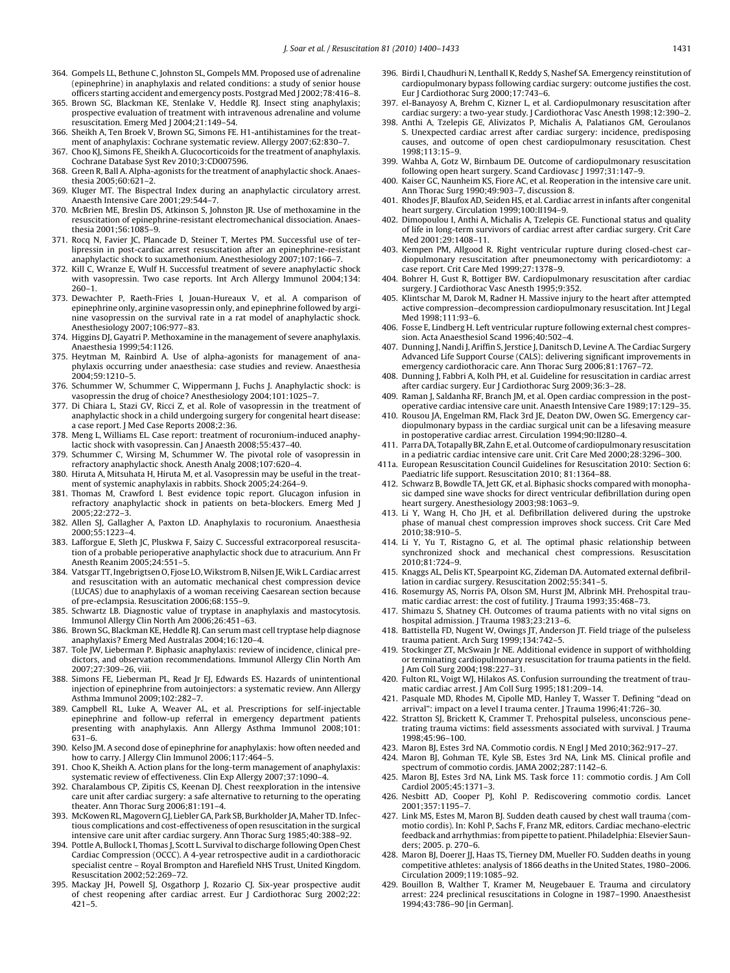- <span id="page-31-0"></span>364. Gompels LL, Bethune C, Johnston SL, Gompels MM. Proposed use of adrenaline (epinephrine) in anaphylaxis and related conditions: a study of senior house officers starting accident and emergency posts. Postgrad Med J 2002;78:416–8.
- 365. Brown SG, Blackman KE, Stenlake V, Heddle RJ. Insect sting anaphylaxis; prospective evaluation of treatment with intravenous adrenaline and volume resuscitation. Emerg Med J 2004;21:149–54.
- 366. Sheikh A, Ten Broek V, Brown SG, Simons FE. H1-antihistamines for the treatment of anaphylaxis: Cochrane systematic review. Allergy 2007;62:830–7.
- 367. Choo KJ, Simons FE, Sheikh A. Glucocorticoids for the treatment of anaphylaxis. Cochrane Database Syst Rev 2010;3:CD007596.
- 368. Green R, Ball A. Alpha-agonists for the treatment of anaphylactic shock. Anaesthesia 2005;60:621–2.
- 369. Kluger MT. The Bispectral Index during an anaphylactic circulatory arrest. Anaesth Intensive Care 2001;29:544–7.
- 370. McBrien ME, Breslin DS, Atkinson S, Johnston JR. Use of methoxamine in the resuscitation of epinephrine-resistant electromechanical dissociation. Anaesthesia 2001;56:1085–9.
- 371. Rocq N, Favier JC, Plancade D, Steiner T, Mertes PM. Successful use of terlipressin in post-cardiac arrest resuscitation after an epinephrine-resistant anaphylactic shock to suxamethonium. Anesthesiology 2007;107:166–7.
- 372. Kill C, Wranze E, Wulf H. Successful treatment of severe anaphylactic shock with vasopressin. Two case reports. Int Arch Allergy Immunol 2004;134: 260–1.
- 373. Dewachter P, Raeth-Fries I, Jouan-Hureaux V, et al. A comparison of epinephrine only, arginine vasopressin only, and epinephrine followed by arginine vasopressin on the survival rate in a rat model of anaphylactic shock. Anesthesiology 2007;106:977–83.
- 374. Higgins DJ, Gayatri P. Methoxamine in the management of severe anaphylaxis. Anaesthesia 1999;54:1126.
- 375. Heytman M, Rainbird A. Use of alpha-agonists for management of anaphylaxis occurring under anaesthesia: case studies and review. Anaesthesia 2004;59:1210–5.
- 376. Schummer W, Schummer C, Wippermann J, Fuchs J. Anaphylactic shock: is vasopressin the drug of choice? Anesthesiology 2004;101:1025–7.
- 377. Di Chiara L, Stazi GV, Ricci Z, et al. Role of vasopressin in the treatment of anaphylactic shock in a child undergoing surgery for congenital heart disease: a case report. J Med Case Reports 2008;2:36.
- 378. Meng L, Williams EL. Case report: treatment of rocuronium-induced anaphylactic shock with vasopressin. Can J Anaesth 2008;55:437–40.
- 379. Schummer C, Wirsing M, Schummer W. The pivotal role of vasopressin in refractory anaphylactic shock. Anesth Analg 2008;107:620–4.
- 380. Hiruta A, Mitsuhata H, Hiruta M, et al. Vasopressin may be useful in the treatment of systemic anaphylaxis in rabbits. Shock 2005;24:264–9.
- 381. Thomas M, Crawford I. Best evidence topic report. Glucagon infusion in refractory anaphylactic shock in patients on beta-blockers. Emerg Med J 2005;22:272–3.
- 382. Allen SJ, Gallagher A, Paxton LD. Anaphylaxis to rocuronium. Anaesthesia 2000;55:1223–4.
- 383. Lafforgue E, Sleth JC, Pluskwa F, Saizy C. Successful extracorporeal resuscitation of a probable perioperative anaphylactic shock due to atracurium. Ann Fr Anesth Reanim 2005;24:551–5.
- 384. Vatsgar TT, Ingebrigtsen O, Fjose LO,Wikstrom B, Nilsen JE,Wik L. Cardiac arrest and resuscitation with an automatic mechanical chest compression device (LUCAS) due to anaphylaxis of a woman receiving Caesarean section because of pre-eclampsia. Resuscitation 2006;68:155–9.
- 385. Schwartz LB. Diagnostic value of tryptase in anaphylaxis and mastocytosis. Immunol Allergy Clin North Am 2006;26:451–63.
- 386. Brown SG, Blackman KE, Heddle RJ. Can serum mast cell tryptase help diagnose anaphylaxis? Emerg Med Australas 2004;16:120–4.
- 387. Tole JW, Lieberman P. Biphasic anaphylaxis: review of incidence, clinical predictors, and observation recommendations. Immunol Allergy Clin North Am 2007;27:309–26, viii.
- 388. Simons FE, Lieberman PL, Read Jr EJ, Edwards ES. Hazards of unintentional injection of epinephrine from autoinjectors: a systematic review. Ann Allergy Asthma Immunol 2009;102:282–7.
- 389. Campbell RL, Luke A, Weaver AL, et al. Prescriptions for self-injectable epinephrine and follow-up referral in emergency department patients presenting with anaphylaxis. Ann Allergy Asthma Immunol 2008;101: 631–6.
- 390. Kelso JM. A second dose of epinephrine for anaphylaxis: how often needed and how to carry. J Allergy Clin Immunol 2006;117:464–5.
- 391. Choo K, Sheikh A. Action plans for the long-term management of anaphylaxis: systematic review of effectiveness. Clin Exp Allergy 2007;37:1090–4.
- 392. Charalambous CP, Zipitis CS, Keenan DJ. Chest reexploration in the intensive care unit after cardiac surgery: a safe alternative to returning to the operating theater. Ann Thorac Surg 2006;81:191–4.
- 393. McKowen RL, Magovern GJ, Liebler GA, Park SB, Burkholder JA, Maher TD. Infectious complications and cost-effectiveness of open resuscitation in the surgical intensive care unit after cardiac surgery. Ann Thorac Surg 1985;40:388–92.
- 394. Pottle A, Bullock I, Thomas J, Scott L. Survival to discharge following Open Chest Cardiac Compression (OCCC). A 4-year retrospective audit in a cardiothoracic specialist centre – Royal Brompton and Harefield NHS Trust, United Kingdom. Resuscitation 2002;52:269–72.
- 395. Mackay JH, Powell SJ, Osgathorp J, Rozario CJ. Six-year prospective audit of chest reopening after cardiac arrest. Eur J Cardiothorac Surg 2002;22: 421–5.
- 396. Birdi I, Chaudhuri N, Lenthall K, Reddy S, Nashef SA. Emergency reinstitution of cardiopulmonary bypass following cardiac surgery: outcome justifies the cost. Eur J Cardiothorac Surg 2000;17:743–6.
- 397. el-Banayosy A, Brehm C, Kizner L, et al. Cardiopulmonary resuscitation after cardiac surgery: a two-year study. J Cardiothorac Vasc Anesth 1998;12:390–2.
- 398. Anthi A, Tzelepis GE, Alivizatos P, Michalis A, Palatianos GM, Geroulanos S. Unexpected cardiac arrest after cardiac surgery: incidence, predisposing causes, and outcome of open chest cardiopulmonary resuscitation. Chest 1998;113:15–9.
- 399. Wahba A, Gotz W, Birnbaum DE. Outcome of cardiopulmonary resuscitation following open heart surgery. Scand Cardiovasc J 1997;31:147–9.
- 400. Kaiser GC, Naunheim KS, Fiore AC, et al. Reoperation in the intensive care unit. Ann Thorac Surg 1990;49:903–7, discussion 8.
- 401. Rhodes JF, Blaufox AD, Seiden HS, et al. Cardiac arrest in infants after congenital heart surgery. Circulation 1999;100:II194–9.
- 402. Dimopoulou I, Anthi A, Michalis A, Tzelepis GE. Functional status and quality of life in long-term survivors of cardiac arrest after cardiac surgery. Crit Care Med 2001;29:1408–11.
- 403. Kempen PM, Allgood R. Right ventricular rupture during closed-chest cardiopulmonary resuscitation after pneumonectomy with pericardiotomy: a case report. Crit Care Med 1999;27:1378–9.
- 404. Bohrer H, Gust R, Bottiger BW. Cardiopulmonary resuscitation after cardiac surgery. J Cardiothorac Vasc Anesth 1995;9:352.
- 405. Klintschar M, Darok M, Radner H. Massive injury to the heart after attempted active compression–decompression cardiopulmonary resuscitation. Int J Legal Med 1998;111:93–6.
- 406. Fosse E, Lindberg H. Left ventricular rupture following external chest compression. Acta Anaesthesiol Scand 1996;40:502–4.
- 407. Dunning J, Nandi J, Ariffin S, Jerstice J, Danitsch D, Levine A. The Cardiac Surgery Advanced Life Support Course (CALS): delivering significant improvements in emergency cardiothoracic care. Ann Thorac Surg 2006;81:1767–72.
- 408. Dunning J, Fabbri A, Kolh PH, et al. Guideline for resuscitation in cardiac arrest after cardiac surgery. Eur J Cardiothorac Surg 2009;36:3–28.
- 409. Raman J, Saldanha RF, Branch JM, et al. Open cardiac compression in the postoperative cardiac intensive care unit. Anaesth Intensive Care 1989;17:129–35.
- 410. Rousou JA, Engelman RM, Flack 3rd JE, Deaton DW, Owen SG. Emergency cardiopulmonary bypass in the cardiac surgical unit can be a lifesaving measure in postoperative cardiac arrest. Circulation 1994;90:II280–4.
- 411. Parra DA, Totapally BR, Zahn E, et al. Outcome of cardiopulmonary resuscitation in a pediatric cardiac intensive care unit. Crit Care Med 2000;28:3296–300.
- 411a. European Resuscitation Council Guidelines for Resuscitation 2010: Section 6: Paediatric life support. Resuscitation 2010; 81:1364–88.
- 412. Schwarz B, Bowdle TA, Jett GK, et al. Biphasic shocks compared with monophasic damped sine wave shocks for direct ventricular defibrillation during open heart surgery. Anesthesiology 2003;98:1063–9.
- 413. Li Y, Wang H, Cho JH, et al. Defibrillation delivered during the upstroke phase of manual chest compression improves shock success. Crit Care Med 2010;38:910–5.
- 414. Li Y, Yu T, Ristagno G, et al. The optimal phasic relationship between synchronized shock and mechanical chest compressions. Resuscitation 2010;81:724–9.
- 415. Knaggs AL, Delis KT, Spearpoint KG, Zideman DA. Automated external defibrillation in cardiac surgery. Resuscitation 2002;55:341–5.
- 416. Rosemurgy AS, Norris PA, Olson SM, Hurst JM, Albrink MH. Prehospital traumatic cardiac arrest: the cost of futility. J Trauma 1993;35:468–73.
- 417. Shimazu S, Shatney CH. Outcomes of trauma patients with no vital signs on hospital admission. J Trauma 1983;23:213-6.
- 418. Battistella FD, Nugent W, Owings JT, Anderson JT. Field triage of the pulseless trauma patient. Arch Surg 1999;134:742–5.
- 419. Stockinger ZT, McSwain Jr NE. Additional evidence in support of withholding or terminating cardiopulmonary resuscitation for trauma patients in the field. J Am Coll Surg 2004;198:227–31.
- 420. Fulton RL, Voigt WJ, Hilakos AS. Confusion surrounding the treatment of traumatic cardiac arrest. J Am Coll Surg 1995;181:209–14.
- 421. Pasquale MD, Rhodes M, Cipolle MD, Hanley T, Wasser T. Defining "dead on arrival": impact on a level I trauma center. J Trauma 1996;41:726–30.
- 422. Stratton SJ, Brickett K, Crammer T. Prehospital pulseless, unconscious penetrating trauma victims: field assessments associated with survival. J Trauma 1998;45:96–100.
- 423. Maron BJ, Estes 3rd NA. Commotio cordis. N Engl J Med 2010;362:917–27.
- 424. Maron BJ, Gohman TE, Kyle SB, Estes 3rd NA, Link MS. Clinical profile and spectrum of commotio cordis. JAMA 2002;287:1142–6.
- 425. Maron BJ, Estes 3rd NA, Link MS. Task force 11: commotio cordis. J Am Coll Cardiol 2005;45:1371–3.
- 426. Nesbitt AD, Cooper PJ, Kohl P. Rediscovering commotio cordis. Lancet 2001;357:1195–7.
- 427. Link MS, Estes M, Maron BJ. Sudden death caused by chest wall trauma (commotio cordis). In: Kohl P, Sachs F, Franz MR, editors. Cardiac mechano-electric feedback and arrhythmias: from pipette to patient. Philadelphia: Elsevier Saunders; 2005. p. 270–6.
- 428. Maron BJ, Doerer JJ, Haas TS, Tierney DM, Mueller FO. Sudden deaths in young competitive athletes: analysis of 1866 deaths in the United States, 1980–2006. Circulation 2009;119:1085–92.
- 429. Bouillon B, Walther T, Kramer M, Neugebauer E. Trauma and circulatory arrest: 224 preclinical resuscitations in Cologne in 1987–1990. Anaesthesist 1994;43:786–90 [in German].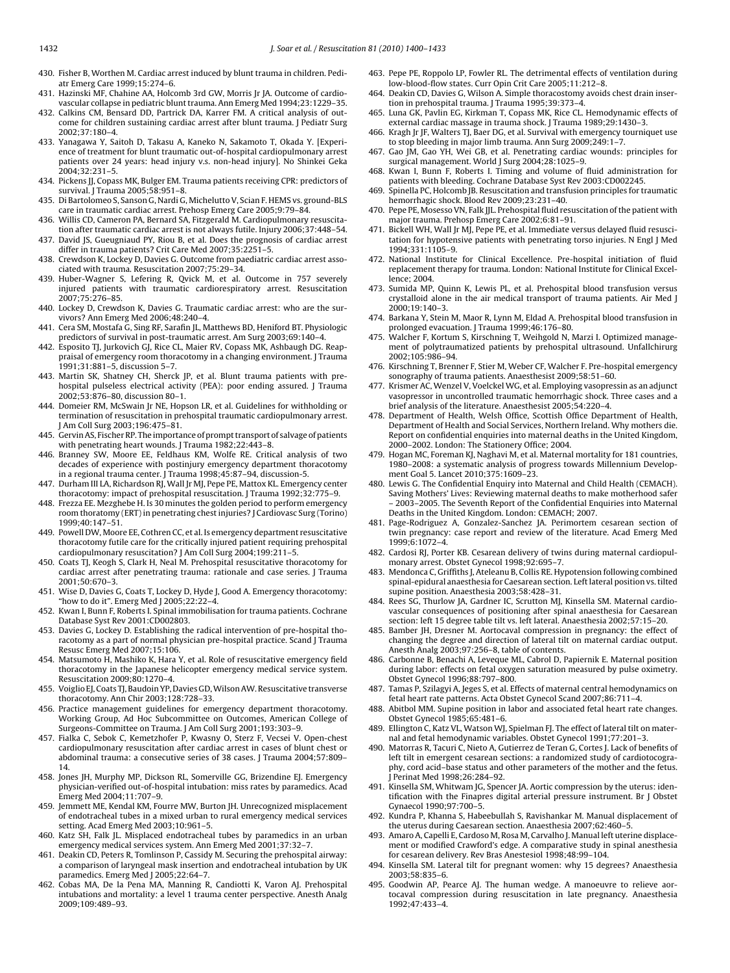- <span id="page-32-0"></span>430. Fisher B, Worthen M. Cardiac arrest induced by blunt trauma in children. Pediatr Emerg Care 1999;15:274–6.
- 431. Hazinski MF, Chahine AA, Holcomb 3rd GW, Morris Jr JA. Outcome of cardiovascular collapse in pediatric blunt trauma. Ann Emerg Med 1994;23:1229–35.
- 432. Calkins CM, Bensard DD, Partrick DA, Karrer FM. A critical analysis of outcome for children sustaining cardiac arrest after blunt trauma. J Pediatr Surg 2002;37:180–4.
- 433. Yanagawa Y, Saitoh D, Takasu A, Kaneko N, Sakamoto T, Okada Y. [Experience of treatment for blunt traumatic out-of-hospital cardiopulmonary arrest patients over 24 years: head injury v.s. non-head injury]. No Shinkei Geka 2004;32:231–5.
- 434. Pickens JJ, Copass MK, Bulger EM. Trauma patients receiving CPR: predictors of survival. J Trauma 2005;58:951–8.
- 435. Di Bartolomeo S, Sanson G, Nardi G, Michelutto V, Scian F. HEMS vs. ground-BLS care in traumatic cardiac arrest. Prehosp Emerg Care 2005;9:79–84.
- 436. Willis CD, Cameron PA, Bernard SA, Fitzgerald M. Cardiopulmonary resuscitation after traumatic cardiac arrest is not always futile. Injury 2006;37:448–54.
- 437. David JS, Gueugniaud PY, Riou B, et al. Does the prognosis of cardiac arrest differ in trauma patients? Crit Care Med 2007;35:2251–5.
- 438. Crewdson K, Lockey D, Davies G. Outcome from paediatric cardiac arrest associated with trauma. Resuscitation 2007;75:29–34.
- 439. Huber-Wagner S, Lefering R, Qvick M, et al. Outcome in 757 severely injured patients with traumatic cardiorespiratory arrest. Resuscitation 2007;75:276–85.
- 440. Lockey D, Crewdson K, Davies G. Traumatic cardiac arrest: who are the survivors? Ann Emerg Med 2006;48:240–4.
- 441. Cera SM, Mostafa G, Sing RF, Sarafin JL, Matthews BD, Heniford BT. Physiologic predictors of survival in post-traumatic arrest. Am Surg 2003;69:140–4.
- 442. Esposito TJ, Jurkovich GJ, Rice CL, Maier RV, Copass MK, Ashbaugh DG. Reappraisal of emergency room thoracotomy in a changing environment. J Trauma 1991;31:881–5, discussion 5–7.
- 443. Martin SK, Shatney CH, Sherck JP, et al. Blunt trauma patients with prehospital pulseless electrical activity (PEA): poor ending assured. J Trauma 2002;53:876–80, discussion 80–1.
- 444. Domeier RM, McSwain Jr NE, Hopson LR, et al. Guidelines for withholding or termination of resuscitation in prehospital traumatic cardiopulmonary arrest. J Am Coll Surg 2003;196:475–81.
- 445. Gervin AS, Fischer RP. The importance of prompt transport of salvage of patients with penetrating heart wounds. J Trauma 1982;22:443-8.
- 446. Branney SW, Moore EE, Feldhaus KM, Wolfe RE. Critical analysis of two decades of experience with postinjury emergency department thoracotomy in a regional trauma center. Trauma 1998;45:87-94, discussion-5.
- 447. Durham III LA, Richardson RJ, Wall Jr MJ, Pepe PE, Mattox KL. Emergency center thoracotomy: impact of prehospital resuscitation. J Trauma 1992;32:775–9.
- 448. Frezza EE. Mezghebe H. Is 30 minutes the golden period to perform emergency room thoratomy (ERT) in penetrating chest injuries? J Cardiovasc Surg (Torino) 1999;40:147–51.
- 449. Powell DW, Moore EE, Cothren CC, et al. Is emergency department resuscitative thoracotomy futile care for the critically injured patient requiring prehospital cardiopulmonary resuscitation? J Am Coll Surg 2004;199:211–5.
- 450. Coats TJ, Keogh S, Clark H, Neal M. Prehospital resuscitative thoracotomy for cardiac arrest after penetrating trauma: rationale and case series. J Trauma 2001;50:670–3.
- 451. Wise D, Davies G, Coats T, Lockey D, Hyde J, Good A. Emergency thoracotomy: "how to do it". Emerg Med J 2005;22:22–4.
- 452. Kwan I, Bunn F, Roberts I. Spinal immobilisation for trauma patients. Cochrane Database Syst Rev 2001:CD002803.
- 453. Davies G, Lockey D. Establishing the radical intervention of pre-hospital thoracotomy as a part of normal physician pre-hospital practice. Scand J Trauma Resusc Emerg Med 2007;15:106.
- 454. Matsumoto H, Mashiko K, Hara Y, et al. Role of resuscitative emergency field thoracotomy in the Japanese helicopter emergency medical service system. Resuscitation 2009;80:1270–4.
- 455. Voiglio EJ, Coats TJ, Baudoin YP, Davies GD,Wilson AW. Resuscitative transverse thoracotomy. Ann Chir 2003;128:728–33.
- 456. Practice management guidelines for emergency department thoracotomy. Working Group, Ad Hoc Subcommittee on Outcomes, American College of Surgeons-Committee on Trauma. J Am Coll Surg 2001;193:303–9.
- 457. Fialka C, Sebok C, Kemetzhofer P, Kwasny O, Sterz F, Vecsei V. Open-chest cardiopulmonary resuscitation after cardiac arrest in cases of blunt chest or abdominal trauma: a consecutive series of 38 cases. J Trauma 2004;57:809– 14.
- 458. Jones JH, Murphy MP, Dickson RL, Somerville GG, Brizendine EJ. Emergency physician-verified out-of-hospital intubation: miss rates by paramedics. Acad Emerg Med 2004;11:707–9.
- 459. Jemmett ME, Kendal KM, Fourre MW, Burton JH. Unrecognized misplacement of endotracheal tubes in a mixed urban to rural emergency medical services setting. Acad Emerg Med 2003;10:961–5.
- 460. Katz SH, Falk JL. Misplaced endotracheal tubes by paramedics in an urban emergency medical services system. Ann Emerg Med 2001;37:32–7.
- 461. Deakin CD, Peters R, Tomlinson P, Cassidy M. Securing the prehospital airway: a comparison of laryngeal mask insertion and endotracheal intubation by UK paramedics. Emerg Med J 2005;22:64–7.
- 462. Cobas MA, De la Pena MA, Manning R, Candiotti K, Varon AJ. Prehospital intubations and mortality: a level 1 trauma center perspective. Anesth Analg 2009;109:489–93.
- 463. Pepe PE, Roppolo LP, Fowler RL. The detrimental effects of ventilation during low-blood-flow states. Curr Opin Crit Care 2005;11:212–8.
- 464. Deakin CD, Davies G, Wilson A. Simple thoracostomy avoids chest drain insertion in prehospital trauma. J Trauma 1995;39:373–4.
- 465. Luna GK, Pavlin EG, Kirkman T, Copass MK, Rice CL. Hemodynamic effects of external cardiac massage in trauma shock. J Trauma 1989;29:1430–3. 466. Kragh Jr JF, Walters TJ, Baer DG, et al. Survival with emergency tourniquet use
- to stop bleeding in major limb trauma. Ann Surg 2009;249:1–7. 467. Gao JM, Gao YH, Wei GB, et al. Penetrating cardiac wounds: principles for
- surgical management. World J Surg 2004;28:1025–9. 468. Kwan I, Bunn F, Roberts I. Timing and volume of fluid administration for
- patients with bleeding. Cochrane Database Syst Rev 2003:CD002245. 469. Spinella PC, Holcomb JB. Resuscitation and transfusion principles for traumatic
- hemorrhagic shock. Blood Rev 2009;23:231–40.
- 470. Pepe PE, Mosesso VN, Falk JJL. Prehospital fluid resuscitation of the patient with major trauma. Prehosp Emerg Care 2002;6:81–91.
- 471. Bickell WH, Wall Jr MJ, Pepe PE, et al. Immediate versus delayed fluid resuscitation for hypotensive patients with penetrating torso injuries. N Engl J Med 1994;331:1105–9.
- 472. National Institute for Clinical Excellence. Pre-hospital initiation of fluid replacement therapy for trauma. London: National Institute for Clinical Excellence; 2004.
- 473. Sumida MP, Quinn K, Lewis PL, et al. Prehospital blood transfusion versus crystalloid alone in the air medical transport of trauma patients. Air Med J  $2000 \cdot 19 \cdot 140 - 3$
- 474. Barkana Y, Stein M, Maor R, Lynn M, Eldad A. Prehospital blood transfusion in prolonged evacuation. J Trauma 1999;46:176–80.
- 475. Walcher F, Kortum S, Kirschning T, Weihgold N, Marzi I. Optimized management of polytraumatized patients by prehospital ultrasound. Unfallchirurg 2002;105:986–94.
- 476. Kirschning T, Brenner F, Stier M, Weber CF, Walcher F. Pre-hospital emergency sonography of trauma patients. Anaesthesist 2009;58:51–60.
- 477. Krismer AC, Wenzel V, Voelckel WG, et al. Employing vasopressin as an adjunct vasopressor in uncontrolled traumatic hemorrhagic shock. Three cases and a brief analysis of the literature. Anaesthesist 2005;54:220–4.
- 478. Department of Health, Welsh Office, Scottish Office Department of Health, Department of Health and Social Services, Northern Ireland. Why mothers die. Report on confidential enquiries into maternal deaths in the United Kingdom, 2000–2002. London: The Stationery Office; 2004.
- 479. Hogan MC, Foreman KJ, Naghavi M, et al. Maternal mortality for 181 countries, 1980–2008: a systematic analysis of progress towards Millennium Development Goal 5. Lancet 2010;375:1609–23.
- 480. Lewis G. The Confidential Enquiry into Maternal and Child Health (CEMACH). Saving Mothers' Lives: Reviewing maternal deaths to make motherhood safer – 2003–2005. The Seventh Report of the Confidential Enquiries into Maternal Deaths in the United Kingdom. London: CEMACH; 2007.
- 481. Page-Rodriguez A, Gonzalez-Sanchez JA. Perimortem cesarean section of twin pregnancy: case report and review of the literature. Acad Emerg Med 1999;6:1072–4.
- 482. Cardosi RJ, Porter KB. Cesarean delivery of twins during maternal cardiopulmonary arrest. Obstet Gynecol 1998;92:695–7.
- 483. Mendonca C, Griffiths J, Ateleanu B, Collis RE. Hypotension following combined spinal-epidural anaesthesia for Caesarean section. Left lateral position vs. tilted supine position. Anaesthesia 2003;58:428–31.
- 484. Rees SG, Thurlow JA, Gardner IC, Scrutton MJ, Kinsella SM. Maternal cardiovascular consequences of positioning after spinal anaesthesia for Caesarean section: left 15 degree table tilt vs. left lateral. Anaesthesia 2002;57:15–20.
- 485. Bamber JH, Dresner M. Aortocaval compression in pregnancy: the effect of changing the degree and direction of lateral tilt on maternal cardiac output. Anesth Analg 2003;97:256–8, table of contents.
- 486. Carbonne B, Benachi A, Leveque ML, Cabrol D, Papiernik E. Maternal position during labor: effects on fetal oxygen saturation measured by pulse oximetry. Obstet Gynecol 1996;88:797–800.
- 487. Tamas P, Szilagyi A, Jeges S, et al. Effects of maternal central hemodynamics on fetal heart rate patterns. Acta Obstet Gynecol Scand 2007;86:711–4.
- 488. Abitbol MM. Supine position in labor and associated fetal heart rate changes. Obstet Gynecol 1985;65:481–6.
- 489. Ellington C, Katz VL, Watson WJ, Spielman FJ. The effect of lateral tilt on maternal and fetal hemodynamic variables. Obstet Gynecol 1991;77:201–3.
- 490. Matorras R, Tacuri C, Nieto A, Gutierrez de Teran G, Cortes J. Lack of benefits of left tilt in emergent cesarean sections: a randomized study of cardiotocography, cord acid–base status and other parameters of the mother and the fetus. J Perinat Med 1998;26:284–92.
- 491. Kinsella SM, Whitwam JG, Spencer JA. Aortic compression by the uterus: identification with the Finapres digital arterial pressure instrument. Br J Obstet Gynaecol 1990;97:700–5.
- 492. Kundra P, Khanna S, Habeebullah S, Ravishankar M. Manual displacement of the uterus during Caesarean section. Anaesthesia 2007;62:460–5.
- 493. Amaro A, Capelli E, Cardoso M, Rosa M, Carvalho J. Manual left uterine displacement or modified Crawford's edge. A comparative study in spinal anesthesia for cesarean delivery. Rev Bras Anestesiol 1998;48:99–104.
- 494. Kinsella SM. Lateral tilt for pregnant women: why 15 degrees? Anaesthesia 2003;58:835–6.
- 495. Goodwin AP, Pearce AJ. The human wedge. A manoeuvre to relieve aortocaval compression during resuscitation in late pregnancy. Anaesthesia 1992;47:433–4.